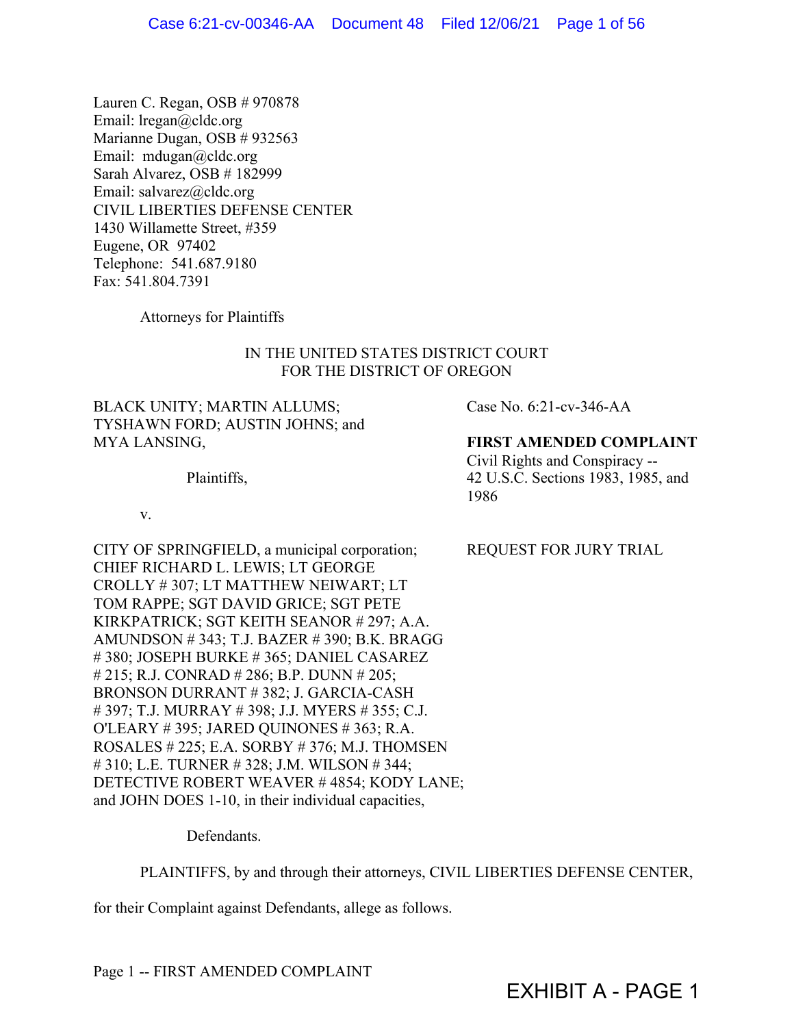Lauren C. Regan, OSB # 970878 Email: lregan@cldc.org Marianne Dugan, OSB # 932563 Email: mdugan@cldc.org Sarah Alvarez, OSB # 182999 Email: salvarez@cldc.org CIVIL LIBERTIES DEFENSE CENTER 1430 Willamette Street, #359 Eugene, OR 97402 Telephone: 541.687.9180 Fax: 541.804.7391

Attorneys for Plaintiffs

# IN THE UNITED STATES DISTRICT COURT FOR THE DISTRICT OF OREGON

BLACK UNITY; MARTIN ALLUMS; Case No. 6:21-cv-346-AA TYSHAWN FORD; AUSTIN JOHNS; and MYA LANSING, **FIRST AMENDED COMPLAINT**

v.

CITY OF SPRINGFIELD, a municipal corporation; REQUEST FOR JURY TRIAL CHIEF RICHARD L. LEWIS; LT GEORGE CROLLY # 307; LT MATTHEW NEIWART; LT TOM RAPPE; SGT DAVID GRICE; SGT PETE KIRKPATRICK; SGT KEITH SEANOR # 297; A.A. AMUNDSON # 343; T.J. BAZER # 390; B.K. BRAGG # 380; JOSEPH BURKE # 365; DANIEL CASAREZ # 215; R.J. CONRAD # 286; B.P. DUNN # 205; BRONSON DURRANT # 382; J. GARCIA-CASH # 397; T.J. MURRAY # 398; J.J. MYERS # 355; C.J. O'LEARY # 395; JARED QUINONES # 363; R.A. ROSALES # 225; E.A. SORBY # 376; M.J. THOMSEN # 310; L.E. TURNER # 328; J.M. WILSON # 344; DETECTIVE ROBERT WEAVER # 4854; KODY LANE; and JOHN DOES 1-10, in their individual capacities,

Civil Rights and Conspiracy -- Plaintiffs, 42 U.S.C. Sections 1983, 1985, and 1986

Defendants.

PLAINTIFFS, by and through their attorneys, CIVIL LIBERTIES DEFENSE CENTER,

for their Complaint against Defendants, allege as follows.

Page 1 -- FIRST AMENDED COMPLAINT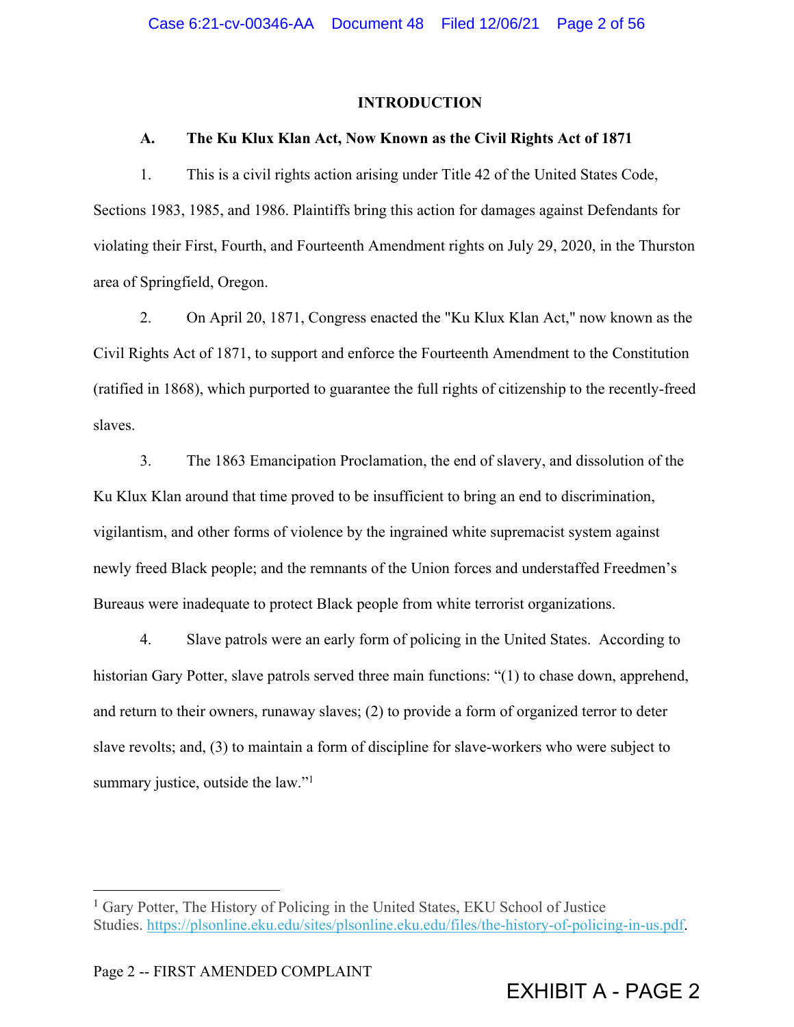# **INTRODUCTION**

# **A. The Ku Klux Klan Act, Now Known as the Civil Rights Act of 1871**

1. This is a civil rights action arising under Title 42 of the United States Code, Sections 1983, 1985, and 1986. Plaintiffs bring this action for damages against Defendants for violating their First, Fourth, and Fourteenth Amendment rights on July 29, 2020, in the Thurston area of Springfield, Oregon.

2. On April 20, 1871, Congress enacted the "Ku Klux Klan Act," now known as the Civil Rights Act of 1871, to support and enforce the Fourteenth Amendment to the Constitution (ratified in 1868), which purported to guarantee the full rights of citizenship to the recently-freed slaves.

3. The 1863 Emancipation Proclamation, the end of slavery, and dissolution of the Ku Klux Klan around that time proved to be insufficient to bring an end to discrimination, vigilantism, and other forms of violence by the ingrained white supremacist system against newly freed Black people; and the remnants of the Union forces and understaffed Freedmen's Bureaus were inadequate to protect Black people from white terrorist organizations.

4. Slave patrols were an early form of policing in the United States. According to historian Gary Potter, slave patrols served three main functions: "(1) to chase down, apprehend, and return to their owners, runaway slaves; (2) to provide a form of organized terror to deter slave revolts; and, (3) to maintain a form of discipline for slave-workers who were subject to summary justice, outside the law."<sup>1</sup>

<sup>1</sup> Gary Potter, The History of Policing in the United States, EKU School of Justice Studies. https://plsonline.eku.edu/sites/plsonline.eku.edu/files/the-history-of-policing-in-us.pdf.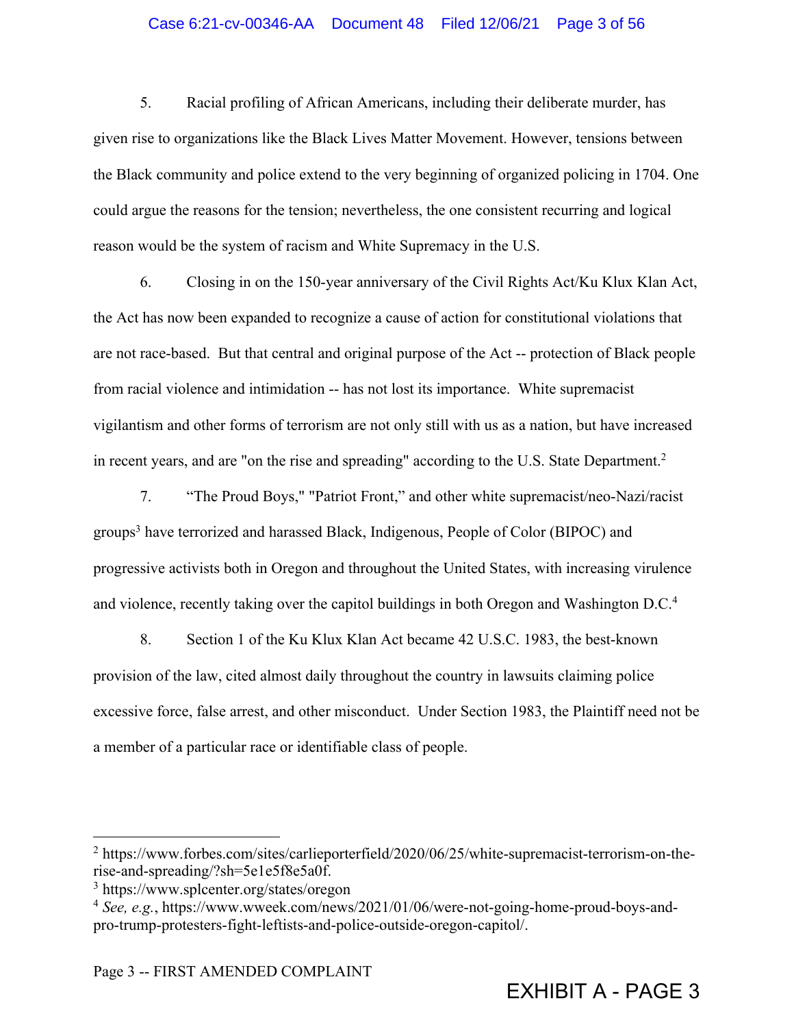### Case 6:21-cv-00346-AA Document 48 Filed 12/06/21 Page 3 of 56

5. Racial profiling of African Americans, including their deliberate murder, has given rise to organizations like the Black Lives Matter Movement. However, tensions between the Black community and police extend to the very beginning of organized policing in 1704. One could argue the reasons for the tension; nevertheless, the one consistent recurring and logical reason would be the system of racism and White Supremacy in the U.S.

6. Closing in on the 150-year anniversary of the Civil Rights Act/Ku Klux Klan Act, the Act has now been expanded to recognize a cause of action for constitutional violations that are not race-based. But that central and original purpose of the Act -- protection of Black people from racial violence and intimidation -- has not lost its importance. White supremacist vigilantism and other forms of terrorism are not only still with us as a nation, but have increased in recent years, and are "on the rise and spreading" according to the U.S. State Department.<sup>2</sup>

7. "The Proud Boys," "Patriot Front," and other white supremacist/neo-Nazi/racist groups<sup>3</sup> have terrorized and harassed Black, Indigenous, People of Color (BIPOC) and progressive activists both in Oregon and throughout the United States, with increasing virulence and violence, recently taking over the capitol buildings in both Oregon and Washington D.C.<sup>4</sup>

8. Section 1 of the Ku Klux Klan Act became 42 U.S.C. 1983, the best-known provision of the law, cited almost daily throughout the country in lawsuits claiming police excessive force, false arrest, and other misconduct. Under Section 1983, the Plaintiff need not be a member of a particular race or identifiable class of people.

<sup>&</sup>lt;sup>2</sup> https://www.forbes.com/sites/carlieporterfield/2020/06/25/white-supremacist-terrorism-on-therise-and-spreading/?sh=5e1e5f8e5a0f.

<sup>3</sup> https://www.splcenter.org/states/oregon

<sup>4</sup> *See, e.g.*, https://www.wweek.com/news/2021/01/06/were-not-going-home-proud-boys-andpro-trump-protesters-fight-leftists-and-police-outside-oregon-capitol/.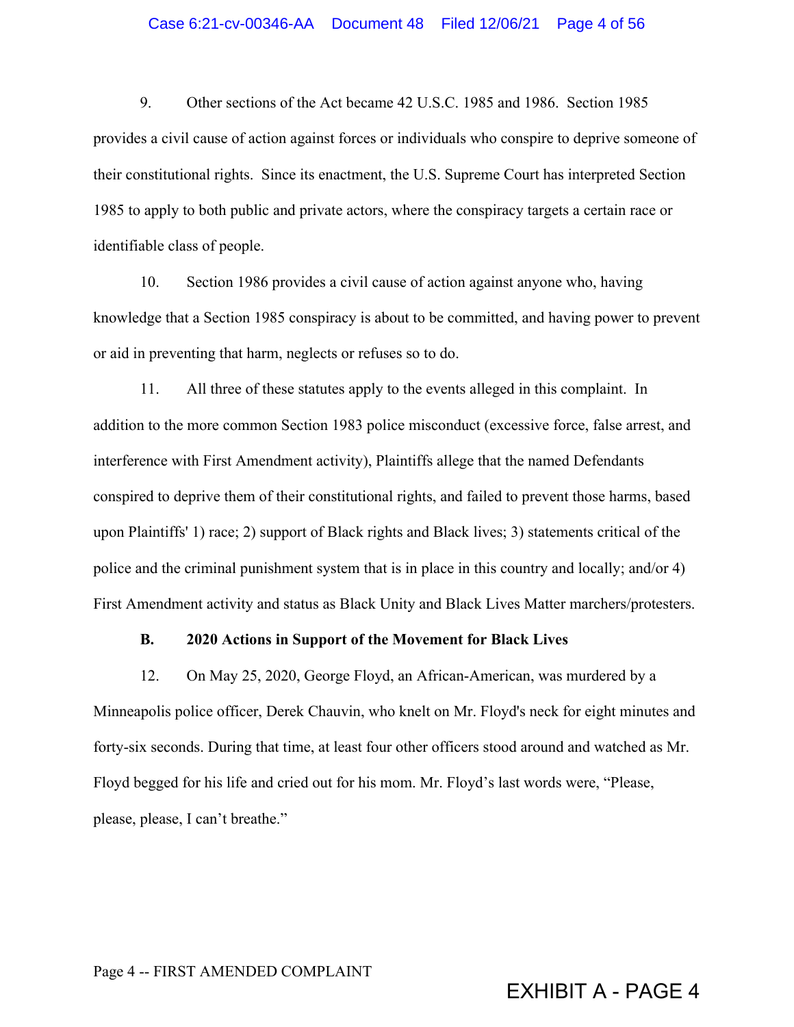### Case 6:21-cv-00346-AA Document 48 Filed 12/06/21 Page 4 of 56

9. Other sections of the Act became 42 U.S.C. 1985 and 1986. Section 1985 provides a civil cause of action against forces or individuals who conspire to deprive someone of their constitutional rights. Since its enactment, the U.S. Supreme Court has interpreted Section 1985 to apply to both public and private actors, where the conspiracy targets a certain race or identifiable class of people.

10. Section 1986 provides a civil cause of action against anyone who, having knowledge that a Section 1985 conspiracy is about to be committed, and having power to prevent or aid in preventing that harm, neglects or refuses so to do.

11. All three of these statutes apply to the events alleged in this complaint. In addition to the more common Section 1983 police misconduct (excessive force, false arrest, and interference with First Amendment activity), Plaintiffs allege that the named Defendants conspired to deprive them of their constitutional rights, and failed to prevent those harms, based upon Plaintiffs' 1) race; 2) support of Black rights and Black lives; 3) statements critical of the police and the criminal punishment system that is in place in this country and locally; and/or 4) First Amendment activity and status as Black Unity and Black Lives Matter marchers/protesters.

### **B. 2020 Actions in Support of the Movement for Black Lives**

12. On May 25, 2020, George Floyd, an African-American, was murdered by a Minneapolis police officer, Derek Chauvin, who knelt on Mr. Floyd's neck for eight minutes and forty-six seconds. During that time, at least four other officers stood around and watched as Mr. Floyd begged for his life and cried out for his mom. Mr. Floyd's last words were, "Please, please, please, I can't breathe."

#### Page 4 -- FIRST AMENDED COMPLAINT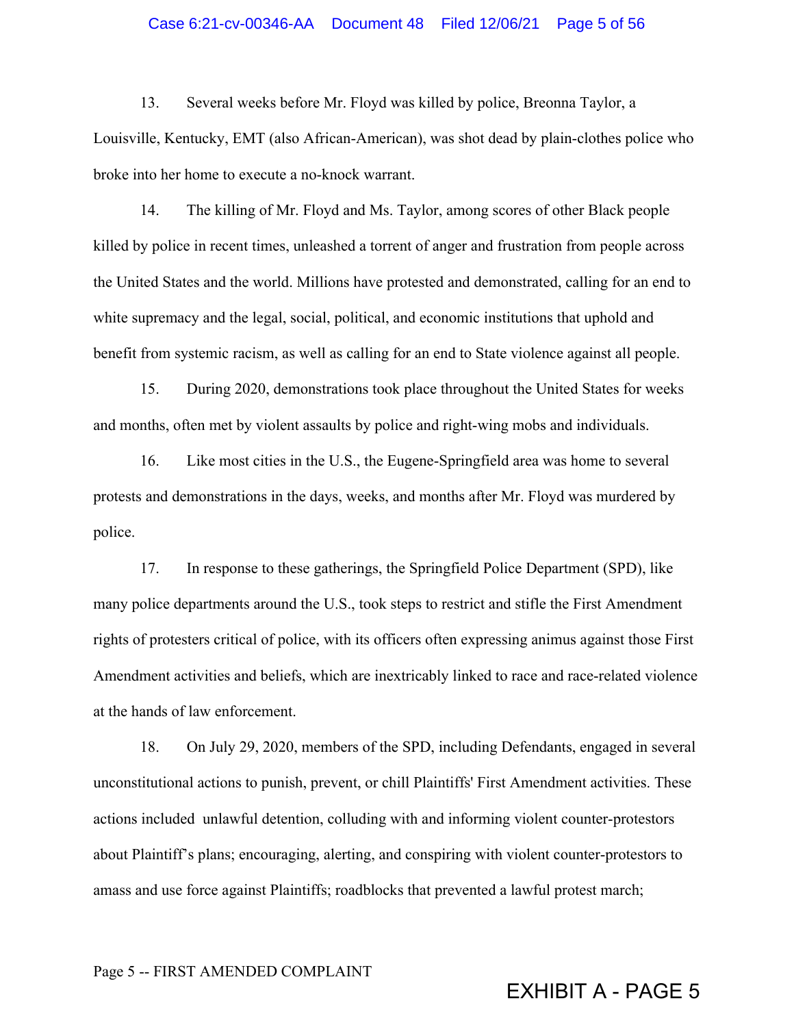### Case 6:21-cv-00346-AA Document 48 Filed 12/06/21 Page 5 of 56

13. Several weeks before Mr. Floyd was killed by police, Breonna Taylor, a Louisville, Kentucky, EMT (also African-American), was shot dead by plain-clothes police who broke into her home to execute a no-knock warrant.

14. The killing of Mr. Floyd and Ms. Taylor, among scores of other Black people killed by police in recent times, unleashed a torrent of anger and frustration from people across the United States and the world. Millions have protested and demonstrated, calling for an end to white supremacy and the legal, social, political, and economic institutions that uphold and benefit from systemic racism, as well as calling for an end to State violence against all people.

15. During 2020, demonstrations took place throughout the United States for weeks and months, often met by violent assaults by police and right-wing mobs and individuals.

16. Like most cities in the U.S., the Eugene-Springfield area was home to several protests and demonstrations in the days, weeks, and months after Mr. Floyd was murdered by police.

17. In response to these gatherings, the Springfield Police Department (SPD), like many police departments around the U.S., took steps to restrict and stifle the First Amendment rights of protesters critical of police, with its officers often expressing animus against those First Amendment activities and beliefs, which are inextricably linked to race and race-related violence at the hands of law enforcement.

18. On July 29, 2020, members of the SPD, including Defendants, engaged in several unconstitutional actions to punish, prevent, or chill Plaintiffs' First Amendment activities. These actions included unlawful detention, colluding with and informing violent counter-protestors about Plaintiff's plans; encouraging, alerting, and conspiring with violent counter-protestors to amass and use force against Plaintiffs; roadblocks that prevented a lawful protest march;

#### Page 5 -- FIRST AMENDED COMPLAINT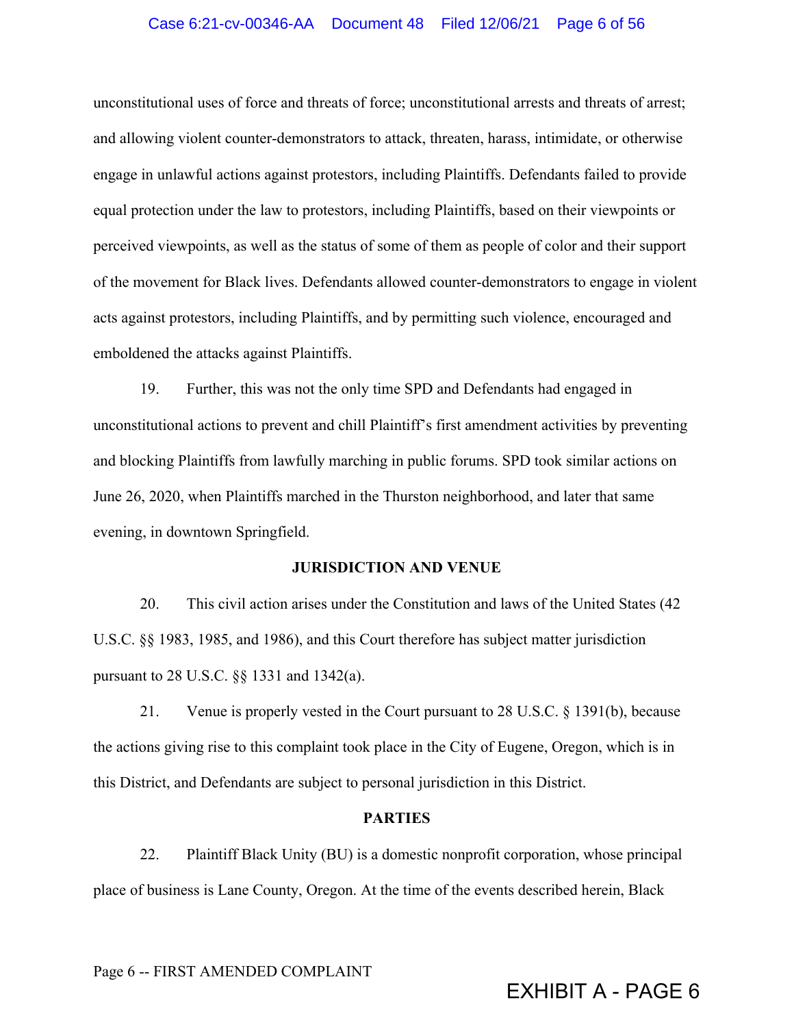### Case 6:21-cv-00346-AA Document 48 Filed 12/06/21 Page 6 of 56

unconstitutional uses of force and threats of force; unconstitutional arrests and threats of arrest; and allowing violent counter-demonstrators to attack, threaten, harass, intimidate, or otherwise engage in unlawful actions against protestors, including Plaintiffs. Defendants failed to provide equal protection under the law to protestors, including Plaintiffs, based on their viewpoints or perceived viewpoints, as well as the status of some of them as people of color and their support of the movement for Black lives. Defendants allowed counter-demonstrators to engage in violent acts against protestors, including Plaintiffs, and by permitting such violence, encouraged and emboldened the attacks against Plaintiffs.

19. Further, this was not the only time SPD and Defendants had engaged in unconstitutional actions to prevent and chill Plaintiff's first amendment activities by preventing and blocking Plaintiffs from lawfully marching in public forums. SPD took similar actions on June 26, 2020, when Plaintiffs marched in the Thurston neighborhood, and later that same evening, in downtown Springfield.

#### **JURISDICTION AND VENUE**

20. This civil action arises under the Constitution and laws of the United States (42 U.S.C. §§ 1983, 1985, and 1986), and this Court therefore has subject matter jurisdiction pursuant to 28 U.S.C. §§ 1331 and 1342(a).

21. Venue is properly vested in the Court pursuant to 28 U.S.C. § 1391(b), because the actions giving rise to this complaint took place in the City of Eugene, Oregon, which is in this District, and Defendants are subject to personal jurisdiction in this District.

### **PARTIES**

22. Plaintiff Black Unity (BU) is a domestic nonprofit corporation, whose principal place of business is Lane County, Oregon. At the time of the events described herein, Black

Page 6 -- FIRST AMENDED COMPLAINT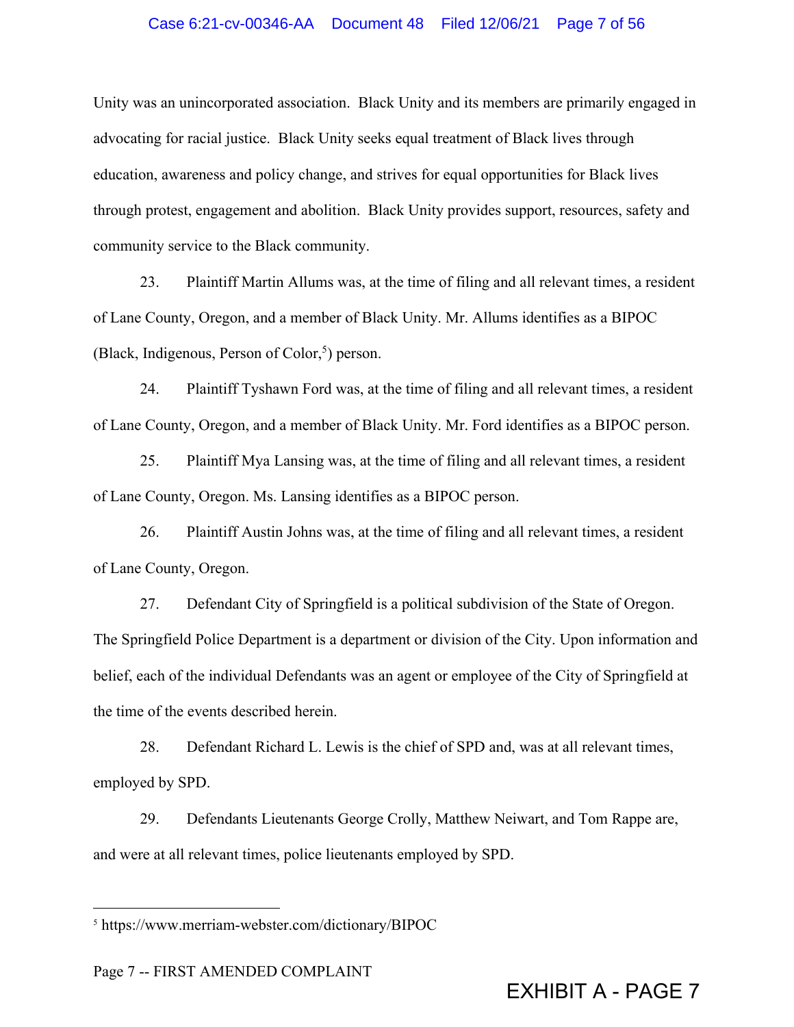### Case 6:21-cv-00346-AA Document 48 Filed 12/06/21 Page 7 of 56

Unity was an unincorporated association. Black Unity and its members are primarily engaged in advocating for racial justice. Black Unity seeks equal treatment of Black lives through education, awareness and policy change, and strives for equal opportunities for Black lives through protest, engagement and abolition. Black Unity provides support, resources, safety and community service to the Black community.

23. Plaintiff Martin Allums was, at the time of filing and all relevant times, a resident of Lane County, Oregon, and a member of Black Unity. Mr. Allums identifies as a BIPOC (Black, Indigenous, Person of Color,<sup>5</sup>) person.

24. Plaintiff Tyshawn Ford was, at the time of filing and all relevant times, a resident of Lane County, Oregon, and a member of Black Unity. Mr. Ford identifies as a BIPOC person.

25. Plaintiff Mya Lansing was, at the time of filing and all relevant times, a resident of Lane County, Oregon. Ms. Lansing identifies as a BIPOC person.

26. Plaintiff Austin Johns was, at the time of filing and all relevant times, a resident of Lane County, Oregon.

27. Defendant City of Springfield is a political subdivision of the State of Oregon. The Springfield Police Department is a department or division of the City. Upon information and belief, each of the individual Defendants was an agent or employee of the City of Springfield at the time of the events described herein.

28. Defendant Richard L. Lewis is the chief of SPD and, was at all relevant times, employed by SPD.

29. Defendants Lieutenants George Crolly, Matthew Neiwart, and Tom Rappe are, and were at all relevant times, police lieutenants employed by SPD.

<sup>5</sup> https://www.merriam-webster.com/dictionary/BIPOC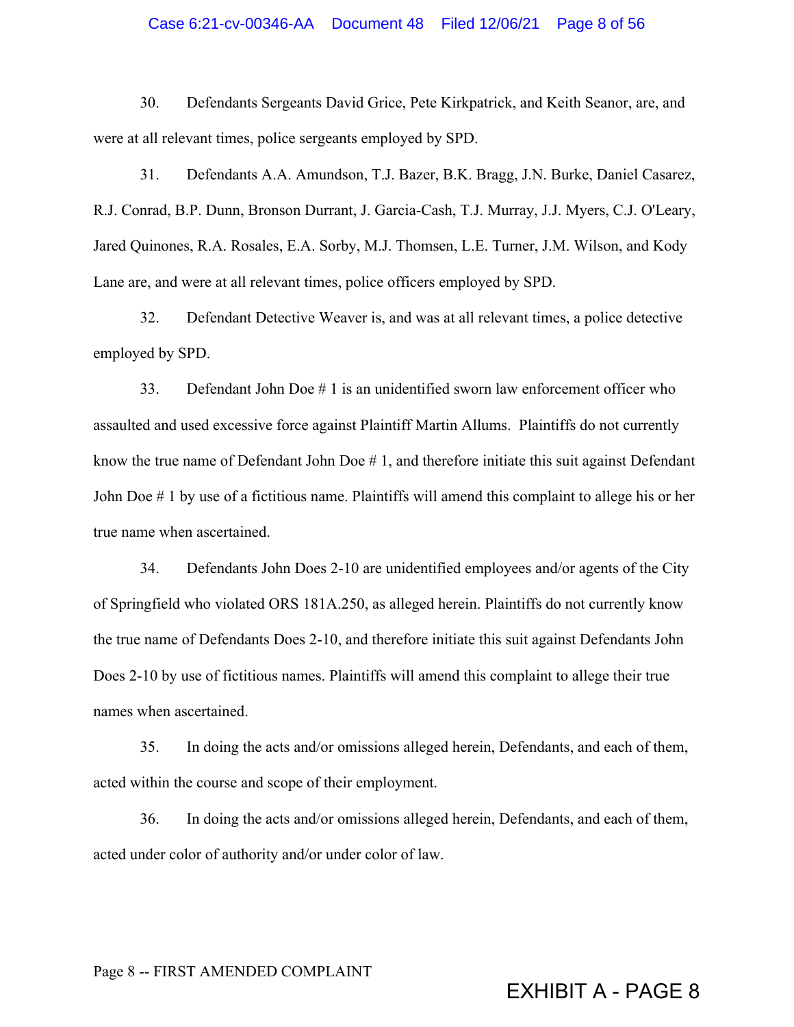### Case 6:21-cv-00346-AA Document 48 Filed 12/06/21 Page 8 of 56

30. Defendants Sergeants David Grice, Pete Kirkpatrick, and Keith Seanor, are, and were at all relevant times, police sergeants employed by SPD.

31. Defendants A.A. Amundson, T.J. Bazer, B.K. Bragg, J.N. Burke, Daniel Casarez, R.J. Conrad, B.P. Dunn, Bronson Durrant, J. Garcia-Cash, T.J. Murray, J.J. Myers, C.J. O'Leary, Jared Quinones, R.A. Rosales, E.A. Sorby, M.J. Thomsen, L.E. Turner, J.M. Wilson, and Kody Lane are, and were at all relevant times, police officers employed by SPD.

32. Defendant Detective Weaver is, and was at all relevant times, a police detective employed by SPD.

33. Defendant John Doe # 1 is an unidentified sworn law enforcement officer who assaulted and used excessive force against Plaintiff Martin Allums. Plaintiffs do not currently know the true name of Defendant John Doe  $# 1$ , and therefore initiate this suit against Defendant John Doe # 1 by use of a fictitious name. Plaintiffs will amend this complaint to allege his or her true name when ascertained.

34. Defendants John Does 2-10 are unidentified employees and/or agents of the City of Springfield who violated ORS 181A.250, as alleged herein. Plaintiffs do not currently know the true name of Defendants Does 2-10, and therefore initiate this suit against Defendants John Does 2-10 by use of fictitious names. Plaintiffs will amend this complaint to allege their true names when ascertained.

35. In doing the acts and/or omissions alleged herein, Defendants, and each of them, acted within the course and scope of their employment.

36. In doing the acts and/or omissions alleged herein, Defendants, and each of them, acted under color of authority and/or under color of law.

#### Page 8 -- FIRST AMENDED COMPLAINT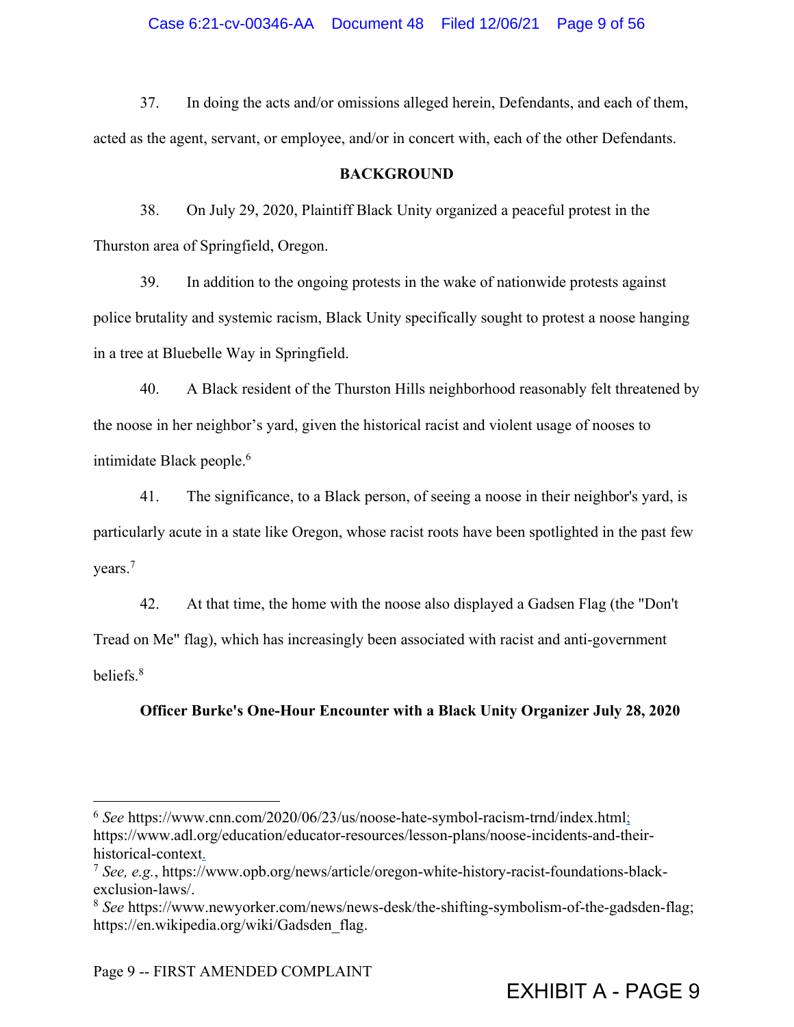37. In doing the acts and/or omissions alleged herein, Defendants, and each of them, acted as the agent, servant, or employee, and/or in concert with, each of the other Defendants.

### **BACKGROUND**

38. On July 29, 2020, Plaintiff Black Unity organized a peaceful protest in the Thurston area of Springfield, Oregon.

39. In addition to the ongoing protests in the wake of nationwide protests against police brutality and systemic racism, Black Unity specifically sought to protest a noose hanging in a tree at Bluebelle Way in Springfield.

40. A Black resident of the Thurston Hills neighborhood reasonably felt threatened by the noose in her neighbor's yard, given the historical racist and violent usage of nooses to intimidate Black people.<sup>6</sup>

41. The significance, to a Black person, of seeing a noose in their neighbor's yard, is particularly acute in a state like Oregon, whose racist roots have been spotlighted in the past few years.<sup>7</sup>

42. At that time, the home with the noose also displayed a Gadsen Flag (the "Don't Tread on Me" flag), which has increasingly been associated with racist and anti-government beliefs.<sup>8</sup>

# **Officer Burke's One-Hour Encounter with a Black Unity Organizer July 28, 2020**

<sup>6</sup> *See* https://www.cnn.com/2020/06/23/us/noose-hate-symbol-racism-trnd/index.html; https://www.adl.org/education/educator-resources/lesson-plans/noose-incidents-and-theirhistorical-context.

<sup>7</sup> *See, e.g.*, https://www.opb.org/news/article/oregon-white-history-racist-foundations-blackexclusion-laws/.

<sup>8</sup> *See* https://www.newyorker.com/news/news-desk/the-shifting-symbolism-of-the-gadsden-flag; https://en.wikipedia.org/wiki/Gadsden\_flag.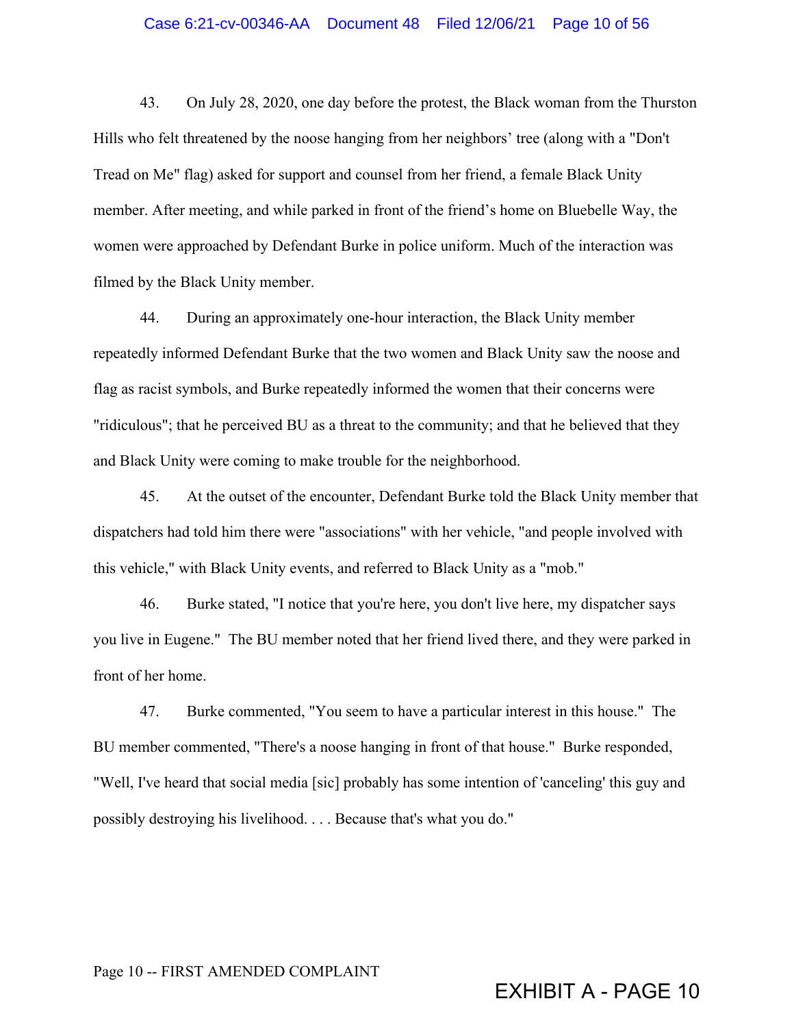#### Case 6:21-cv-00346-AA Document 48 Filed 12/06/21 Page 10 of 56

43. On July 28, 2020, one day before the protest, the Black woman from the Thurston Hills who felt threatened by the noose hanging from her neighbors' tree (along with a "Don't Tread on Me" flag) asked for support and counsel from her friend, a female Black Unity member. After meeting, and while parked in front of the friend's home on Bluebelle Way, the women were approached by Defendant Burke in police uniform. Much of the interaction was filmed by the Black Unity member.

44. During an approximately one-hour interaction, the Black Unity member repeatedly informed Defendant Burke that the two women and Black Unity saw the noose and flag as racist symbols, and Burke repeatedly informed the women that their concerns were "ridiculous"; that he perceived BU as a threat to the community; and that he believed that they and Black Unity were coming to make trouble for the neighborhood.

45. At the outset of the encounter, Defendant Burke told the Black Unity member that dispatchers had told him there were "associations" with her vehicle, "and people involved with this vehicle," with Black Unity events, and referred to Black Unity as a "mob."

46. Burke stated, "I notice that you're here, you don't live here, my dispatcher says you live in Eugene." The BU member noted that her friend lived there, and they were parked in front of her home.

47. Burke commented, "You seem to have a particular interest in this house." The BU member commented, "There's a noose hanging in front of that house." Burke responded, "Well, I've heard that social media [sic] probably has some intention of 'canceling' this guy and possibly destroying his livelihood. . . . Because that's what you do."

#### Page 10 -- FIRST AMENDED COMPLAINT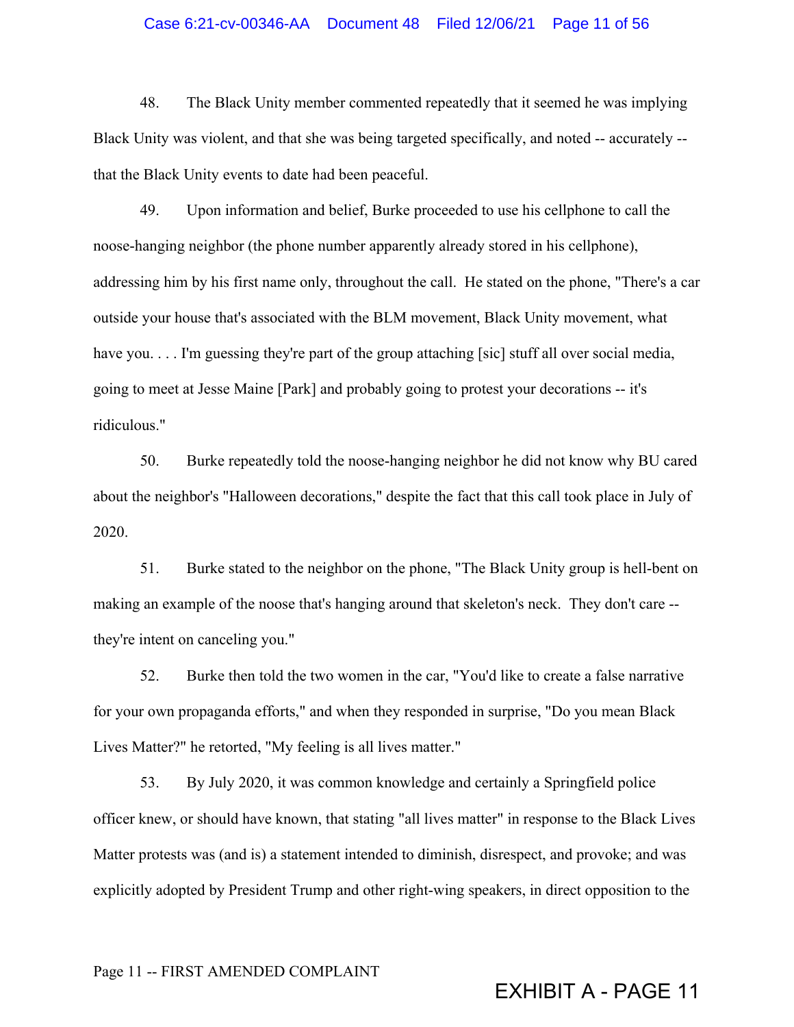### Case 6:21-cv-00346-AA Document 48 Filed 12/06/21 Page 11 of 56

48. The Black Unity member commented repeatedly that it seemed he was implying Black Unity was violent, and that she was being targeted specifically, and noted -- accurately - that the Black Unity events to date had been peaceful.

49. Upon information and belief, Burke proceeded to use his cellphone to call the noose-hanging neighbor (the phone number apparently already stored in his cellphone), addressing him by his first name only, throughout the call. He stated on the phone, "There's a car outside your house that's associated with the BLM movement, Black Unity movement, what have you. . . . I'm guessing they're part of the group attaching [sic] stuff all over social media, going to meet at Jesse Maine [Park] and probably going to protest your decorations -- it's ridiculous."

50. Burke repeatedly told the noose-hanging neighbor he did not know why BU cared about the neighbor's "Halloween decorations," despite the fact that this call took place in July of 2020.

51. Burke stated to the neighbor on the phone, "The Black Unity group is hell-bent on making an example of the noose that's hanging around that skeleton's neck. They don't care - they're intent on canceling you."

52. Burke then told the two women in the car, "You'd like to create a false narrative for your own propaganda efforts," and when they responded in surprise, "Do you mean Black Lives Matter?" he retorted, "My feeling is all lives matter."

53. By July 2020, it was common knowledge and certainly a Springfield police officer knew, or should have known, that stating "all lives matter" in response to the Black Lives Matter protests was (and is) a statement intended to diminish, disrespect, and provoke; and was explicitly adopted by President Trump and other right-wing speakers, in direct opposition to the

### Page 11 -- FIRST AMENDED COMPLAINT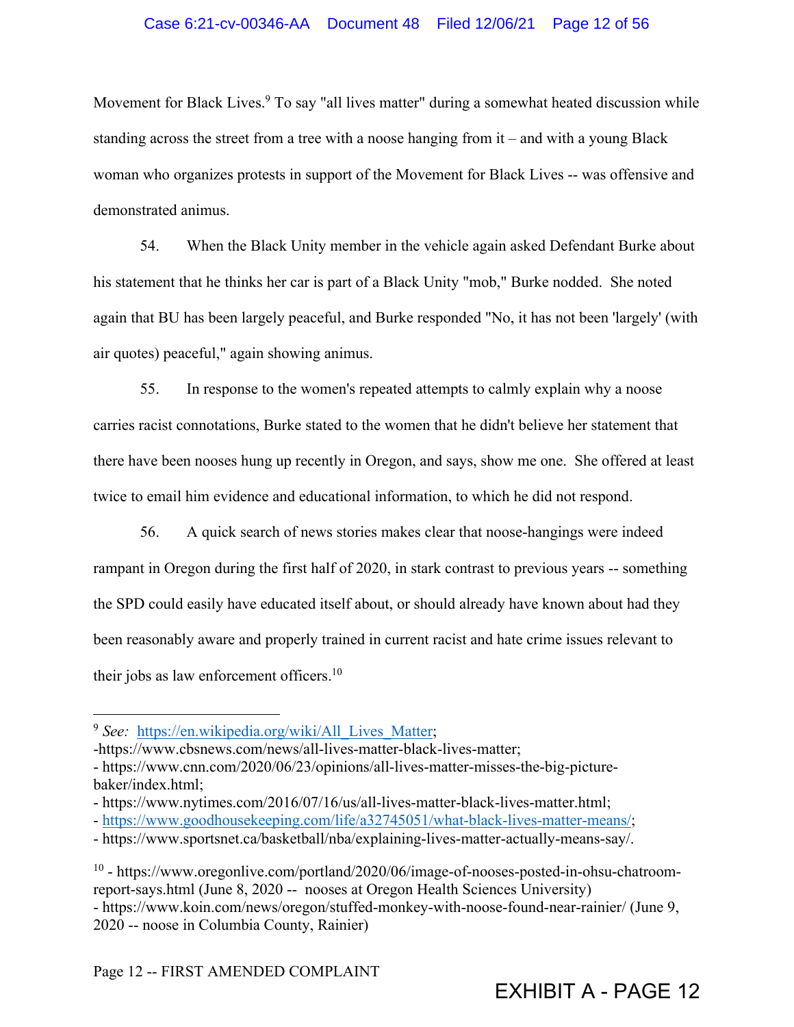### Case 6:21-cv-00346-AA Document 48 Filed 12/06/21 Page 12 of 56

Movement for Black Lives.<sup>9</sup> To say "all lives matter" during a somewhat heated discussion while standing across the street from a tree with a noose hanging from it – and with a young Black woman who organizes protests in support of the Movement for Black Lives -- was offensive and demonstrated animus.

54. When the Black Unity member in the vehicle again asked Defendant Burke about his statement that he thinks her car is part of a Black Unity "mob," Burke nodded. She noted again that BU has been largely peaceful, and Burke responded "No, it has not been 'largely' (with air quotes) peaceful," again showing animus.

55. In response to the women's repeated attempts to calmly explain why a noose carries racist connotations, Burke stated to the women that he didn't believe her statement that there have been nooses hung up recently in Oregon, and says, show me one. She offered at least twice to email him evidence and educational information, to which he did not respond.

56. A quick search of news stories makes clear that noose-hangings were indeed rampant in Oregon during the first half of 2020, in stark contrast to previous years -- something the SPD could easily have educated itself about, or should already have known about had they been reasonably aware and properly trained in current racist and hate crime issues relevant to their jobs as law enforcement officers.<sup>10</sup>

<sup>&</sup>lt;sup>9</sup> See: https://en.wikipedia.org/wiki/All\_Lives\_Matter;

<sup>-</sup>https://www.cbsnews.com/news/all-lives-matter-black-lives-matter;

<sup>-</sup> https://www.cnn.com/2020/06/23/opinions/all-lives-matter-misses-the-big-picturebaker/index.html;

<sup>-</sup> https://www.nytimes.com/2016/07/16/us/all-lives-matter-black-lives-matter.html;

<sup>-</sup> https://www.goodhousekeeping.com/life/a32745051/what-black-lives-matter-means/;

<sup>-</sup> https://www.sportsnet.ca/basketball/nba/explaining-lives-matter-actually-means-say/.

<sup>&</sup>lt;sup>10</sup> - https://www.oregonlive.com/portland/2020/06/image-of-nooses-posted-in-ohsu-chatroomreport-says.html (June 8, 2020 -- nooses at Oregon Health Sciences University) - https://www.koin.com/news/oregon/stuffed-monkey-with-noose-found-near-rainier/ (June 9, 2020 -- noose in Columbia County, Rainier)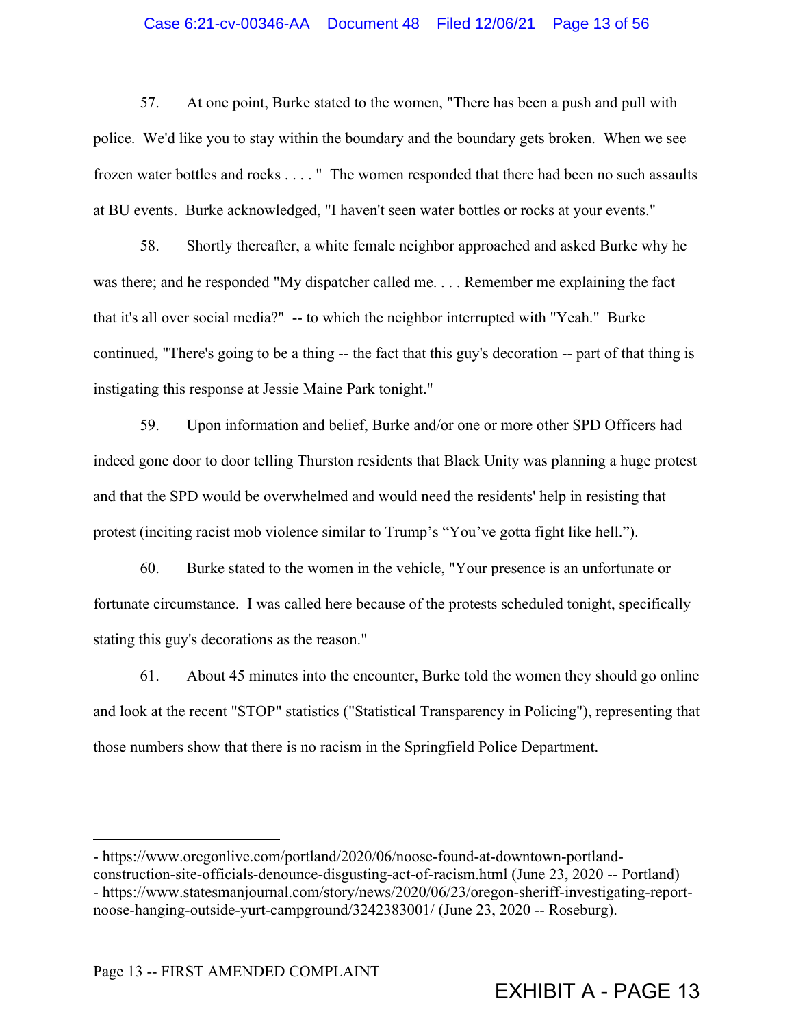### Case 6:21-cv-00346-AA Document 48 Filed 12/06/21 Page 13 of 56

57. At one point, Burke stated to the women, "There has been a push and pull with police. We'd like you to stay within the boundary and the boundary gets broken. When we see frozen water bottles and rocks . . . . " The women responded that there had been no such assaults at BU events. Burke acknowledged, "I haven't seen water bottles or rocks at your events."

58. Shortly thereafter, a white female neighbor approached and asked Burke why he was there; and he responded "My dispatcher called me. . . . Remember me explaining the fact that it's all over social media?" -- to which the neighbor interrupted with "Yeah." Burke continued, "There's going to be a thing -- the fact that this guy's decoration -- part of that thing is instigating this response at Jessie Maine Park tonight."

59. Upon information and belief, Burke and/or one or more other SPD Officers had indeed gone door to door telling Thurston residents that Black Unity was planning a huge protest and that the SPD would be overwhelmed and would need the residents' help in resisting that protest (inciting racist mob violence similar to Trump's "You've gotta fight like hell.").

60. Burke stated to the women in the vehicle, "Your presence is an unfortunate or fortunate circumstance. I was called here because of the protests scheduled tonight, specifically stating this guy's decorations as the reason."

61. About 45 minutes into the encounter, Burke told the women they should go online and look at the recent "STOP" statistics ("Statistical Transparency in Policing"), representing that those numbers show that there is no racism in the Springfield Police Department.

<sup>-</sup> https://www.oregonlive.com/portland/2020/06/noose-found-at-downtown-portland-

construction-site-officials-denounce-disgusting-act-of-racism.html (June 23, 2020 -- Portland) - https://www.statesmanjournal.com/story/news/2020/06/23/oregon-sheriff-investigating-reportnoose-hanging-outside-yurt-campground/3242383001/ (June 23, 2020 -- Roseburg).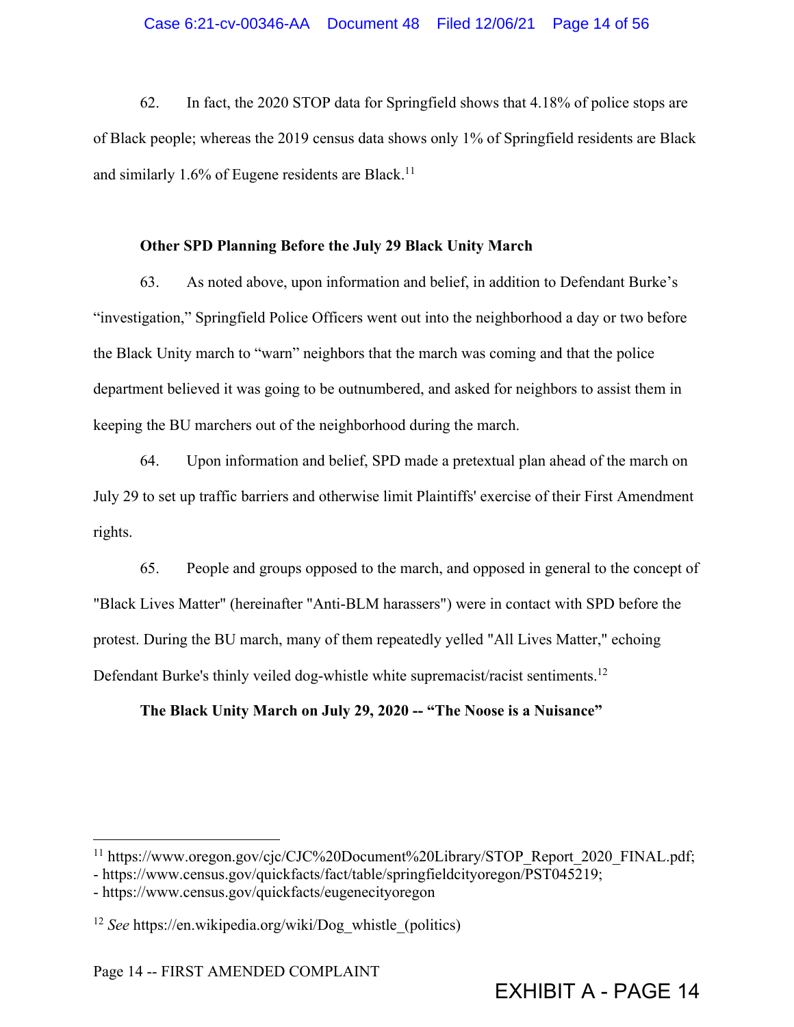62. In fact, the 2020 STOP data for Springfield shows that 4.18% of police stops are of Black people; whereas the 2019 census data shows only 1% of Springfield residents are Black and similarly 1.6% of Eugene residents are Black.<sup>11</sup>

# **Other SPD Planning Before the July 29 Black Unity March**

63. As noted above, upon information and belief, in addition to Defendant Burke's "investigation," Springfield Police Officers went out into the neighborhood a day or two before the Black Unity march to "warn" neighbors that the march was coming and that the police department believed it was going to be outnumbered, and asked for neighbors to assist them in keeping the BU marchers out of the neighborhood during the march.

64. Upon information and belief, SPD made a pretextual plan ahead of the march on July 29 to set up traffic barriers and otherwise limit Plaintiffs' exercise of their First Amendment rights.

65. People and groups opposed to the march, and opposed in general to the concept of "Black Lives Matter" (hereinafter "Anti-BLM harassers") were in contact with SPD before the protest. During the BU march, many of them repeatedly yelled "All Lives Matter," echoing Defendant Burke's thinly veiled dog-whistle white supremacist/racist sentiments.<sup>12</sup>

 **The Black Unity March on July 29, 2020 -- "The Noose is a Nuisance"** 

<sup>&</sup>lt;sup>11</sup> https://www.oregon.gov/cjc/CJC%20Document%20Library/STOP\_Report\_2020\_FINAL.pdf;

<sup>-</sup> https://www.census.gov/quickfacts/fact/table/springfieldcityoregon/PST045219;

<sup>-</sup> https://www.census.gov/quickfacts/eugenecityoregon

<sup>&</sup>lt;sup>12</sup> *See* https://en.wikipedia.org/wiki/Dog\_whistle\_(politics)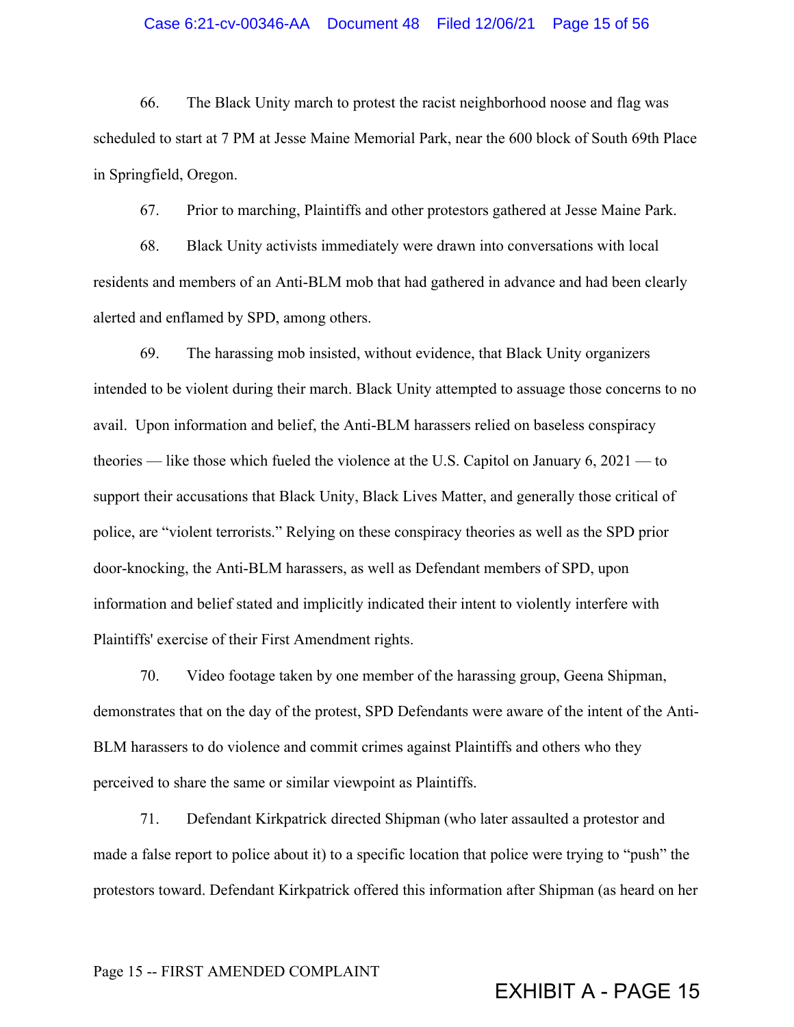### Case 6:21-cv-00346-AA Document 48 Filed 12/06/21 Page 15 of 56

66. The Black Unity march to protest the racist neighborhood noose and flag was scheduled to start at 7 PM at Jesse Maine Memorial Park, near the 600 block of South 69th Place in Springfield, Oregon.

67. Prior to marching, Plaintiffs and other protestors gathered at Jesse Maine Park.

68. Black Unity activists immediately were drawn into conversations with local residents and members of an Anti-BLM mob that had gathered in advance and had been clearly alerted and enflamed by SPD, among others.

69. The harassing mob insisted, without evidence, that Black Unity organizers intended to be violent during their march. Black Unity attempted to assuage those concerns to no avail. Upon information and belief, the Anti-BLM harassers relied on baseless conspiracy theories — like those which fueled the violence at the U.S. Capitol on January 6, 2021 — to support their accusations that Black Unity, Black Lives Matter, and generally those critical of police, are "violent terrorists." Relying on these conspiracy theories as well as the SPD prior door-knocking, the Anti-BLM harassers, as well as Defendant members of SPD, upon information and belief stated and implicitly indicated their intent to violently interfere with Plaintiffs' exercise of their First Amendment rights.

70. Video footage taken by one member of the harassing group, Geena Shipman, demonstrates that on the day of the protest, SPD Defendants were aware of the intent of the Anti-BLM harassers to do violence and commit crimes against Plaintiffs and others who they perceived to share the same or similar viewpoint as Plaintiffs.

71. Defendant Kirkpatrick directed Shipman (who later assaulted a protestor and made a false report to police about it) to a specific location that police were trying to "push" the protestors toward. Defendant Kirkpatrick offered this information after Shipman (as heard on her

### Page 15 -- FIRST AMENDED COMPLAINT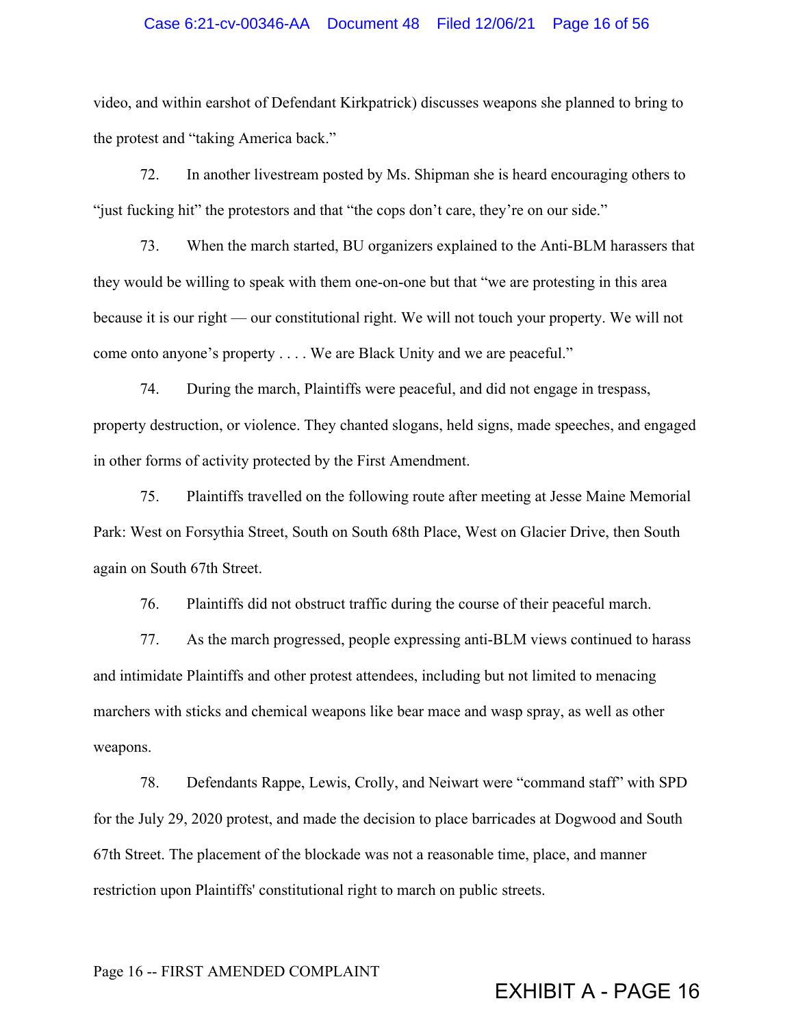#### Case 6:21-cv-00346-AA Document 48 Filed 12/06/21 Page 16 of 56

video, and within earshot of Defendant Kirkpatrick) discusses weapons she planned to bring to the protest and "taking America back."

72. In another livestream posted by Ms. Shipman she is heard encouraging others to "just fucking hit" the protestors and that "the cops don't care, they're on our side."

73. When the march started, BU organizers explained to the Anti-BLM harassers that they would be willing to speak with them one-on-one but that "we are protesting in this area because it is our right — our constitutional right. We will not touch your property. We will not come onto anyone's property . . . . We are Black Unity and we are peaceful."

74. During the march, Plaintiffs were peaceful, and did not engage in trespass, property destruction, or violence. They chanted slogans, held signs, made speeches, and engaged in other forms of activity protected by the First Amendment.

75. Plaintiffs travelled on the following route after meeting at Jesse Maine Memorial Park: West on Forsythia Street, South on South 68th Place, West on Glacier Drive, then South again on South 67th Street.

76. Plaintiffs did not obstruct traffic during the course of their peaceful march.

77. As the march progressed, people expressing anti-BLM views continued to harass and intimidate Plaintiffs and other protest attendees, including but not limited to menacing marchers with sticks and chemical weapons like bear mace and wasp spray, as well as other weapons.

78. Defendants Rappe, Lewis, Crolly, and Neiwart were "command staff" with SPD for the July 29, 2020 protest, and made the decision to place barricades at Dogwood and South 67th Street. The placement of the blockade was not a reasonable time, place, and manner restriction upon Plaintiffs' constitutional right to march on public streets.

### Page 16 -- FIRST AMENDED COMPLAINT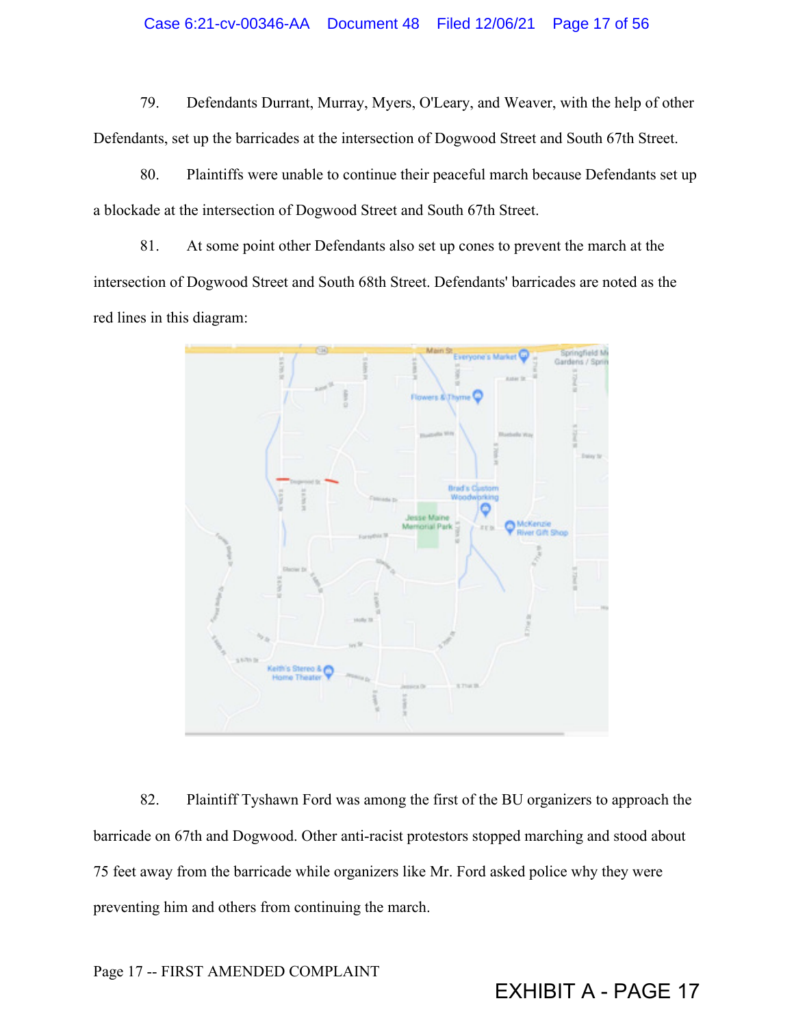### Case 6:21-cv-00346-AA Document 48 Filed 12/06/21 Page 17 of 56

79. Defendants Durrant, Murray, Myers, O'Leary, and Weaver, with the help of other Defendants, set up the barricades at the intersection of Dogwood Street and South 67th Street.

80. Plaintiffs were unable to continue their peaceful march because Defendants set up a blockade at the intersection of Dogwood Street and South 67th Street.

81. At some point other Defendants also set up cones to prevent the march at the intersection of Dogwood Street and South 68th Street. Defendants' barricades are noted as the red lines in this diagram:



82. Plaintiff Tyshawn Ford was among the first of the BU organizers to approach the barricade on 67th and Dogwood. Other anti-racist protestors stopped marching and stood about 75 feet away from the barricade while organizers like Mr. Ford asked police why they were preventing him and others from continuing the march.

# Page 17 -- FIRST AMENDED COMPLAINT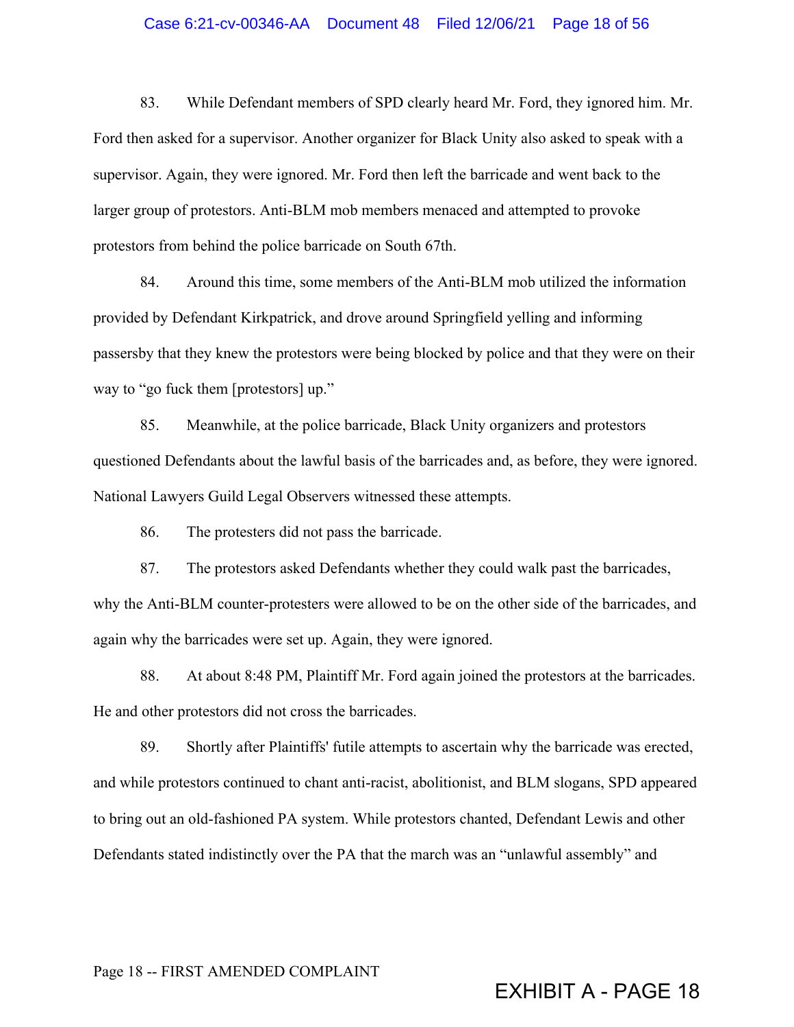### Case 6:21-cv-00346-AA Document 48 Filed 12/06/21 Page 18 of 56

83. While Defendant members of SPD clearly heard Mr. Ford, they ignored him. Mr. Ford then asked for a supervisor. Another organizer for Black Unity also asked to speak with a supervisor. Again, they were ignored. Mr. Ford then left the barricade and went back to the larger group of protestors. Anti-BLM mob members menaced and attempted to provoke protestors from behind the police barricade on South 67th.

84. Around this time, some members of the Anti-BLM mob utilized the information provided by Defendant Kirkpatrick, and drove around Springfield yelling and informing passersby that they knew the protestors were being blocked by police and that they were on their way to "go fuck them [protestors] up."

85. Meanwhile, at the police barricade, Black Unity organizers and protestors questioned Defendants about the lawful basis of the barricades and, as before, they were ignored. National Lawyers Guild Legal Observers witnessed these attempts.

86. The protesters did not pass the barricade.

87. The protestors asked Defendants whether they could walk past the barricades, why the Anti-BLM counter-protesters were allowed to be on the other side of the barricades, and again why the barricades were set up. Again, they were ignored.

88. At about 8:48 PM, Plaintiff Mr. Ford again joined the protestors at the barricades. He and other protestors did not cross the barricades.

89. Shortly after Plaintiffs' futile attempts to ascertain why the barricade was erected, and while protestors continued to chant anti-racist, abolitionist, and BLM slogans, SPD appeared to bring out an old-fashioned PA system. While protestors chanted, Defendant Lewis and other Defendants stated indistinctly over the PA that the march was an "unlawful assembly" and

### Page 18 -- FIRST AMENDED COMPLAINT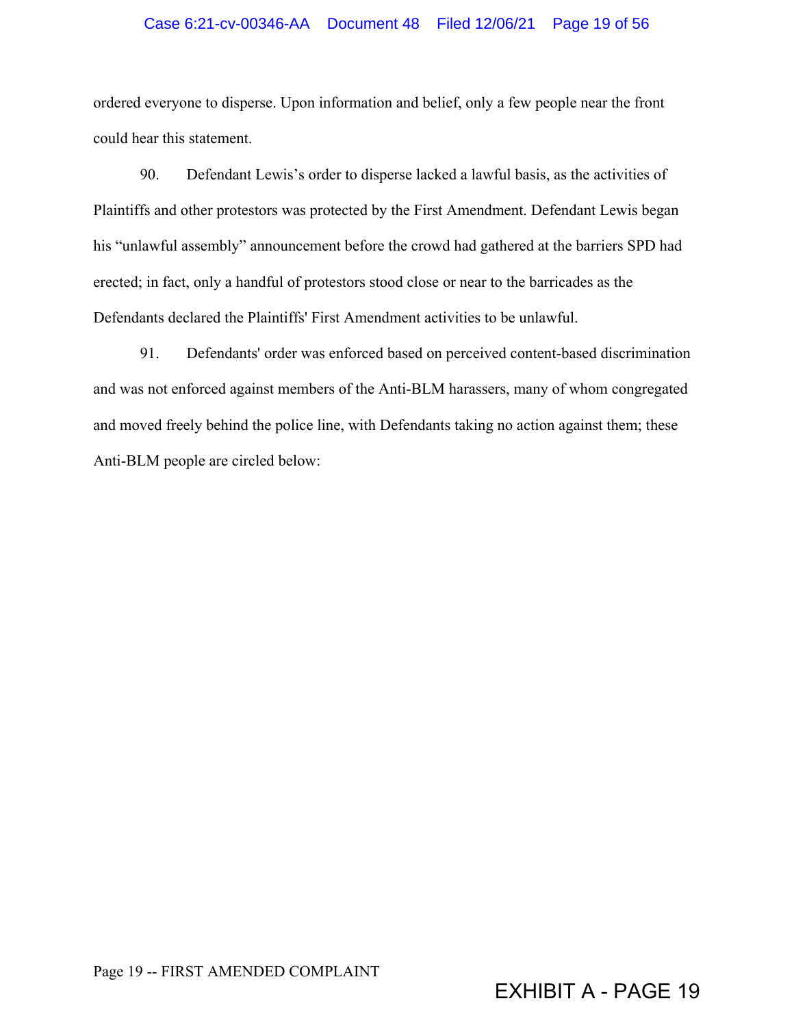### Case 6:21-cv-00346-AA Document 48 Filed 12/06/21 Page 19 of 56

ordered everyone to disperse. Upon information and belief, only a few people near the front could hear this statement.

90. Defendant Lewis's order to disperse lacked a lawful basis, as the activities of Plaintiffs and other protestors was protected by the First Amendment. Defendant Lewis began his "unlawful assembly" announcement before the crowd had gathered at the barriers SPD had erected; in fact, only a handful of protestors stood close or near to the barricades as the Defendants declared the Plaintiffs' First Amendment activities to be unlawful.

91. Defendants' order was enforced based on perceived content-based discrimination and was not enforced against members of the Anti-BLM harassers, many of whom congregated and moved freely behind the police line, with Defendants taking no action against them; these Anti-BLM people are circled below: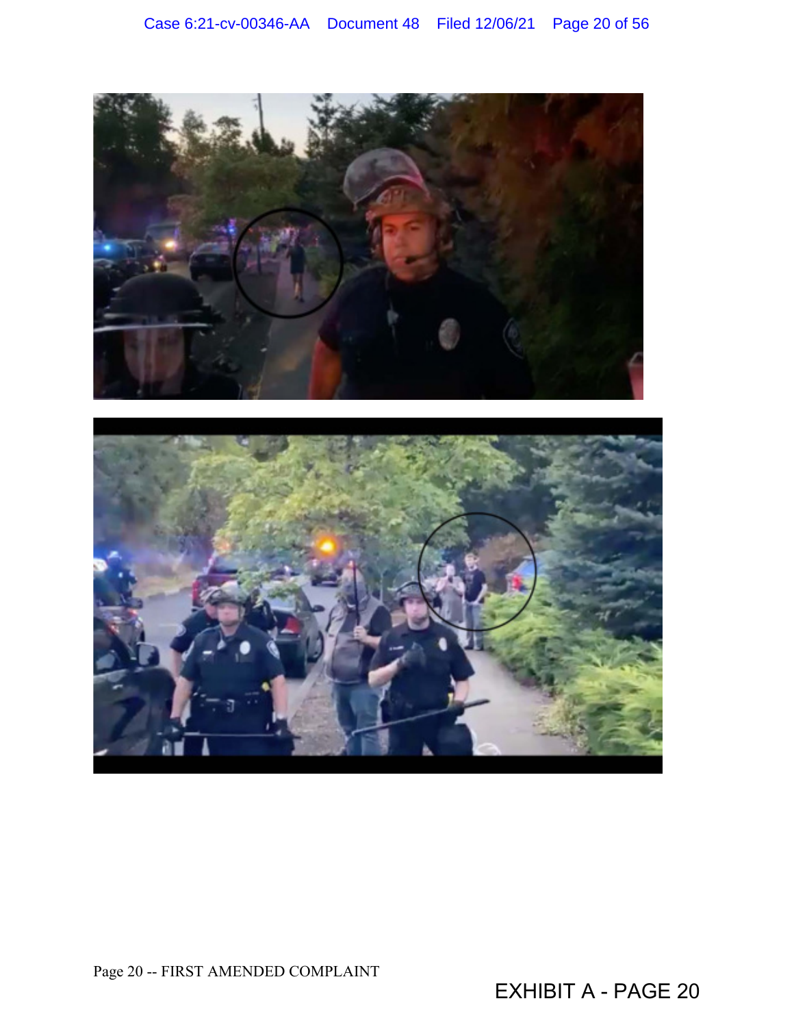

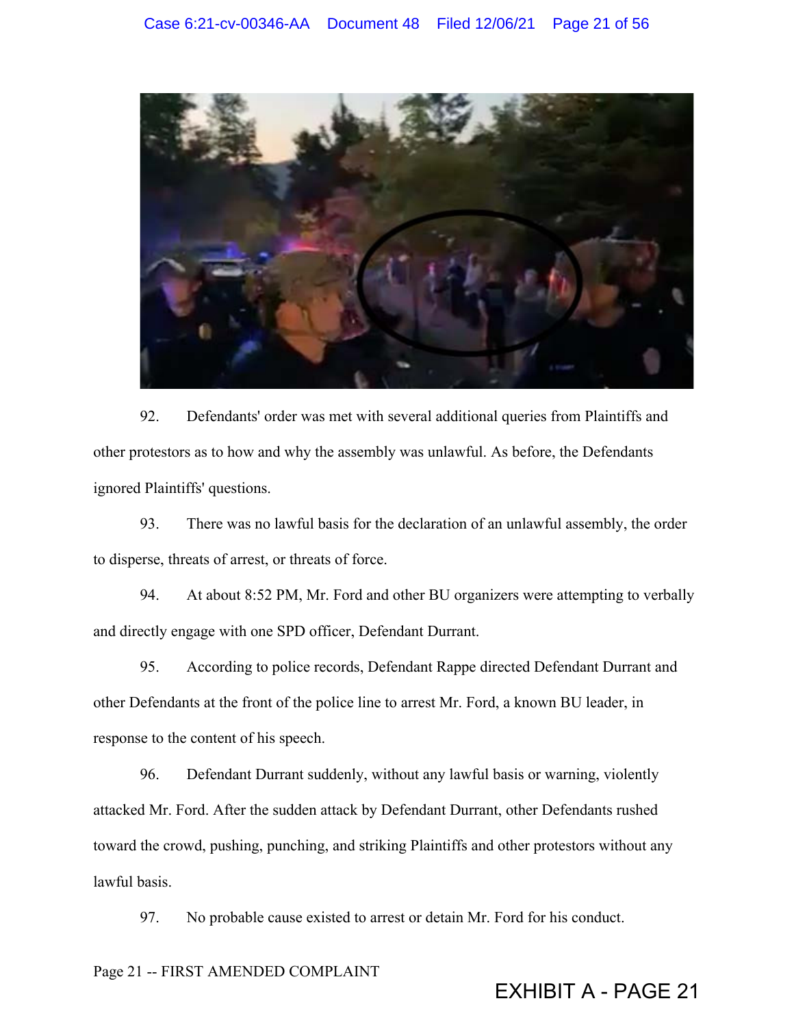

92. Defendants' order was met with several additional queries from Plaintiffs and other protestors as to how and why the assembly was unlawful. As before, the Defendants ignored Plaintiffs' questions.

93. There was no lawful basis for the declaration of an unlawful assembly, the order to disperse, threats of arrest, or threats of force.

94. At about 8:52 PM, Mr. Ford and other BU organizers were attempting to verbally and directly engage with one SPD officer, Defendant Durrant.

95. According to police records, Defendant Rappe directed Defendant Durrant and other Defendants at the front of the police line to arrest Mr. Ford, a known BU leader, in response to the content of his speech.

96. Defendant Durrant suddenly, without any lawful basis or warning, violently attacked Mr. Ford. After the sudden attack by Defendant Durrant, other Defendants rushed toward the crowd, pushing, punching, and striking Plaintiffs and other protestors without any lawful basis.

97. No probable cause existed to arrest or detain Mr. Ford for his conduct.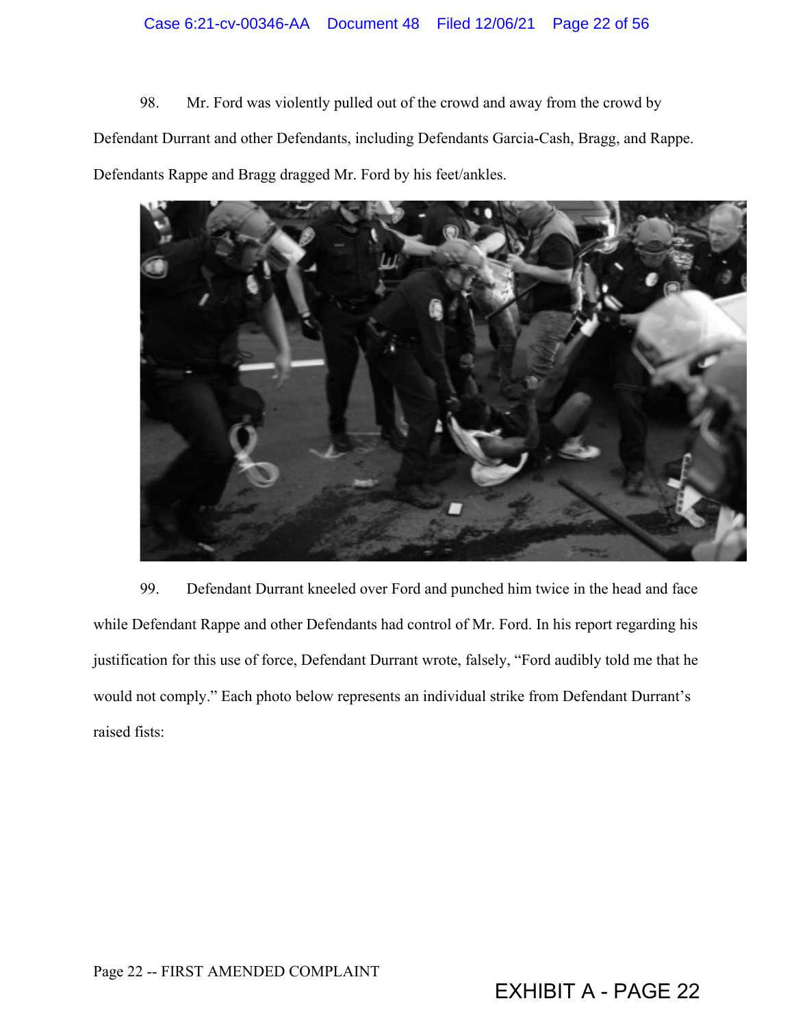# Case 6:21-cv-00346-AA Document 48 Filed 12/06/21 Page 22 of 56

98. Mr. Ford was violently pulled out of the crowd and away from the crowd by

Defendant Durrant and other Defendants, including Defendants Garcia-Cash, Bragg, and Rappe. Defendants Rappe and Bragg dragged Mr. Ford by his feet/ankles.



99. Defendant Durrant kneeled over Ford and punched him twice in the head and face while Defendant Rappe and other Defendants had control of Mr. Ford. In his report regarding his justification for this use of force, Defendant Durrant wrote, falsely, "Ford audibly told me that he would not comply." Each photo below represents an individual strike from Defendant Durrant's raised fists: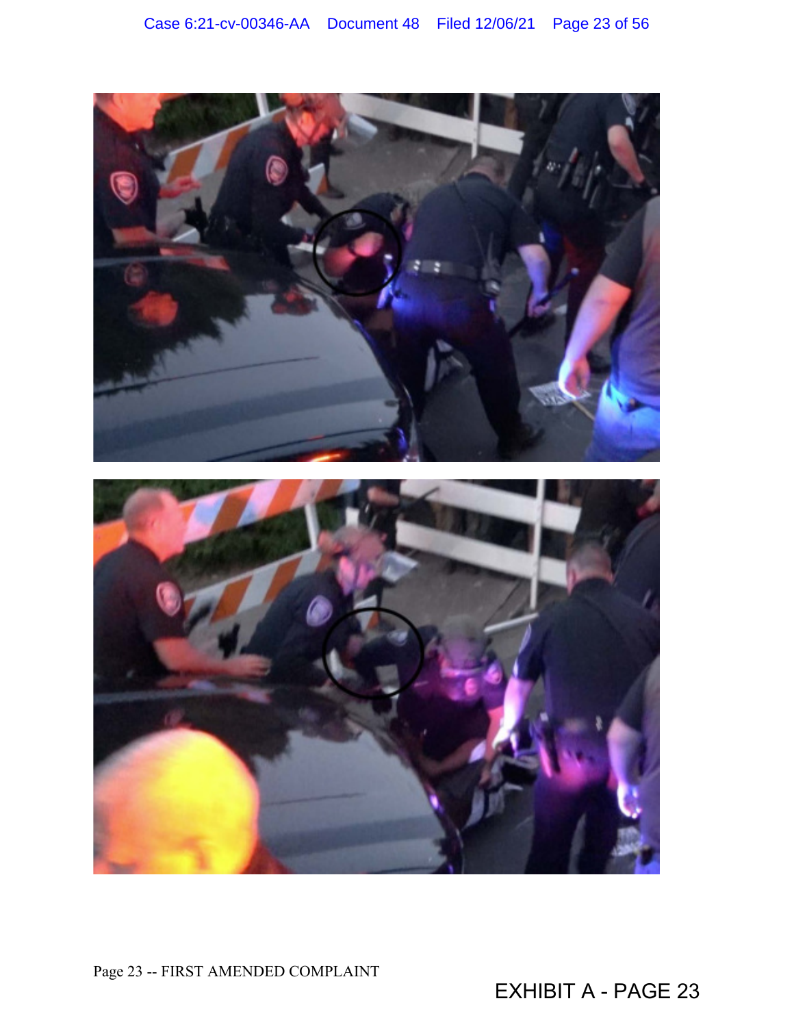

Page 23 -- FIRST AMENDED COMPLAINT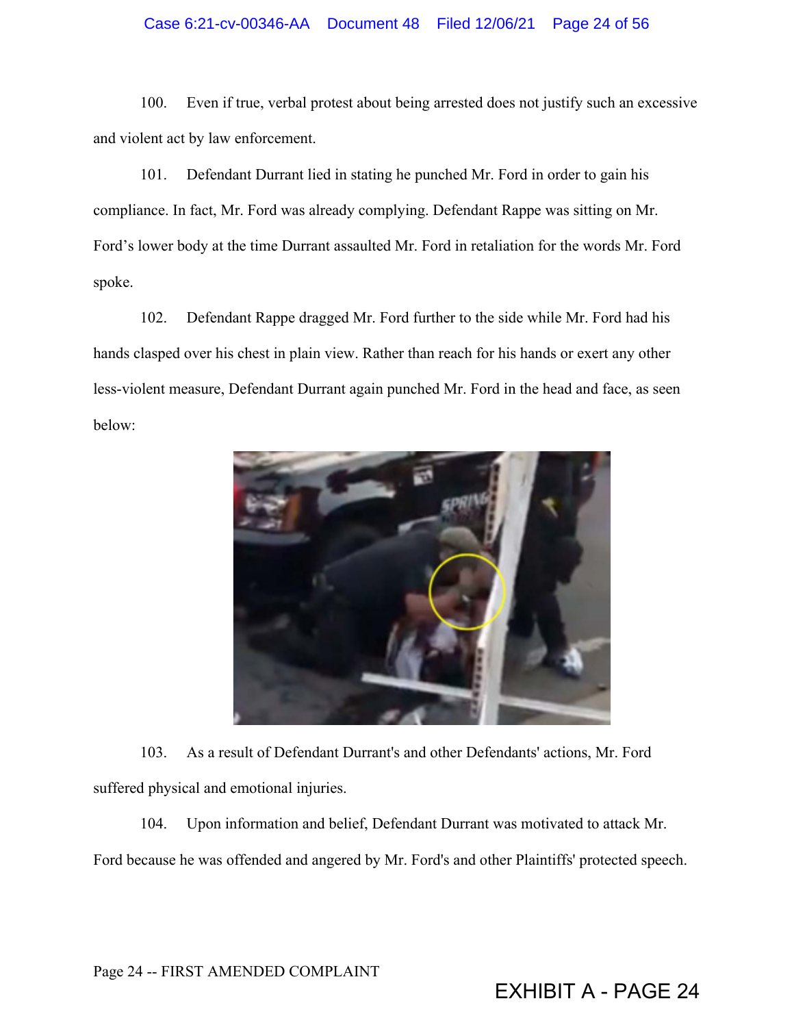### Case 6:21-cv-00346-AA Document 48 Filed 12/06/21 Page 24 of 56

100. Even if true, verbal protest about being arrested does not justify such an excessive and violent act by law enforcement.

101. Defendant Durrant lied in stating he punched Mr. Ford in order to gain his compliance. In fact, Mr. Ford was already complying. Defendant Rappe was sitting on Mr. Ford's lower body at the time Durrant assaulted Mr. Ford in retaliation for the words Mr. Ford spoke.

102. Defendant Rappe dragged Mr. Ford further to the side while Mr. Ford had his hands clasped over his chest in plain view. Rather than reach for his hands or exert any other less-violent measure, Defendant Durrant again punched Mr. Ford in the head and face, as seen below:



103. As a result of Defendant Durrant's and other Defendants' actions, Mr. Ford suffered physical and emotional injuries.

104. Upon information and belief, Defendant Durrant was motivated to attack Mr. Ford because he was offended and angered by Mr. Ford's and other Plaintiffs' protected speech.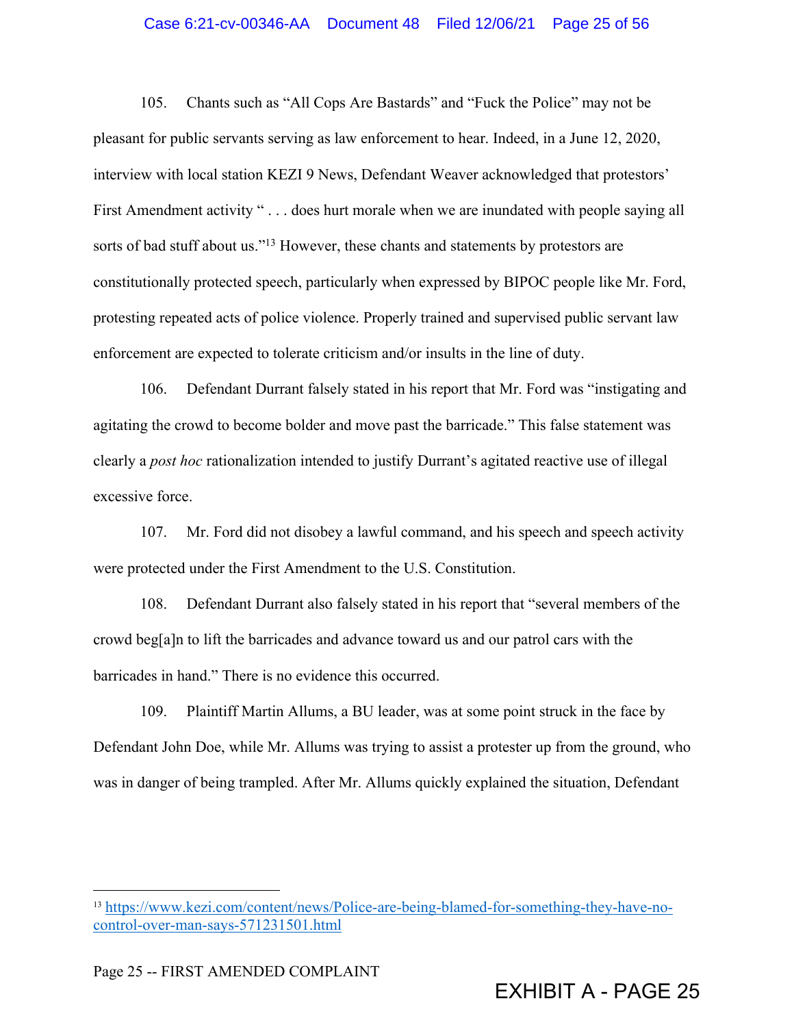### Case 6:21-cv-00346-AA Document 48 Filed 12/06/21 Page 25 of 56

105. Chants such as "All Cops Are Bastards" and "Fuck the Police" may not be pleasant for public servants serving as law enforcement to hear. Indeed, in a June 12, 2020, interview with local station KEZI 9 News, Defendant Weaver acknowledged that protestors' First Amendment activity "... does hurt morale when we are inundated with people saying all sorts of bad stuff about us."<sup>13</sup> However, these chants and statements by protestors are constitutionally protected speech, particularly when expressed by BIPOC people like Mr. Ford, protesting repeated acts of police violence. Properly trained and supervised public servant law enforcement are expected to tolerate criticism and/or insults in the line of duty.

106. Defendant Durrant falsely stated in his report that Mr. Ford was "instigating and agitating the crowd to become bolder and move past the barricade." This false statement was clearly a *post hoc* rationalization intended to justify Durrant's agitated reactive use of illegal excessive force.

107. Mr. Ford did not disobey a lawful command, and his speech and speech activity were protected under the First Amendment to the U.S. Constitution.

108. Defendant Durrant also falsely stated in his report that "several members of the crowd beg[a]n to lift the barricades and advance toward us and our patrol cars with the barricades in hand." There is no evidence this occurred.

109. Plaintiff Martin Allums, a BU leader, was at some point struck in the face by Defendant John Doe, while Mr. Allums was trying to assist a protester up from the ground, who was in danger of being trampled. After Mr. Allums quickly explained the situation, Defendant

<sup>13</sup> https://www.kezi.com/content/news/Police-are-being-blamed-for-something-they-have-nocontrol-over-man-says-571231501.html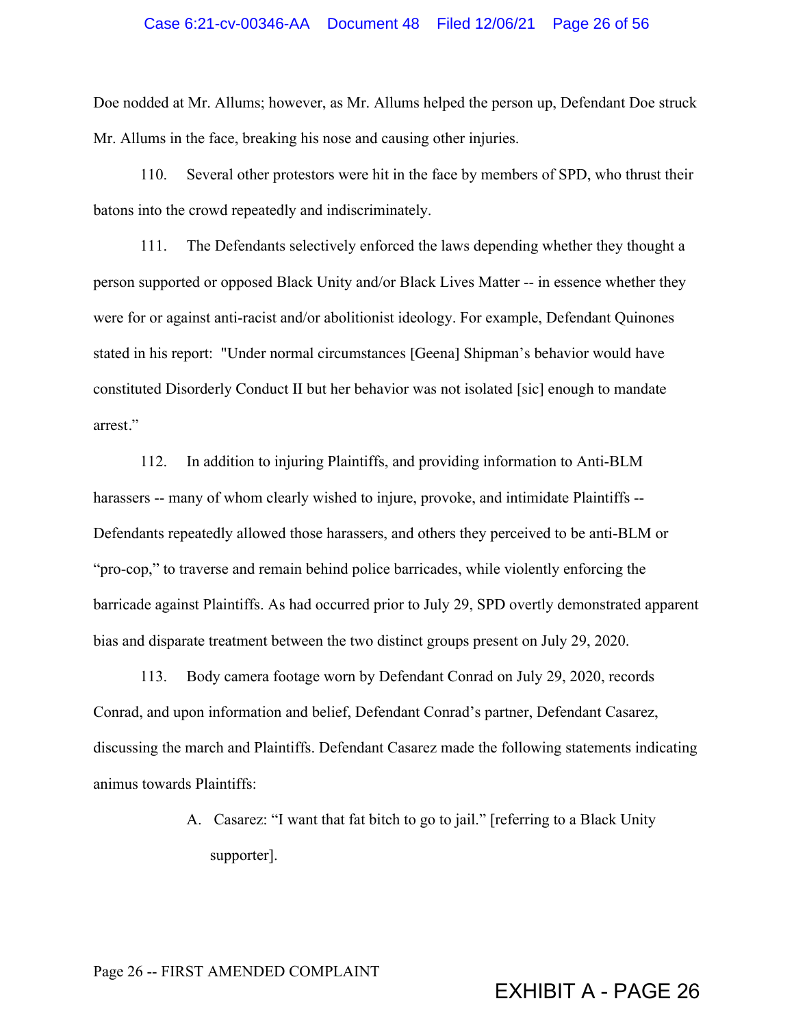#### Case 6:21-cv-00346-AA Document 48 Filed 12/06/21 Page 26 of 56

Doe nodded at Mr. Allums; however, as Mr. Allums helped the person up, Defendant Doe struck Mr. Allums in the face, breaking his nose and causing other injuries.

110. Several other protestors were hit in the face by members of SPD, who thrust their batons into the crowd repeatedly and indiscriminately.

111. The Defendants selectively enforced the laws depending whether they thought a person supported or opposed Black Unity and/or Black Lives Matter -- in essence whether they were for or against anti-racist and/or abolitionist ideology. For example, Defendant Quinones stated in his report: "Under normal circumstances [Geena] Shipman's behavior would have constituted Disorderly Conduct II but her behavior was not isolated [sic] enough to mandate arrest."

112. In addition to injuring Plaintiffs, and providing information to Anti-BLM harassers -- many of whom clearly wished to injure, provoke, and intimidate Plaintiffs --Defendants repeatedly allowed those harassers, and others they perceived to be anti-BLM or "pro-cop," to traverse and remain behind police barricades, while violently enforcing the barricade against Plaintiffs. As had occurred prior to July 29, SPD overtly demonstrated apparent bias and disparate treatment between the two distinct groups present on July 29, 2020.

113. Body camera footage worn by Defendant Conrad on July 29, 2020, records Conrad, and upon information and belief, Defendant Conrad's partner, Defendant Casarez, discussing the march and Plaintiffs. Defendant Casarez made the following statements indicating animus towards Plaintiffs:

> A. Casarez: "I want that fat bitch to go to jail." [referring to a Black Unity supporter].

Page 26 -- FIRST AMENDED COMPLAINT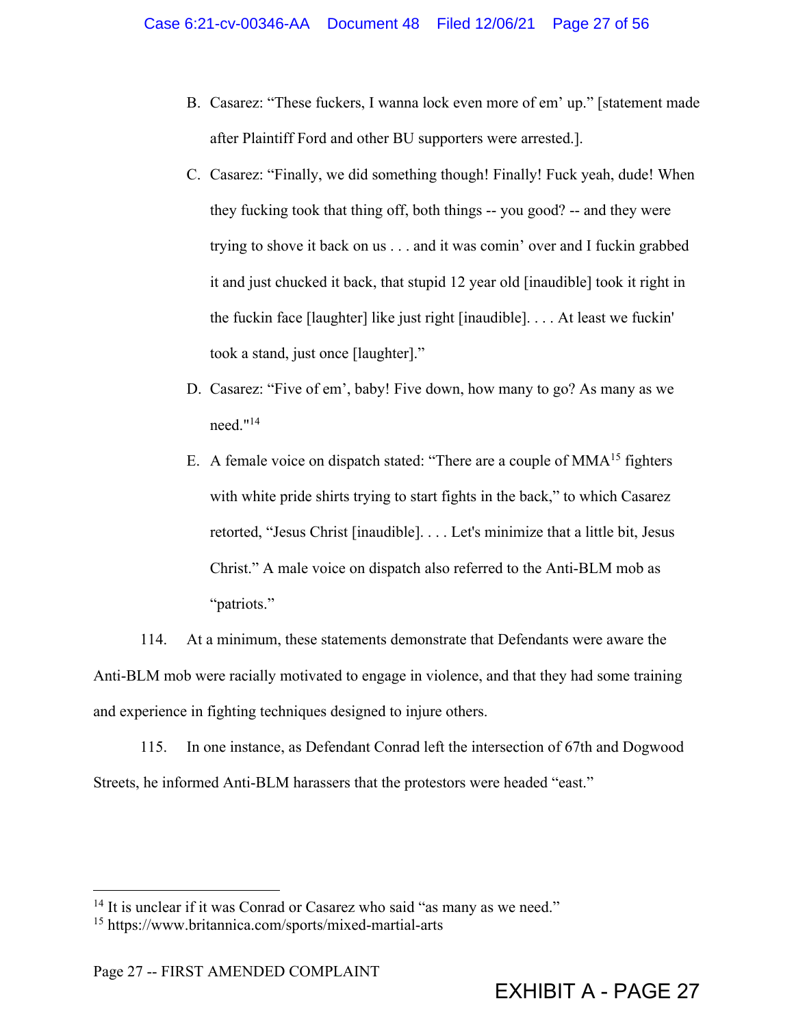- B. Casarez: "These fuckers, I wanna lock even more of em' up." [statement made after Plaintiff Ford and other BU supporters were arrested.].
- C. Casarez: "Finally, we did something though! Finally! Fuck yeah, dude! When they fucking took that thing off, both things -- you good? -- and they were trying to shove it back on us . . . and it was comin' over and I fuckin grabbed it and just chucked it back, that stupid 12 year old [inaudible] took it right in the fuckin face [laughter] like just right [inaudible]. . . . At least we fuckin' took a stand, just once [laughter]."
- D. Casarez: "Five of em', baby! Five down, how many to go? As many as we need."<sup>14</sup>
- E. A female voice on dispatch stated: "There are a couple of MMA<sup>15</sup> fighters with white pride shirts trying to start fights in the back," to which Casarez retorted, "Jesus Christ [inaudible]. . . . Let's minimize that a little bit, Jesus Christ." A male voice on dispatch also referred to the Anti-BLM mob as "patriots."

114. At a minimum, these statements demonstrate that Defendants were aware the Anti-BLM mob were racially motivated to engage in violence, and that they had some training and experience in fighting techniques designed to injure others.

115. In one instance, as Defendant Conrad left the intersection of 67th and Dogwood Streets, he informed Anti-BLM harassers that the protestors were headed "east."

<sup>&</sup>lt;sup>14</sup> It is unclear if it was Conrad or Casarez who said "as many as we need."

<sup>15</sup> https://www.britannica.com/sports/mixed-martial-arts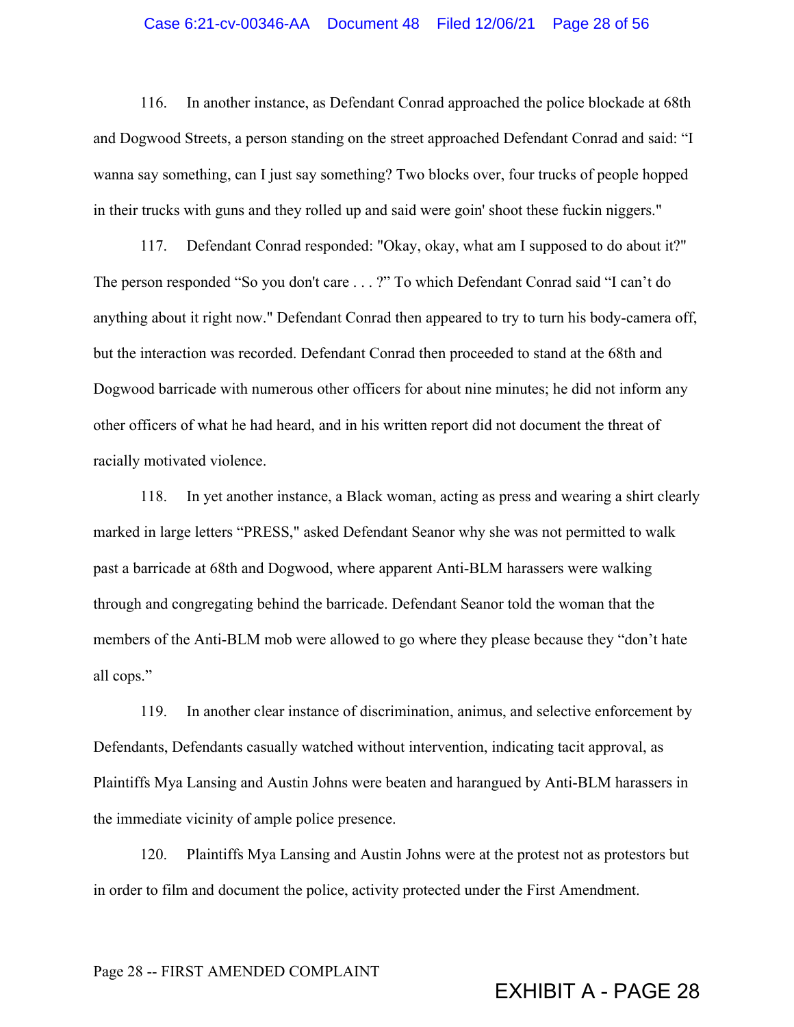#### Case 6:21-cv-00346-AA Document 48 Filed 12/06/21 Page 28 of 56

116. In another instance, as Defendant Conrad approached the police blockade at 68th and Dogwood Streets, a person standing on the street approached Defendant Conrad and said: "I wanna say something, can I just say something? Two blocks over, four trucks of people hopped in their trucks with guns and they rolled up and said were goin' shoot these fuckin niggers."

117. Defendant Conrad responded: "Okay, okay, what am I supposed to do about it?" The person responded "So you don't care . . . ?" To which Defendant Conrad said "I can't do anything about it right now." Defendant Conrad then appeared to try to turn his body-camera off, but the interaction was recorded. Defendant Conrad then proceeded to stand at the 68th and Dogwood barricade with numerous other officers for about nine minutes; he did not inform any other officers of what he had heard, and in his written report did not document the threat of racially motivated violence.

118. In yet another instance, a Black woman, acting as press and wearing a shirt clearly marked in large letters "PRESS," asked Defendant Seanor why she was not permitted to walk past a barricade at 68th and Dogwood, where apparent Anti-BLM harassers were walking through and congregating behind the barricade. Defendant Seanor told the woman that the members of the Anti-BLM mob were allowed to go where they please because they "don't hate all cops."

119. In another clear instance of discrimination, animus, and selective enforcement by Defendants, Defendants casually watched without intervention, indicating tacit approval, as Plaintiffs Mya Lansing and Austin Johns were beaten and harangued by Anti-BLM harassers in the immediate vicinity of ample police presence.

120. Plaintiffs Mya Lansing and Austin Johns were at the protest not as protestors but in order to film and document the police, activity protected under the First Amendment.

### Page 28 -- FIRST AMENDED COMPLAINT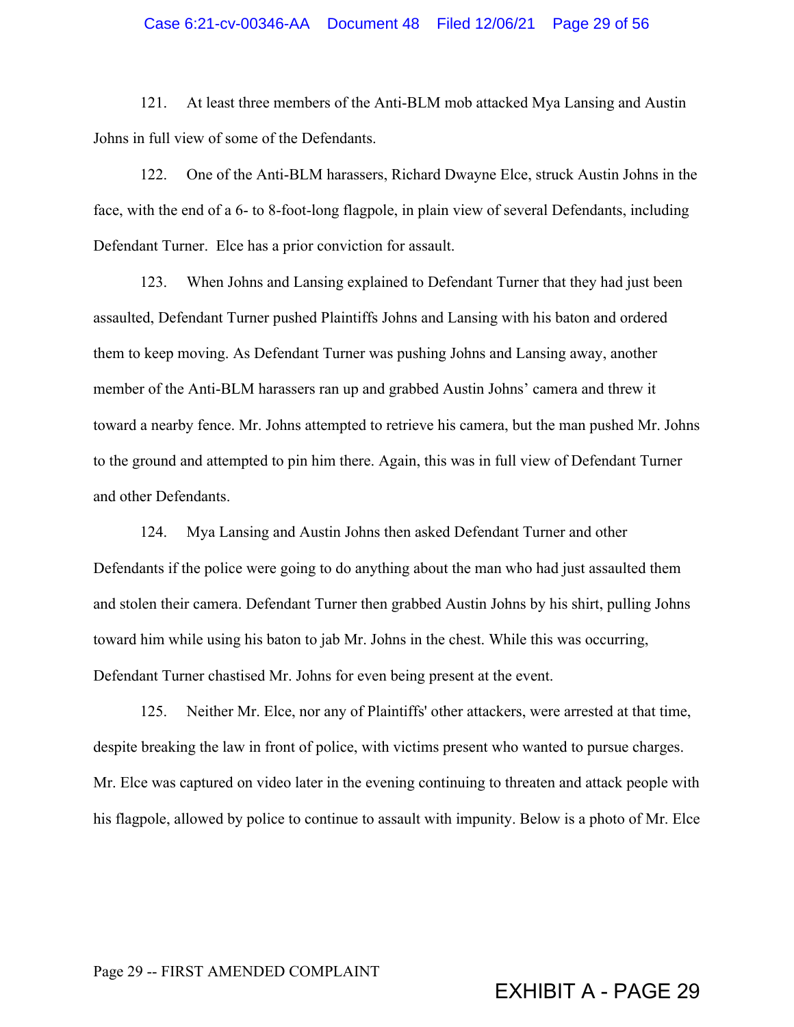### Case 6:21-cv-00346-AA Document 48 Filed 12/06/21 Page 29 of 56

121. At least three members of the Anti-BLM mob attacked Mya Lansing and Austin Johns in full view of some of the Defendants.

122. One of the Anti-BLM harassers, Richard Dwayne Elce, struck Austin Johns in the face, with the end of a 6- to 8-foot-long flagpole, in plain view of several Defendants, including Defendant Turner. Elce has a prior conviction for assault.

123. When Johns and Lansing explained to Defendant Turner that they had just been assaulted, Defendant Turner pushed Plaintiffs Johns and Lansing with his baton and ordered them to keep moving. As Defendant Turner was pushing Johns and Lansing away, another member of the Anti-BLM harassers ran up and grabbed Austin Johns' camera and threw it toward a nearby fence. Mr. Johns attempted to retrieve his camera, but the man pushed Mr. Johns to the ground and attempted to pin him there. Again, this was in full view of Defendant Turner and other Defendants.

124. Mya Lansing and Austin Johns then asked Defendant Turner and other Defendants if the police were going to do anything about the man who had just assaulted them and stolen their camera. Defendant Turner then grabbed Austin Johns by his shirt, pulling Johns toward him while using his baton to jab Mr. Johns in the chest. While this was occurring, Defendant Turner chastised Mr. Johns for even being present at the event.

125. Neither Mr. Elce, nor any of Plaintiffs' other attackers, were arrested at that time, despite breaking the law in front of police, with victims present who wanted to pursue charges. Mr. Elce was captured on video later in the evening continuing to threaten and attack people with his flagpole, allowed by police to continue to assault with impunity. Below is a photo of Mr. Elce

#### Page 29 -- FIRST AMENDED COMPLAINT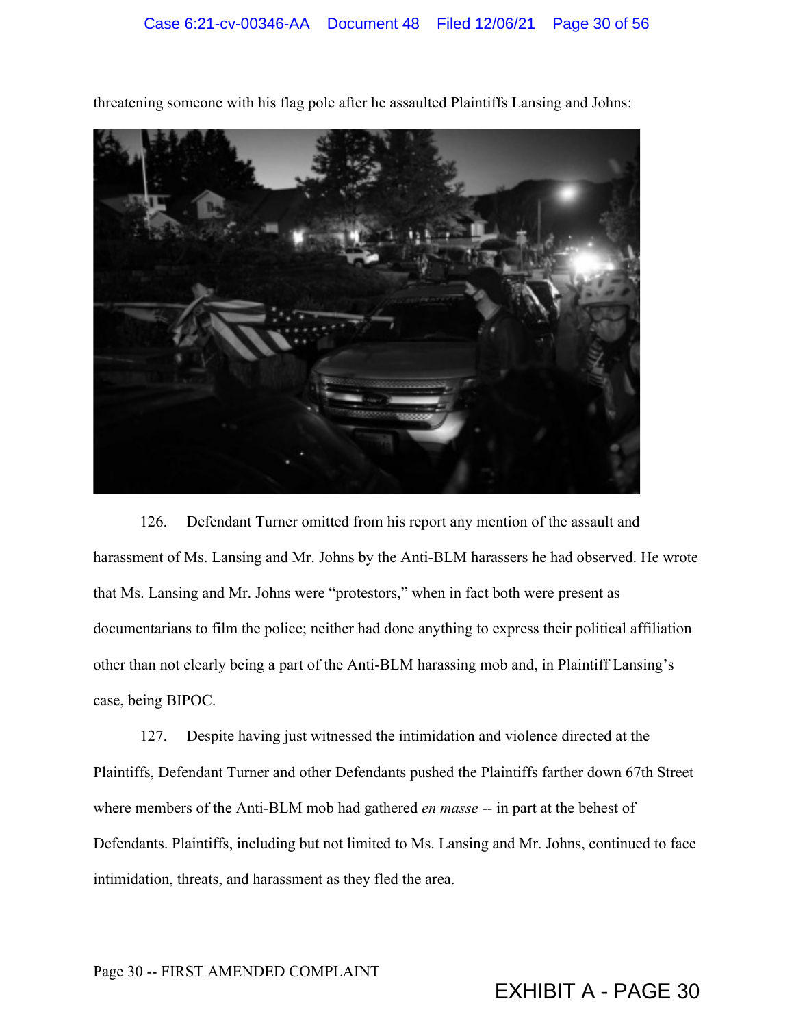

threatening someone with his flag pole after he assaulted Plaintiffs Lansing and Johns:

126. Defendant Turner omitted from his report any mention of the assault and harassment of Ms. Lansing and Mr. Johns by the Anti-BLM harassers he had observed. He wrote that Ms. Lansing and Mr. Johns were "protestors," when in fact both were present as documentarians to film the police; neither had done anything to express their political affiliation other than not clearly being a part of the Anti-BLM harassing mob and, in Plaintiff Lansing's case, being BIPOC.

127. Despite having just witnessed the intimidation and violence directed at the Plaintiffs, Defendant Turner and other Defendants pushed the Plaintiffs farther down 67th Street where members of the Anti-BLM mob had gathered *en masse* -- in part at the behest of Defendants. Plaintiffs, including but not limited to Ms. Lansing and Mr. Johns, continued to face intimidation, threats, and harassment as they fled the area.

### Page 30 -- FIRST AMENDED COMPLAINT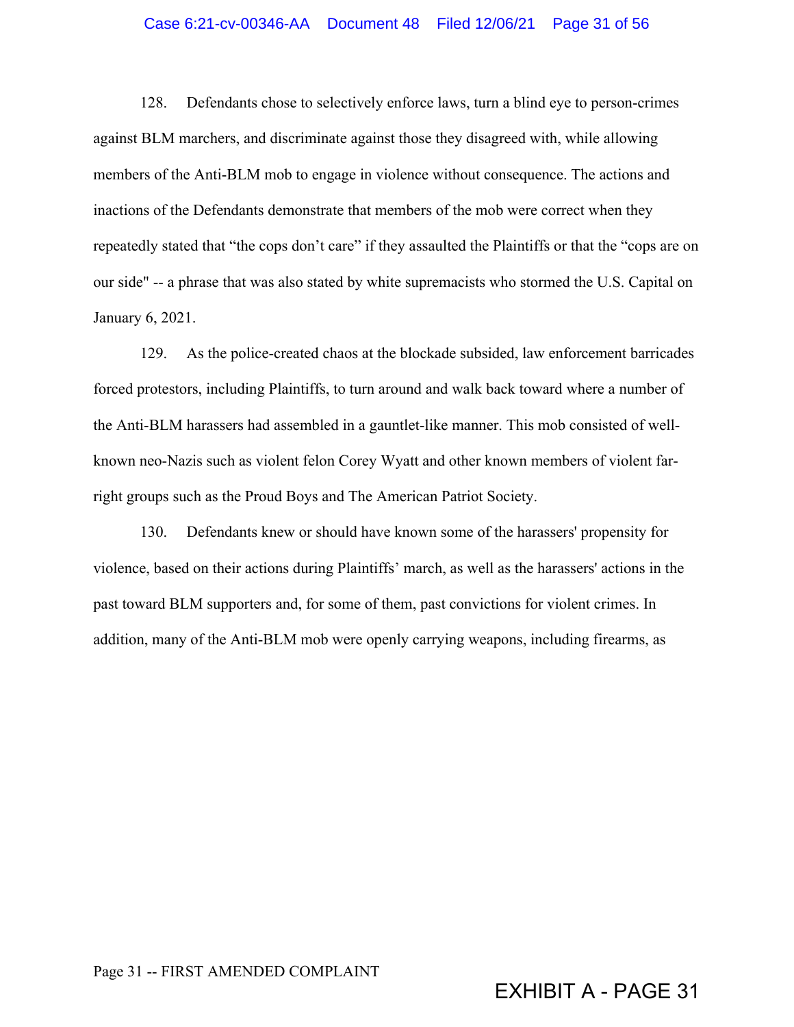### Case 6:21-cv-00346-AA Document 48 Filed 12/06/21 Page 31 of 56

128. Defendants chose to selectively enforce laws, turn a blind eye to person-crimes against BLM marchers, and discriminate against those they disagreed with, while allowing members of the Anti-BLM mob to engage in violence without consequence. The actions and inactions of the Defendants demonstrate that members of the mob were correct when they repeatedly stated that "the cops don't care" if they assaulted the Plaintiffs or that the "cops are on our side" -- a phrase that was also stated by white supremacists who stormed the U.S. Capital on January 6, 2021.

129. As the police-created chaos at the blockade subsided, law enforcement barricades forced protestors, including Plaintiffs, to turn around and walk back toward where a number of the Anti-BLM harassers had assembled in a gauntlet-like manner. This mob consisted of wellknown neo-Nazis such as violent felon Corey Wyatt and other known members of violent farright groups such as the Proud Boys and The American Patriot Society.

130. Defendants knew or should have known some of the harassers' propensity for violence, based on their actions during Plaintiffs' march, as well as the harassers' actions in the past toward BLM supporters and, for some of them, past convictions for violent crimes. In addition, many of the Anti-BLM mob were openly carrying weapons, including firearms, as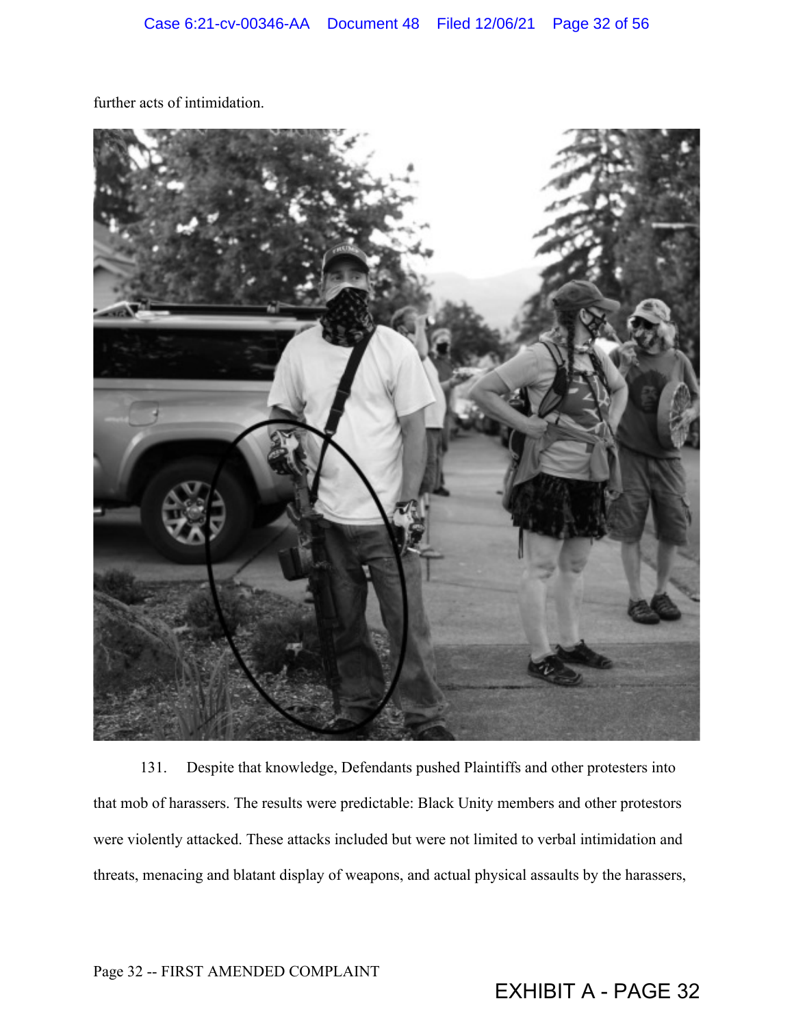

further acts of intimidation.

131. Despite that knowledge, Defendants pushed Plaintiffs and other protesters into that mob of harassers. The results were predictable: Black Unity members and other protestors were violently attacked. These attacks included but were not limited to verbal intimidation and threats, menacing and blatant display of weapons, and actual physical assaults by the harassers,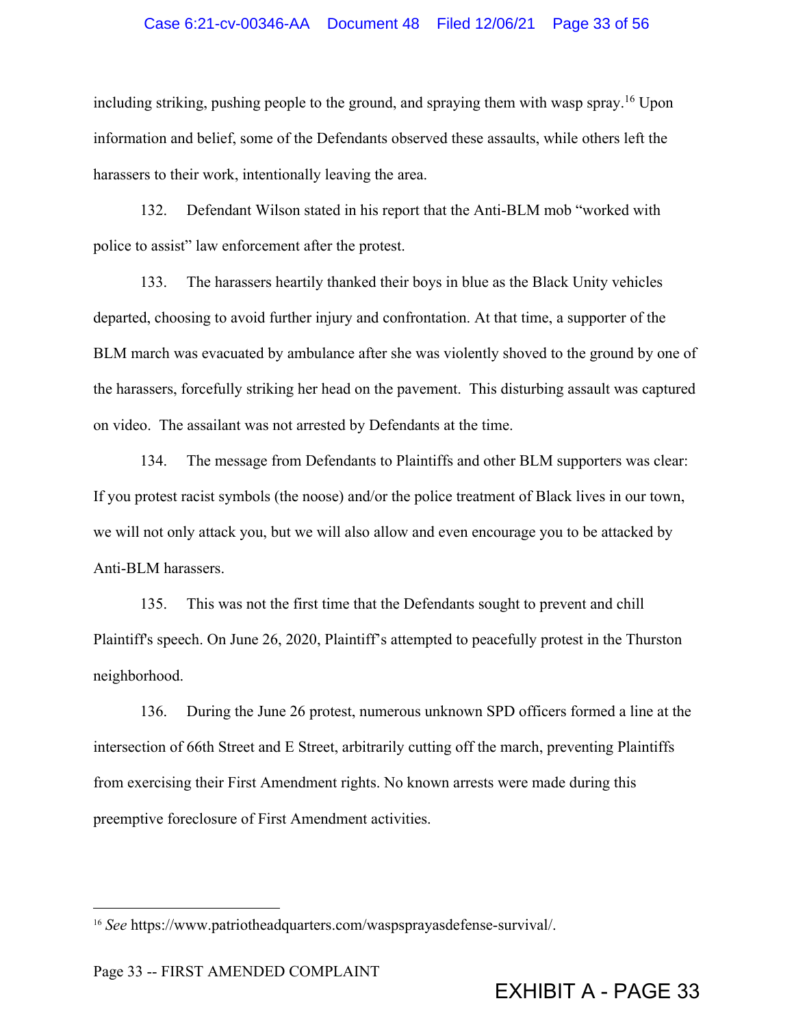### Case 6:21-cv-00346-AA Document 48 Filed 12/06/21 Page 33 of 56

including striking, pushing people to the ground, and spraying them with wasp spray.<sup>16</sup> Upon information and belief, some of the Defendants observed these assaults, while others left the harassers to their work, intentionally leaving the area.

132. Defendant Wilson stated in his report that the Anti-BLM mob "worked with police to assist" law enforcement after the protest.

133. The harassers heartily thanked their boys in blue as the Black Unity vehicles departed, choosing to avoid further injury and confrontation. At that time, a supporter of the BLM march was evacuated by ambulance after she was violently shoved to the ground by one of the harassers, forcefully striking her head on the pavement. This disturbing assault was captured on video. The assailant was not arrested by Defendants at the time.

134. The message from Defendants to Plaintiffs and other BLM supporters was clear: If you protest racist symbols (the noose) and/or the police treatment of Black lives in our town, we will not only attack you, but we will also allow and even encourage you to be attacked by Anti-BLM harassers.

135. This was not the first time that the Defendants sought to prevent and chill Plaintiff's speech. On June 26, 2020, Plaintiff's attempted to peacefully protest in the Thurston neighborhood.

136. During the June 26 protest, numerous unknown SPD officers formed a line at the intersection of 66th Street and E Street, arbitrarily cutting off the march, preventing Plaintiffs from exercising their First Amendment rights. No known arrests were made during this preemptive foreclosure of First Amendment activities.

<sup>16</sup> *See* https://www.patriotheadquarters.com/waspsprayasdefense-survival/.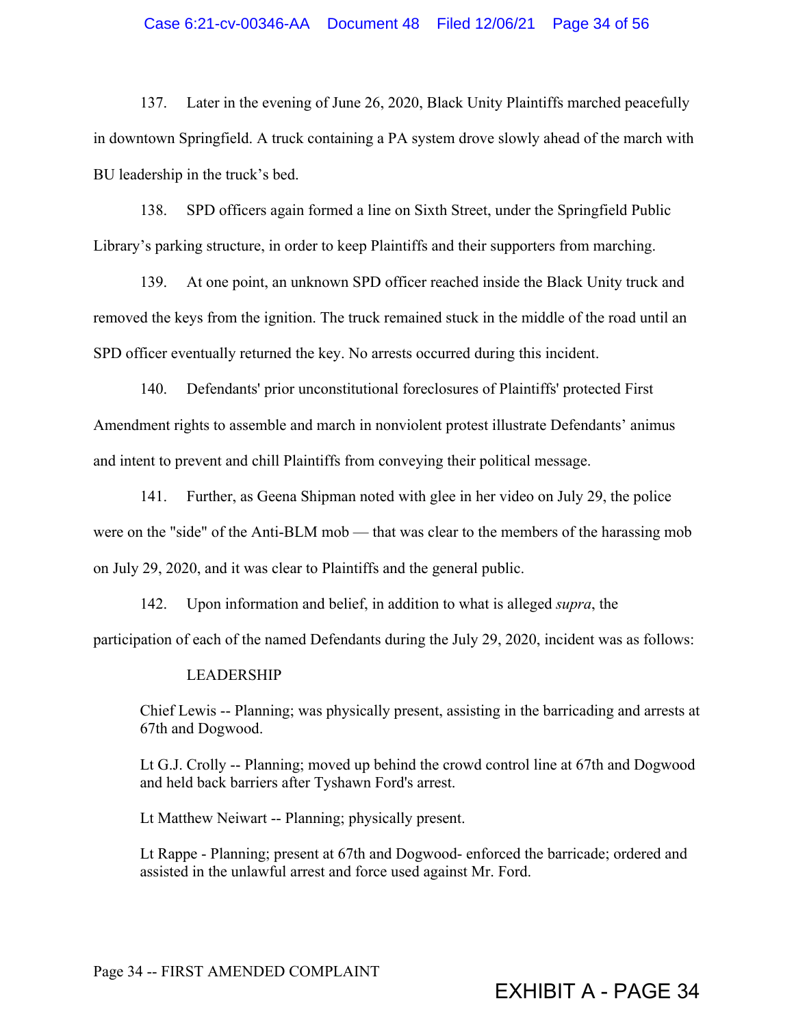### Case 6:21-cv-00346-AA Document 48 Filed 12/06/21 Page 34 of 56

137. Later in the evening of June 26, 2020, Black Unity Plaintiffs marched peacefully in downtown Springfield. A truck containing a PA system drove slowly ahead of the march with BU leadership in the truck's bed.

138. SPD officers again formed a line on Sixth Street, under the Springfield Public Library's parking structure, in order to keep Plaintiffs and their supporters from marching.

139. At one point, an unknown SPD officer reached inside the Black Unity truck and removed the keys from the ignition. The truck remained stuck in the middle of the road until an SPD officer eventually returned the key. No arrests occurred during this incident.

140. Defendants' prior unconstitutional foreclosures of Plaintiffs' protected First Amendment rights to assemble and march in nonviolent protest illustrate Defendants' animus and intent to prevent and chill Plaintiffs from conveying their political message.

141. Further, as Geena Shipman noted with glee in her video on July 29, the police were on the "side" of the Anti-BLM mob — that was clear to the members of the harassing mob on July 29, 2020, and it was clear to Plaintiffs and the general public.

142. Upon information and belief, in addition to what is alleged *supra*, the participation of each of the named Defendants during the July 29, 2020, incident was as follows:

#### LEADERSHIP

Chief Lewis -- Planning; was physically present, assisting in the barricading and arrests at 67th and Dogwood.

Lt G.J. Crolly -- Planning; moved up behind the crowd control line at 67th and Dogwood and held back barriers after Tyshawn Ford's arrest.

Lt Matthew Neiwart -- Planning; physically present.

Lt Rappe - Planning; present at 67th and Dogwood- enforced the barricade; ordered and assisted in the unlawful arrest and force used against Mr. Ford.

Page 34 -- FIRST AMENDED COMPLAINT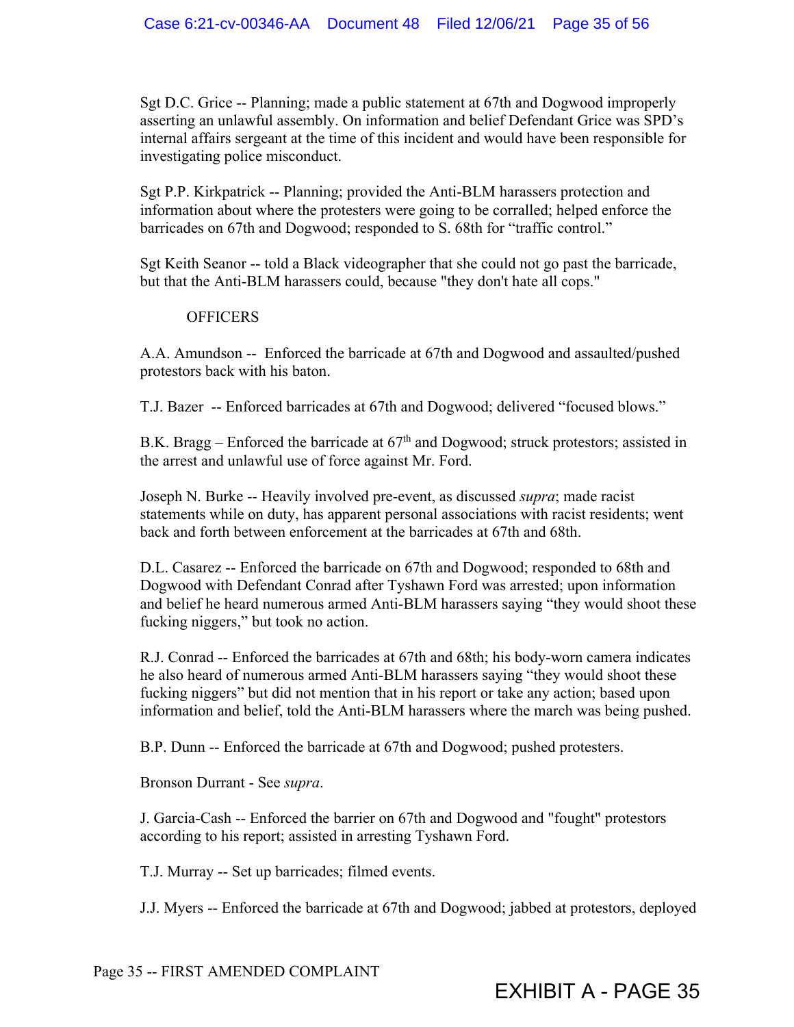Sgt D.C. Grice -- Planning; made a public statement at 67th and Dogwood improperly asserting an unlawful assembly. On information and belief Defendant Grice was SPD's internal affairs sergeant at the time of this incident and would have been responsible for investigating police misconduct.

Sgt P.P. Kirkpatrick -- Planning; provided the Anti-BLM harassers protection and information about where the protesters were going to be corralled; helped enforce the barricades on 67th and Dogwood; responded to S. 68th for "traffic control."

Sgt Keith Seanor -- told a Black videographer that she could not go past the barricade, but that the Anti-BLM harassers could, because "they don't hate all cops."

### **OFFICERS**

A.A. Amundson -- Enforced the barricade at 67th and Dogwood and assaulted/pushed protestors back with his baton.

T.J. Bazer -- Enforced barricades at 67th and Dogwood; delivered "focused blows."

B.K. Bragg – Enforced the barricade at  $67<sup>th</sup>$  and Dogwood; struck protestors; assisted in the arrest and unlawful use of force against Mr. Ford.

Joseph N. Burke -- Heavily involved pre-event, as discussed *supra*; made racist statements while on duty, has apparent personal associations with racist residents; went back and forth between enforcement at the barricades at 67th and 68th.

D.L. Casarez -- Enforced the barricade on 67th and Dogwood; responded to 68th and Dogwood with Defendant Conrad after Tyshawn Ford was arrested; upon information and belief he heard numerous armed Anti-BLM harassers saying "they would shoot these fucking niggers," but took no action.

R.J. Conrad -- Enforced the barricades at 67th and 68th; his body-worn camera indicates he also heard of numerous armed Anti-BLM harassers saying "they would shoot these fucking niggers" but did not mention that in his report or take any action; based upon information and belief, told the Anti-BLM harassers where the march was being pushed.

B.P. Dunn -- Enforced the barricade at 67th and Dogwood; pushed protesters.

Bronson Durrant - See *supra*.

J. Garcia-Cash -- Enforced the barrier on 67th and Dogwood and "fought" protestors according to his report; assisted in arresting Tyshawn Ford.

T.J. Murray -- Set up barricades; filmed events.

J.J. Myers -- Enforced the barricade at 67th and Dogwood; jabbed at protestors, deployed

Page 35 -- FIRST AMENDED COMPLAINT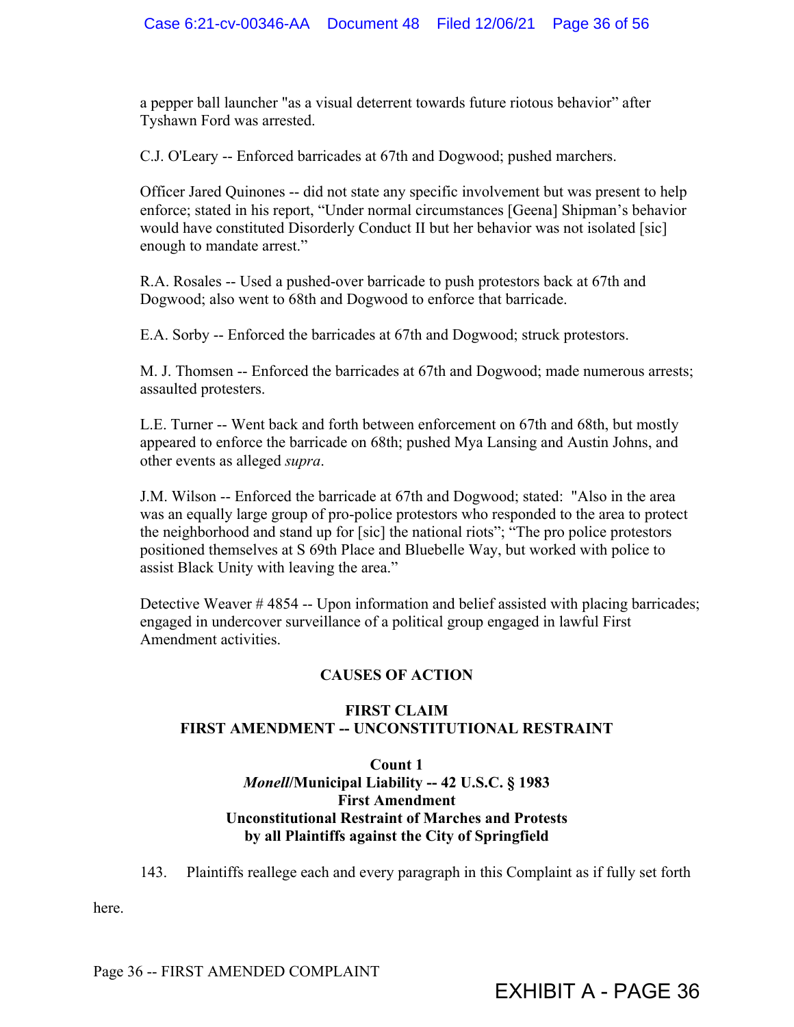a pepper ball launcher "as a visual deterrent towards future riotous behavior" after Tyshawn Ford was arrested.

C.J. O'Leary -- Enforced barricades at 67th and Dogwood; pushed marchers.

Officer Jared Quinones -- did not state any specific involvement but was present to help enforce; stated in his report, "Under normal circumstances [Geena] Shipman's behavior would have constituted Disorderly Conduct II but her behavior was not isolated [sic] enough to mandate arrest."

R.A. Rosales -- Used a pushed-over barricade to push protestors back at 67th and Dogwood; also went to 68th and Dogwood to enforce that barricade.

E.A. Sorby -- Enforced the barricades at 67th and Dogwood; struck protestors.

M. J. Thomsen -- Enforced the barricades at 67th and Dogwood; made numerous arrests; assaulted protesters.

L.E. Turner -- Went back and forth between enforcement on 67th and 68th, but mostly appeared to enforce the barricade on 68th; pushed Mya Lansing and Austin Johns, and other events as alleged *supra*.

J.M. Wilson -- Enforced the barricade at 67th and Dogwood; stated: "Also in the area was an equally large group of pro-police protestors who responded to the area to protect the neighborhood and stand up for [sic] the national riots"; "The pro police protestors positioned themselves at S 69th Place and Bluebelle Way, but worked with police to assist Black Unity with leaving the area."

Detective Weaver #4854 -- Upon information and belief assisted with placing barricades; engaged in undercover surveillance of a political group engaged in lawful First Amendment activities.

# **CAUSES OF ACTION**

# **FIRST CLAIM FIRST AMENDMENT -- UNCONSTITUTIONAL RESTRAINT**

# **Count 1**  *Monell***/Municipal Liability -- 42 U.S.C. § 1983 First Amendment Unconstitutional Restraint of Marches and Protests by all Plaintiffs against the City of Springfield**

143. Plaintiffs reallege each and every paragraph in this Complaint as if fully set forth

here.

Page 36 -- FIRST AMENDED COMPLAINT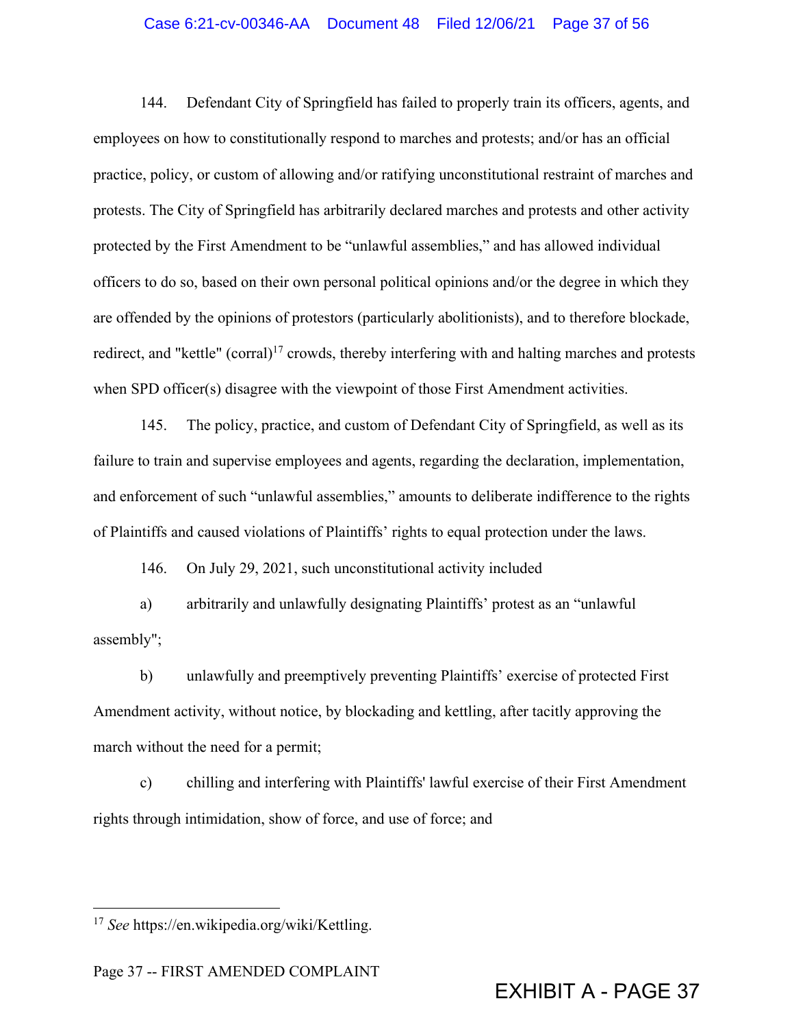### Case 6:21-cv-00346-AA Document 48 Filed 12/06/21 Page 37 of 56

144. Defendant City of Springfield has failed to properly train its officers, agents, and employees on how to constitutionally respond to marches and protests; and/or has an official practice, policy, or custom of allowing and/or ratifying unconstitutional restraint of marches and protests. The City of Springfield has arbitrarily declared marches and protests and other activity protected by the First Amendment to be "unlawful assemblies," and has allowed individual officers to do so, based on their own personal political opinions and/or the degree in which they are offended by the opinions of protestors (particularly abolitionists), and to therefore blockade, redirect, and "kettle" (corral)<sup>17</sup> crowds, thereby interfering with and halting marches and protests when SPD officer(s) disagree with the viewpoint of those First Amendment activities.

145. The policy, practice, and custom of Defendant City of Springfield, as well as its failure to train and supervise employees and agents, regarding the declaration, implementation, and enforcement of such "unlawful assemblies," amounts to deliberate indifference to the rights of Plaintiffs and caused violations of Plaintiffs' rights to equal protection under the laws.

146. On July 29, 2021, such unconstitutional activity included

 a) arbitrarily and unlawfully designating Plaintiffs' protest as an "unlawful assembly";

 b) unlawfully and preemptively preventing Plaintiffs' exercise of protected First Amendment activity, without notice, by blockading and kettling, after tacitly approving the march without the need for a permit;

 c) chilling and interfering with Plaintiffs' lawful exercise of their First Amendment rights through intimidation, show of force, and use of force; and

<sup>17</sup> *See* https://en.wikipedia.org/wiki/Kettling.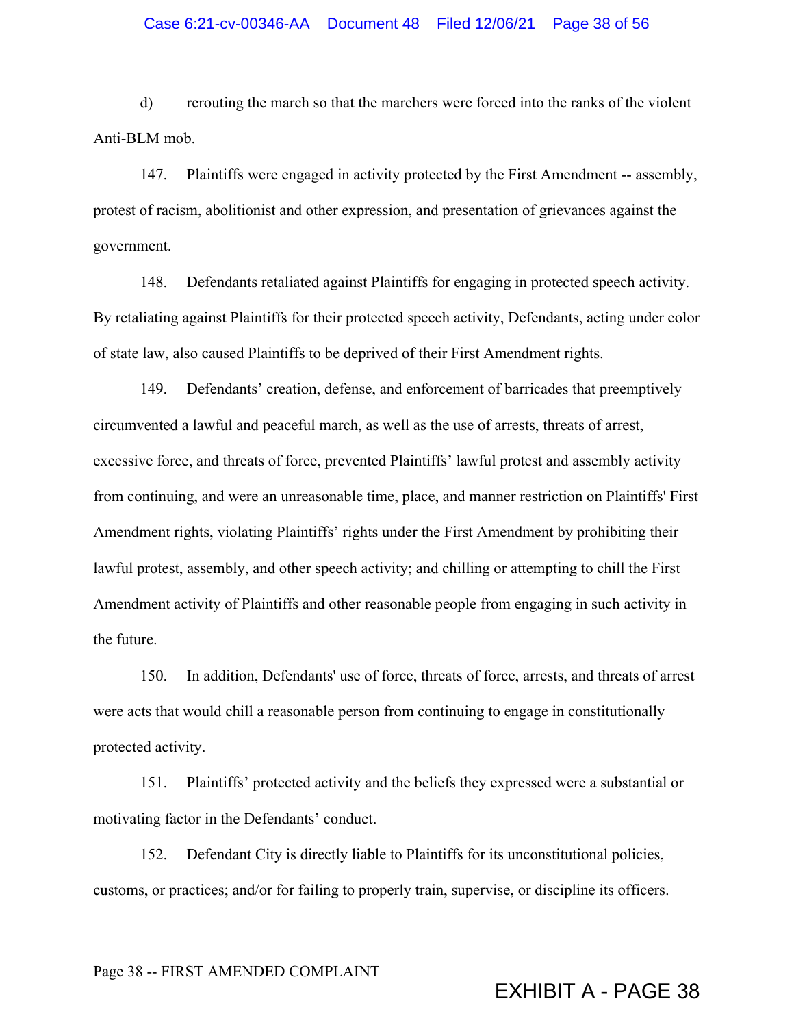### Case 6:21-cv-00346-AA Document 48 Filed 12/06/21 Page 38 of 56

 d) rerouting the march so that the marchers were forced into the ranks of the violent Anti-BLM mob.

147. Plaintiffs were engaged in activity protected by the First Amendment -- assembly, protest of racism, abolitionist and other expression, and presentation of grievances against the government.

148. Defendants retaliated against Plaintiffs for engaging in protected speech activity. By retaliating against Plaintiffs for their protected speech activity, Defendants, acting under color of state law, also caused Plaintiffs to be deprived of their First Amendment rights.

149. Defendants' creation, defense, and enforcement of barricades that preemptively circumvented a lawful and peaceful march, as well as the use of arrests, threats of arrest, excessive force, and threats of force, prevented Plaintiffs' lawful protest and assembly activity from continuing, and were an unreasonable time, place, and manner restriction on Plaintiffs' First Amendment rights, violating Plaintiffs' rights under the First Amendment by prohibiting their lawful protest, assembly, and other speech activity; and chilling or attempting to chill the First Amendment activity of Plaintiffs and other reasonable people from engaging in such activity in the future.

150. In addition, Defendants' use of force, threats of force, arrests, and threats of arrest were acts that would chill a reasonable person from continuing to engage in constitutionally protected activity.

151. Plaintiffs' protected activity and the beliefs they expressed were a substantial or motivating factor in the Defendants' conduct.

152. Defendant City is directly liable to Plaintiffs for its unconstitutional policies, customs, or practices; and/or for failing to properly train, supervise, or discipline its officers.

# Page 38 -- FIRST AMENDED COMPLAINT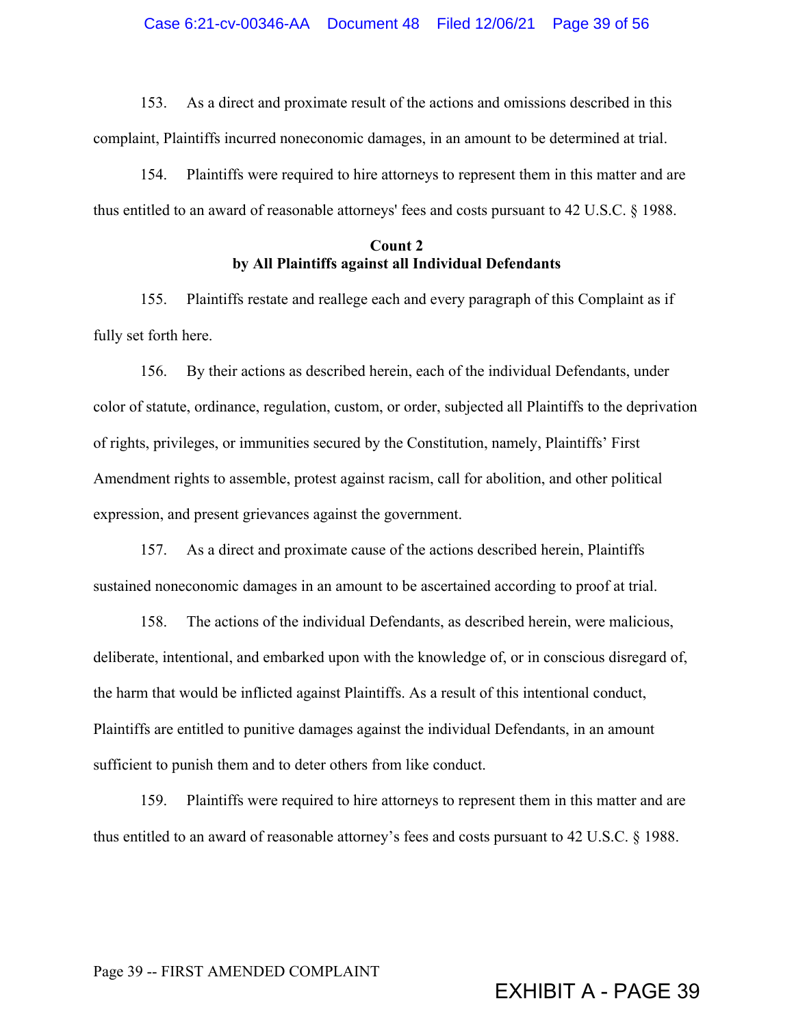153. As a direct and proximate result of the actions and omissions described in this complaint, Plaintiffs incurred noneconomic damages, in an amount to be determined at trial.

154. Plaintiffs were required to hire attorneys to represent them in this matter and are thus entitled to an award of reasonable attorneys' fees and costs pursuant to 42 U.S.C. § 1988.

# **Count 2 by All Plaintiffs against all Individual Defendants**

155. Plaintiffs restate and reallege each and every paragraph of this Complaint as if fully set forth here.

156. By their actions as described herein, each of the individual Defendants, under color of statute, ordinance, regulation, custom, or order, subjected all Plaintiffs to the deprivation of rights, privileges, or immunities secured by the Constitution, namely, Plaintiffs' First Amendment rights to assemble, protest against racism, call for abolition, and other political expression, and present grievances against the government.

157. As a direct and proximate cause of the actions described herein, Plaintiffs sustained noneconomic damages in an amount to be ascertained according to proof at trial.

158. The actions of the individual Defendants, as described herein, were malicious, deliberate, intentional, and embarked upon with the knowledge of, or in conscious disregard of, the harm that would be inflicted against Plaintiffs. As a result of this intentional conduct, Plaintiffs are entitled to punitive damages against the individual Defendants, in an amount sufficient to punish them and to deter others from like conduct.

159. Plaintiffs were required to hire attorneys to represent them in this matter and are thus entitled to an award of reasonable attorney's fees and costs pursuant to 42 U.S.C. § 1988.

#### Page 39 -- FIRST AMENDED COMPLAINT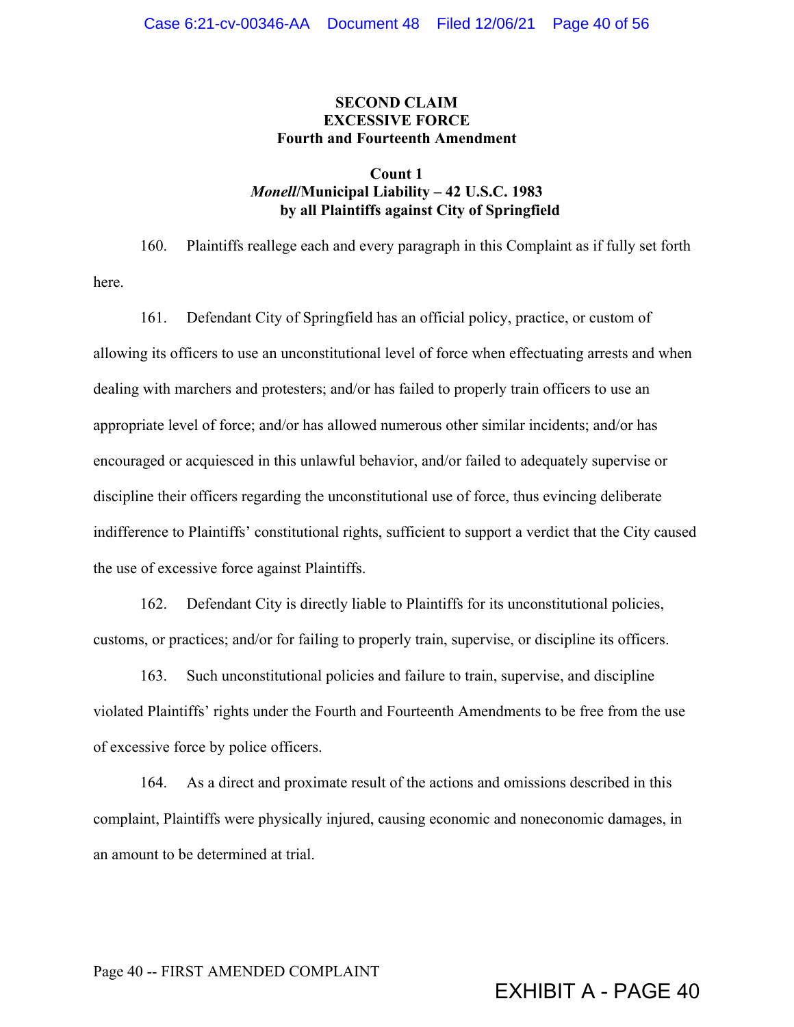### **SECOND CLAIM EXCESSIVE FORCE Fourth and Fourteenth Amendment**

# **Count 1**  *Monell***/Municipal Liability – 42 U.S.C. 1983 by all Plaintiffs against City of Springfield**

160. Plaintiffs reallege each and every paragraph in this Complaint as if fully set forth here.

161. Defendant City of Springfield has an official policy, practice, or custom of allowing its officers to use an unconstitutional level of force when effectuating arrests and when dealing with marchers and protesters; and/or has failed to properly train officers to use an appropriate level of force; and/or has allowed numerous other similar incidents; and/or has encouraged or acquiesced in this unlawful behavior, and/or failed to adequately supervise or discipline their officers regarding the unconstitutional use of force, thus evincing deliberate indifference to Plaintiffs' constitutional rights, sufficient to support a verdict that the City caused the use of excessive force against Plaintiffs.

162. Defendant City is directly liable to Plaintiffs for its unconstitutional policies, customs, or practices; and/or for failing to properly train, supervise, or discipline its officers.

163. Such unconstitutional policies and failure to train, supervise, and discipline violated Plaintiffs' rights under the Fourth and Fourteenth Amendments to be free from the use of excessive force by police officers.

164. As a direct and proximate result of the actions and omissions described in this complaint, Plaintiffs were physically injured, causing economic and noneconomic damages, in an amount to be determined at trial.

### Page 40 -- FIRST AMENDED COMPLAINT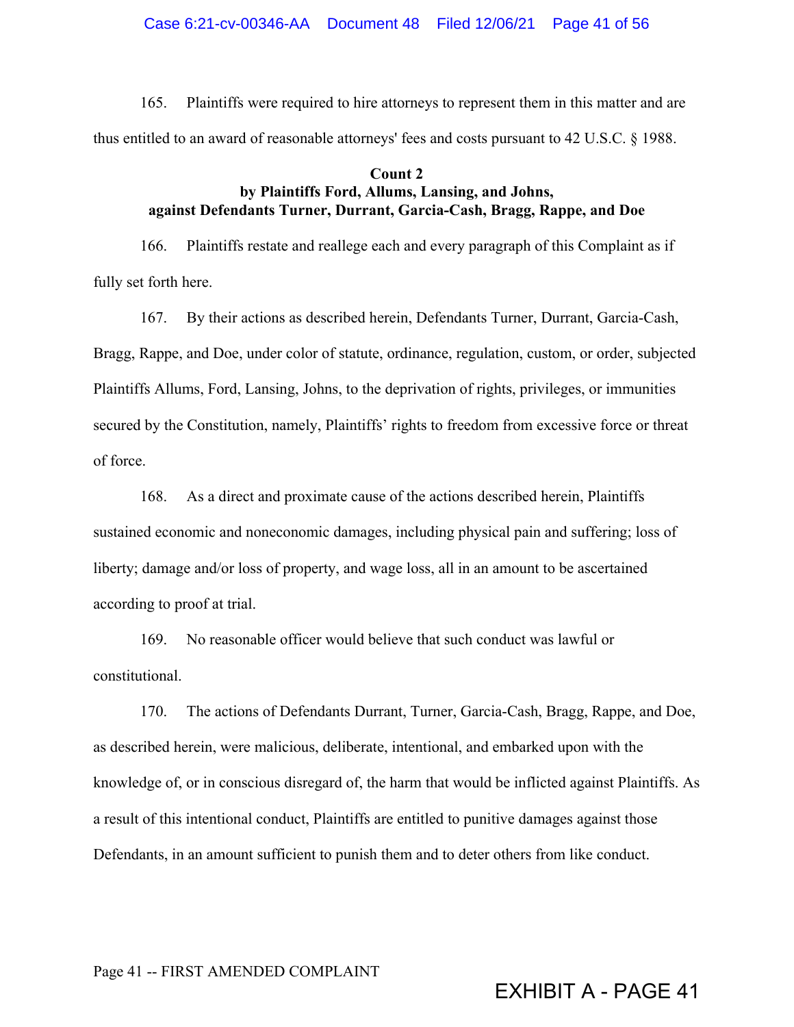165. Plaintiffs were required to hire attorneys to represent them in this matter and are thus entitled to an award of reasonable attorneys' fees and costs pursuant to 42 U.S.C. § 1988.

# **Count 2 by Plaintiffs Ford, Allums, Lansing, and Johns, against Defendants Turner, Durrant, Garcia-Cash, Bragg, Rappe, and Doe**

166. Plaintiffs restate and reallege each and every paragraph of this Complaint as if fully set forth here.

167. By their actions as described herein, Defendants Turner, Durrant, Garcia-Cash, Bragg, Rappe, and Doe, under color of statute, ordinance, regulation, custom, or order, subjected Plaintiffs Allums, Ford, Lansing, Johns, to the deprivation of rights, privileges, or immunities secured by the Constitution, namely, Plaintiffs' rights to freedom from excessive force or threat of force.

168. As a direct and proximate cause of the actions described herein, Plaintiffs sustained economic and noneconomic damages, including physical pain and suffering; loss of liberty; damage and/or loss of property, and wage loss, all in an amount to be ascertained according to proof at trial.

169. No reasonable officer would believe that such conduct was lawful or constitutional.

170. The actions of Defendants Durrant, Turner, Garcia-Cash, Bragg, Rappe, and Doe, as described herein, were malicious, deliberate, intentional, and embarked upon with the knowledge of, or in conscious disregard of, the harm that would be inflicted against Plaintiffs. As a result of this intentional conduct, Plaintiffs are entitled to punitive damages against those Defendants, in an amount sufficient to punish them and to deter others from like conduct.

### Page 41 -- FIRST AMENDED COMPLAINT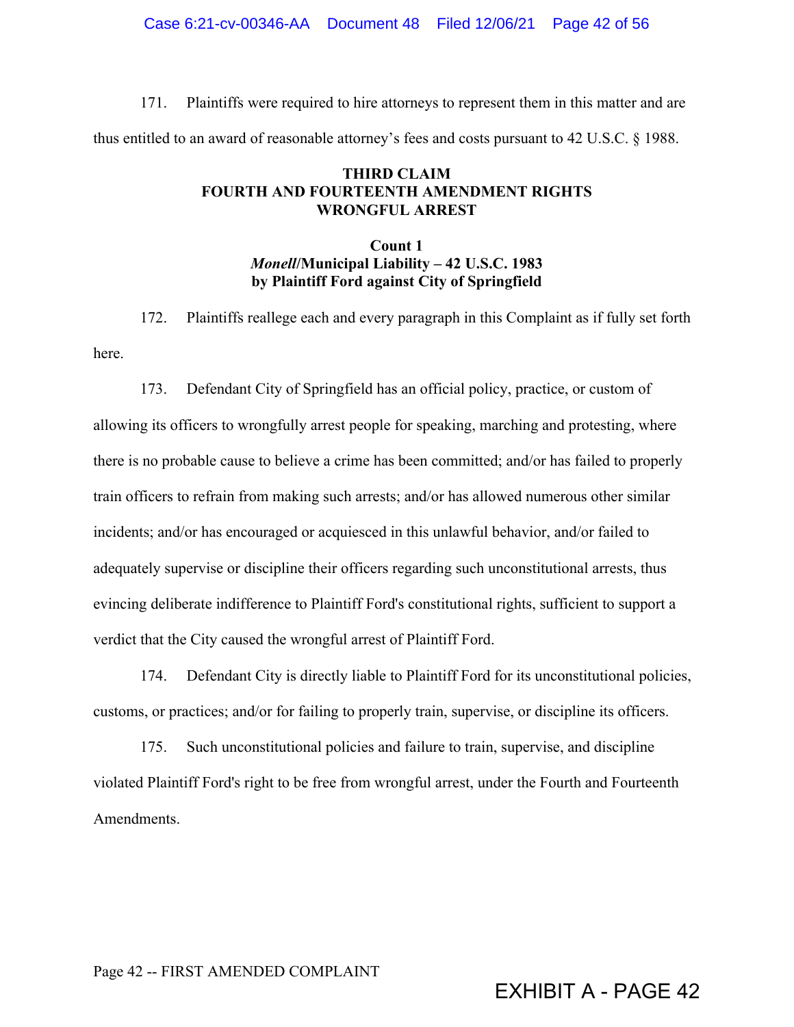Case 6:21-cv-00346-AA Document 48 Filed 12/06/21 Page 42 of 56

171. Plaintiffs were required to hire attorneys to represent them in this matter and are thus entitled to an award of reasonable attorney's fees and costs pursuant to 42 U.S.C. § 1988.

# **THIRD CLAIM FOURTH AND FOURTEENTH AMENDMENT RIGHTS WRONGFUL ARREST**

# **Count 1**  *Monell***/Municipal Liability – 42 U.S.C. 1983 by Plaintiff Ford against City of Springfield**

172. Plaintiffs reallege each and every paragraph in this Complaint as if fully set forth here.

173. Defendant City of Springfield has an official policy, practice, or custom of allowing its officers to wrongfully arrest people for speaking, marching and protesting, where there is no probable cause to believe a crime has been committed; and/or has failed to properly train officers to refrain from making such arrests; and/or has allowed numerous other similar incidents; and/or has encouraged or acquiesced in this unlawful behavior, and/or failed to adequately supervise or discipline their officers regarding such unconstitutional arrests, thus evincing deliberate indifference to Plaintiff Ford's constitutional rights, sufficient to support a verdict that the City caused the wrongful arrest of Plaintiff Ford.

174. Defendant City is directly liable to Plaintiff Ford for its unconstitutional policies, customs, or practices; and/or for failing to properly train, supervise, or discipline its officers.

175. Such unconstitutional policies and failure to train, supervise, and discipline violated Plaintiff Ford's right to be free from wrongful arrest, under the Fourth and Fourteenth Amendments.

### Page 42 -- FIRST AMENDED COMPLAINT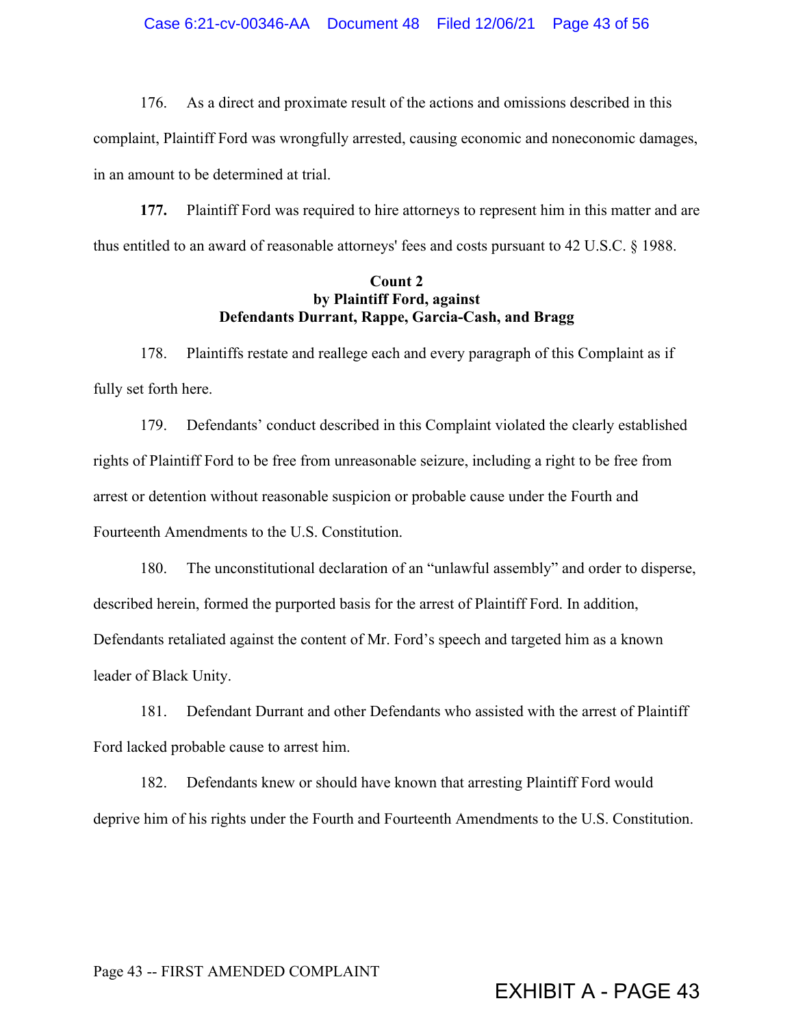176. As a direct and proximate result of the actions and omissions described in this complaint, Plaintiff Ford was wrongfully arrested, causing economic and noneconomic damages, in an amount to be determined at trial.

**177.** Plaintiff Ford was required to hire attorneys to represent him in this matter and are thus entitled to an award of reasonable attorneys' fees and costs pursuant to 42 U.S.C. § 1988.

# **Count 2 by Plaintiff Ford, against Defendants Durrant, Rappe, Garcia-Cash, and Bragg**

178. Plaintiffs restate and reallege each and every paragraph of this Complaint as if fully set forth here.

179. Defendants' conduct described in this Complaint violated the clearly established rights of Plaintiff Ford to be free from unreasonable seizure, including a right to be free from arrest or detention without reasonable suspicion or probable cause under the Fourth and Fourteenth Amendments to the U.S. Constitution.

180. The unconstitutional declaration of an "unlawful assembly" and order to disperse, described herein, formed the purported basis for the arrest of Plaintiff Ford. In addition, Defendants retaliated against the content of Mr. Ford's speech and targeted him as a known leader of Black Unity.

181. Defendant Durrant and other Defendants who assisted with the arrest of Plaintiff Ford lacked probable cause to arrest him.

182. Defendants knew or should have known that arresting Plaintiff Ford would deprive him of his rights under the Fourth and Fourteenth Amendments to the U.S. Constitution.

#### Page 43 -- FIRST AMENDED COMPLAINT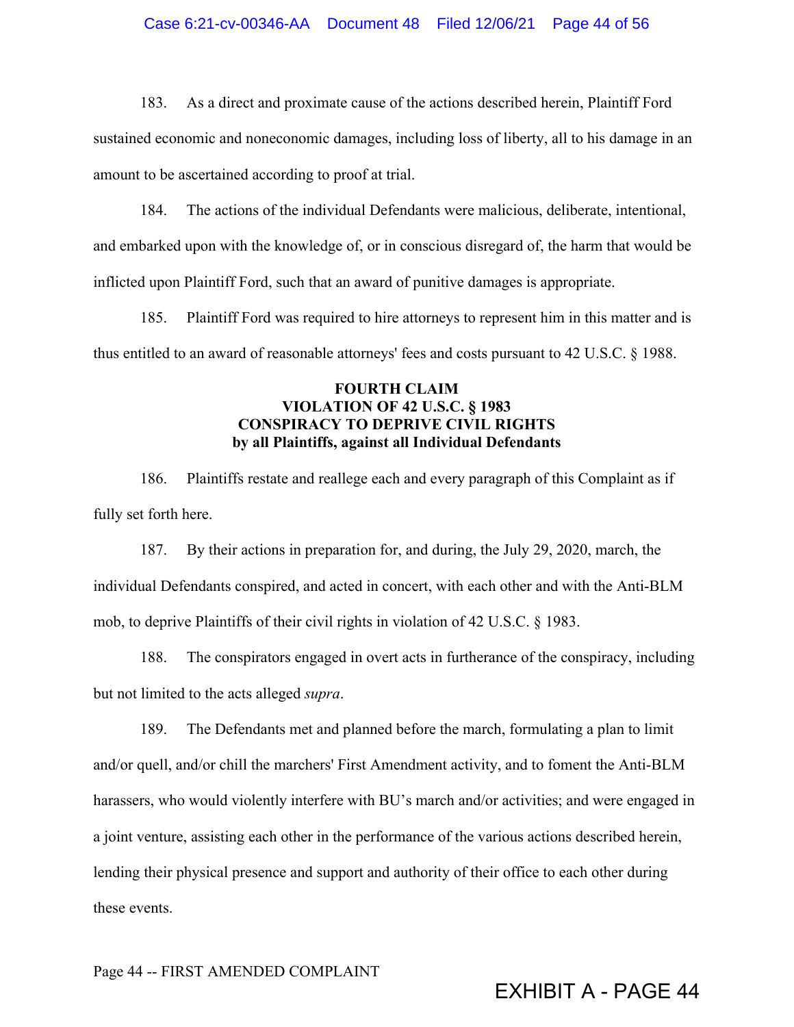### Case 6:21-cv-00346-AA Document 48 Filed 12/06/21 Page 44 of 56

183. As a direct and proximate cause of the actions described herein, Plaintiff Ford

sustained economic and noneconomic damages, including loss of liberty, all to his damage in an amount to be ascertained according to proof at trial.

184. The actions of the individual Defendants were malicious, deliberate, intentional,

and embarked upon with the knowledge of, or in conscious disregard of, the harm that would be

inflicted upon Plaintiff Ford, such that an award of punitive damages is appropriate.

185. Plaintiff Ford was required to hire attorneys to represent him in this matter and is thus entitled to an award of reasonable attorneys' fees and costs pursuant to 42 U.S.C. § 1988.

# **FOURTH CLAIM VIOLATION OF 42 U.S.C. § 1983 CONSPIRACY TO DEPRIVE CIVIL RIGHTS by all Plaintiffs, against all Individual Defendants**

186. Plaintiffs restate and reallege each and every paragraph of this Complaint as if fully set forth here.

187. By their actions in preparation for, and during, the July 29, 2020, march, the individual Defendants conspired, and acted in concert, with each other and with the Anti-BLM mob, to deprive Plaintiffs of their civil rights in violation of 42 U.S.C. § 1983.

188. The conspirators engaged in overt acts in furtherance of the conspiracy, including but not limited to the acts alleged *supra*.

189. The Defendants met and planned before the march, formulating a plan to limit and/or quell, and/or chill the marchers' First Amendment activity, and to foment the Anti-BLM harassers, who would violently interfere with BU's march and/or activities; and were engaged in a joint venture, assisting each other in the performance of the various actions described herein, lending their physical presence and support and authority of their office to each other during these events.

### Page 44 -- FIRST AMENDED COMPLAINT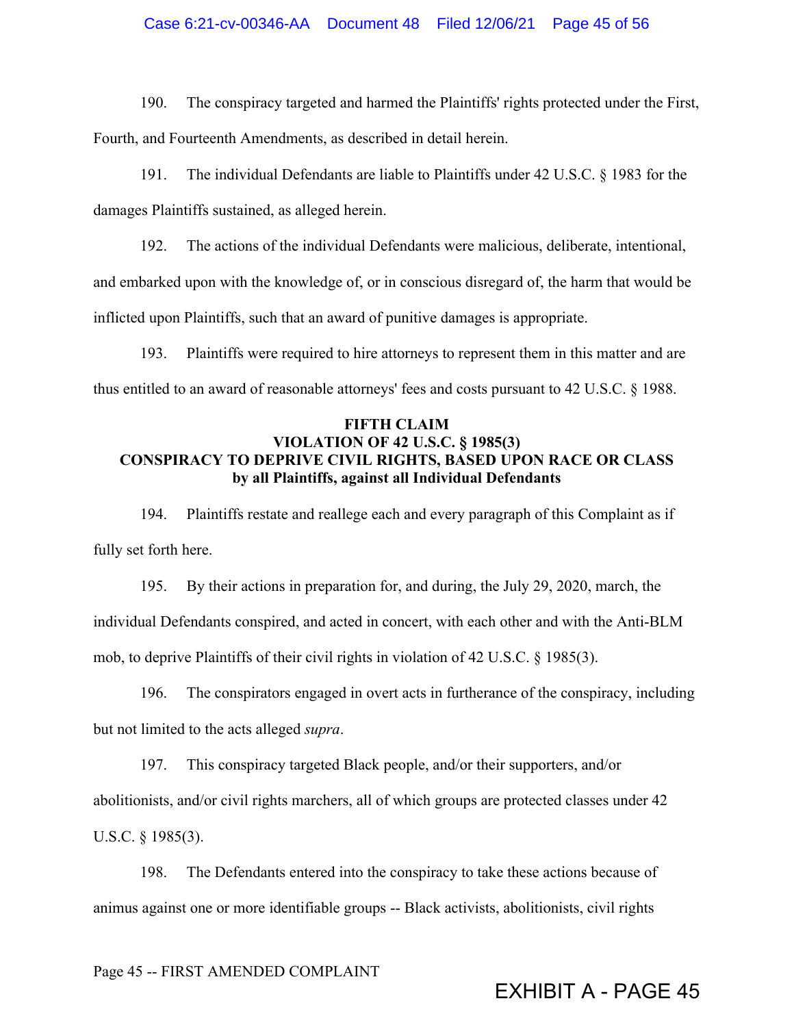### Case 6:21-cv-00346-AA Document 48 Filed 12/06/21 Page 45 of 56

190. The conspiracy targeted and harmed the Plaintiffs' rights protected under the First, Fourth, and Fourteenth Amendments, as described in detail herein.

191. The individual Defendants are liable to Plaintiffs under 42 U.S.C. § 1983 for the damages Plaintiffs sustained, as alleged herein.

192. The actions of the individual Defendants were malicious, deliberate, intentional, and embarked upon with the knowledge of, or in conscious disregard of, the harm that would be inflicted upon Plaintiffs, such that an award of punitive damages is appropriate.

193. Plaintiffs were required to hire attorneys to represent them in this matter and are thus entitled to an award of reasonable attorneys' fees and costs pursuant to 42 U.S.C. § 1988.

# **FIFTH CLAIM VIOLATION OF 42 U.S.C. § 1985(3) CONSPIRACY TO DEPRIVE CIVIL RIGHTS, BASED UPON RACE OR CLASS by all Plaintiffs, against all Individual Defendants**

194. Plaintiffs restate and reallege each and every paragraph of this Complaint as if fully set forth here.

195. By their actions in preparation for, and during, the July 29, 2020, march, the individual Defendants conspired, and acted in concert, with each other and with the Anti-BLM mob, to deprive Plaintiffs of their civil rights in violation of 42 U.S.C. § 1985(3).

196. The conspirators engaged in overt acts in furtherance of the conspiracy, including but not limited to the acts alleged *supra*.

197. This conspiracy targeted Black people, and/or their supporters, and/or abolitionists, and/or civil rights marchers, all of which groups are protected classes under 42 U.S.C. § 1985(3).

198. The Defendants entered into the conspiracy to take these actions because of animus against one or more identifiable groups -- Black activists, abolitionists, civil rights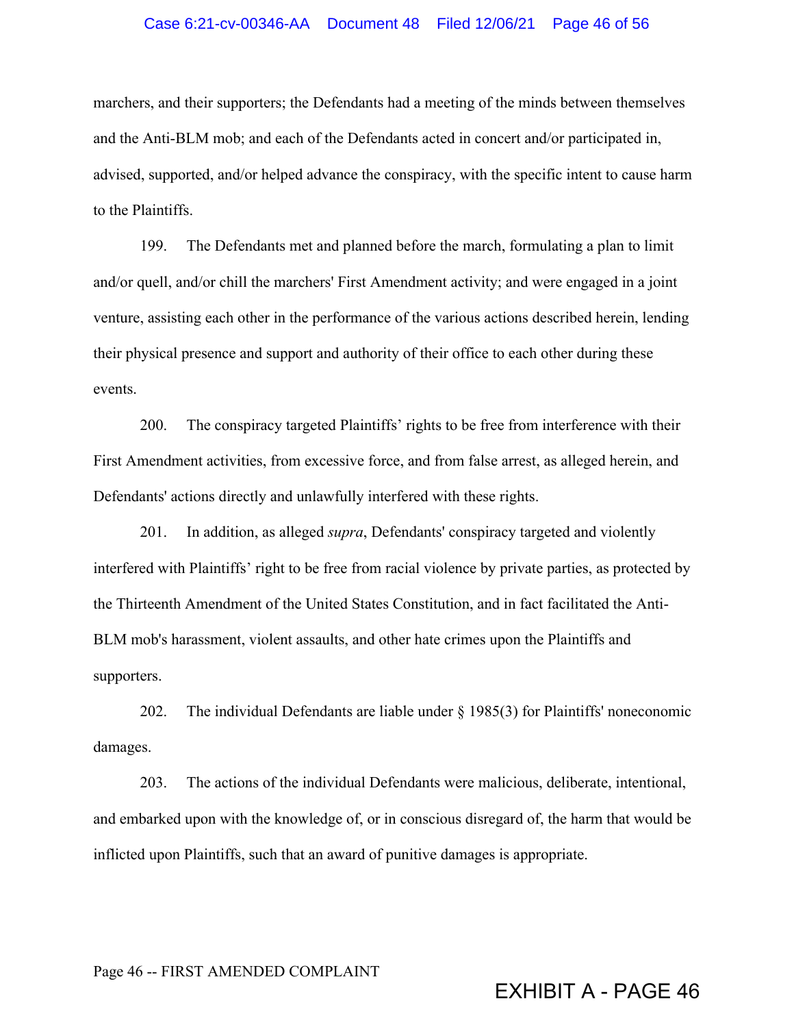#### Case 6:21-cv-00346-AA Document 48 Filed 12/06/21 Page 46 of 56

marchers, and their supporters; the Defendants had a meeting of the minds between themselves and the Anti-BLM mob; and each of the Defendants acted in concert and/or participated in, advised, supported, and/or helped advance the conspiracy, with the specific intent to cause harm to the Plaintiffs.

199. The Defendants met and planned before the march, formulating a plan to limit and/or quell, and/or chill the marchers' First Amendment activity; and were engaged in a joint venture, assisting each other in the performance of the various actions described herein, lending their physical presence and support and authority of their office to each other during these events.

200. The conspiracy targeted Plaintiffs' rights to be free from interference with their First Amendment activities, from excessive force, and from false arrest, as alleged herein, and Defendants' actions directly and unlawfully interfered with these rights.

201. In addition, as alleged *supra*, Defendants' conspiracy targeted and violently interfered with Plaintiffs' right to be free from racial violence by private parties, as protected by the Thirteenth Amendment of the United States Constitution, and in fact facilitated the Anti-BLM mob's harassment, violent assaults, and other hate crimes upon the Plaintiffs and supporters.

202. The individual Defendants are liable under § 1985(3) for Plaintiffs' noneconomic damages.

203. The actions of the individual Defendants were malicious, deliberate, intentional, and embarked upon with the knowledge of, or in conscious disregard of, the harm that would be inflicted upon Plaintiffs, such that an award of punitive damages is appropriate.

#### Page 46 -- FIRST AMENDED COMPLAINT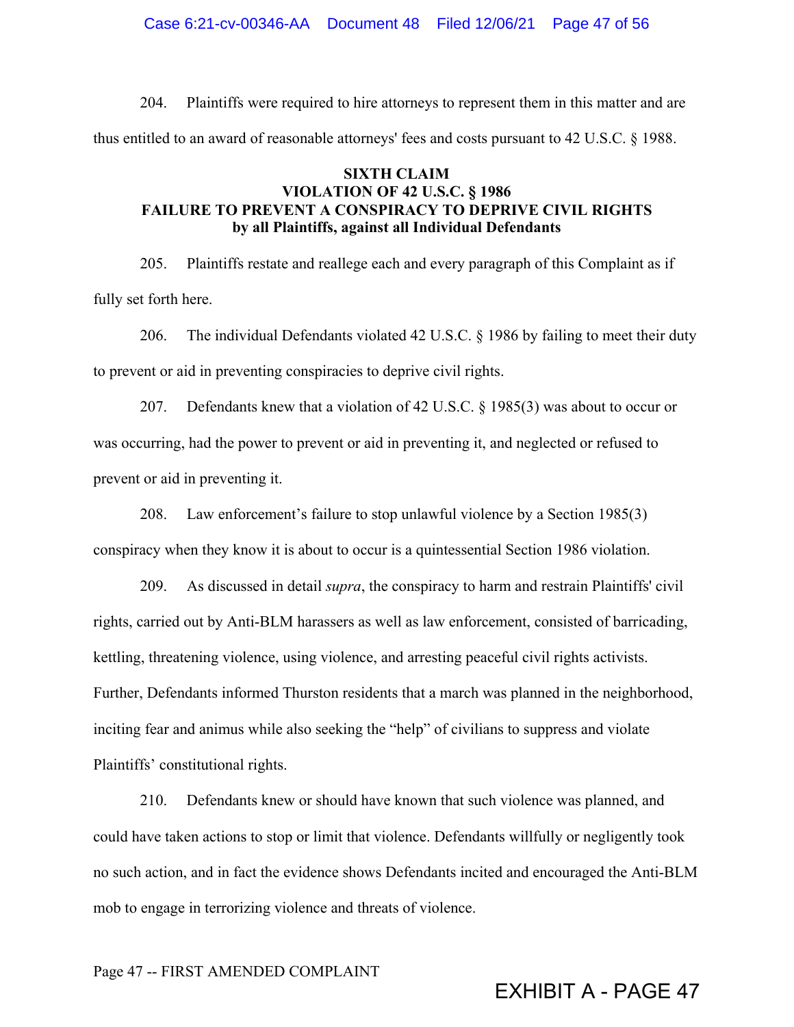204. Plaintiffs were required to hire attorneys to represent them in this matter and are thus entitled to an award of reasonable attorneys' fees and costs pursuant to 42 U.S.C. § 1988.

# **SIXTH CLAIM VIOLATION OF 42 U.S.C. § 1986 FAILURE TO PREVENT A CONSPIRACY TO DEPRIVE CIVIL RIGHTS by all Plaintiffs, against all Individual Defendants**

205. Plaintiffs restate and reallege each and every paragraph of this Complaint as if fully set forth here.

206. The individual Defendants violated 42 U.S.C. § 1986 by failing to meet their duty to prevent or aid in preventing conspiracies to deprive civil rights.

207. Defendants knew that a violation of 42 U.S.C. § 1985(3) was about to occur or was occurring, had the power to prevent or aid in preventing it, and neglected or refused to prevent or aid in preventing it.

208. Law enforcement's failure to stop unlawful violence by a Section 1985(3) conspiracy when they know it is about to occur is a quintessential Section 1986 violation.

209. As discussed in detail *supra*, the conspiracy to harm and restrain Plaintiffs' civil rights, carried out by Anti-BLM harassers as well as law enforcement, consisted of barricading, kettling, threatening violence, using violence, and arresting peaceful civil rights activists. Further, Defendants informed Thurston residents that a march was planned in the neighborhood, inciting fear and animus while also seeking the "help" of civilians to suppress and violate Plaintiffs' constitutional rights.

210. Defendants knew or should have known that such violence was planned, and could have taken actions to stop or limit that violence. Defendants willfully or negligently took no such action, and in fact the evidence shows Defendants incited and encouraged the Anti-BLM mob to engage in terrorizing violence and threats of violence.

### Page 47 -- FIRST AMENDED COMPLAINT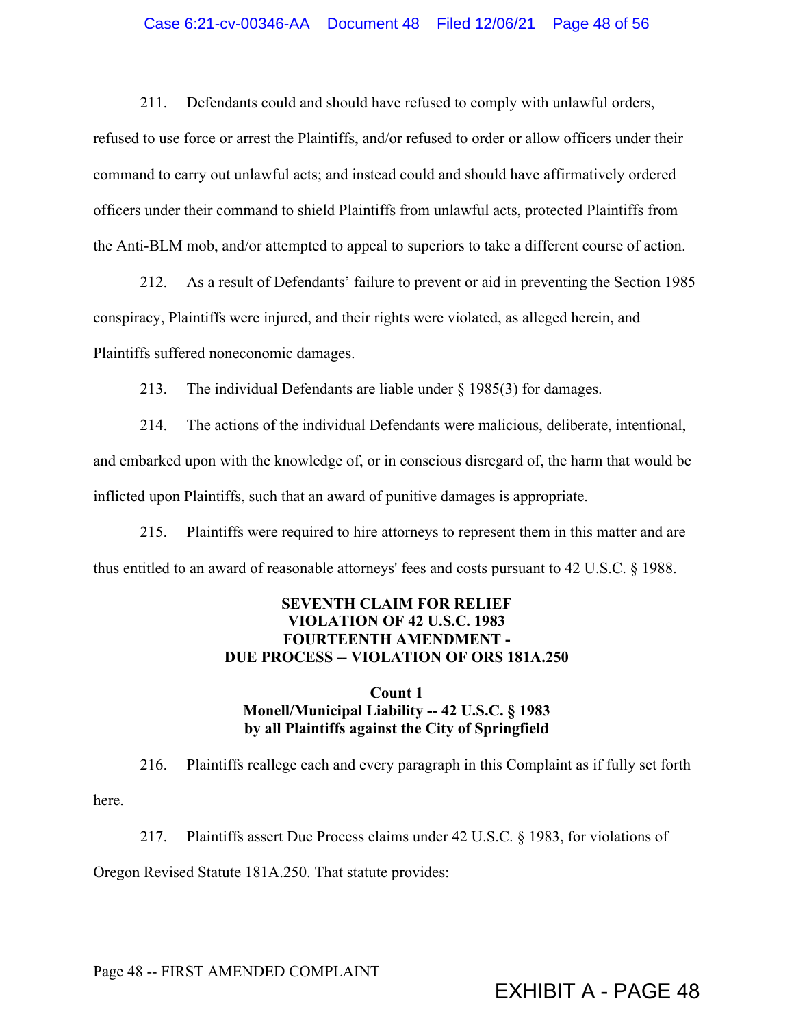### Case 6:21-cv-00346-AA Document 48 Filed 12/06/21 Page 48 of 56

211. Defendants could and should have refused to comply with unlawful orders,

refused to use force or arrest the Plaintiffs, and/or refused to order or allow officers under their command to carry out unlawful acts; and instead could and should have affirmatively ordered officers under their command to shield Plaintiffs from unlawful acts, protected Plaintiffs from the Anti-BLM mob, and/or attempted to appeal to superiors to take a different course of action.

212. As a result of Defendants' failure to prevent or aid in preventing the Section 1985 conspiracy, Plaintiffs were injured, and their rights were violated, as alleged herein, and Plaintiffs suffered noneconomic damages.

213. The individual Defendants are liable under § 1985(3) for damages.

214. The actions of the individual Defendants were malicious, deliberate, intentional, and embarked upon with the knowledge of, or in conscious disregard of, the harm that would be inflicted upon Plaintiffs, such that an award of punitive damages is appropriate.

215. Plaintiffs were required to hire attorneys to represent them in this matter and are thus entitled to an award of reasonable attorneys' fees and costs pursuant to 42 U.S.C. § 1988.

# **SEVENTH CLAIM FOR RELIEF VIOLATION OF 42 U.S.C. 1983 FOURTEENTH AMENDMENT - DUE PROCESS -- VIOLATION OF ORS 181A.250**

# **Count 1 Monell/Municipal Liability -- 42 U.S.C. § 1983 by all Plaintiffs against the City of Springfield**

216. Plaintiffs reallege each and every paragraph in this Complaint as if fully set forth here.

217. Plaintiffs assert Due Process claims under 42 U.S.C. § 1983, for violations of

Oregon Revised Statute 181A.250. That statute provides:

Page 48 -- FIRST AMENDED COMPLAINT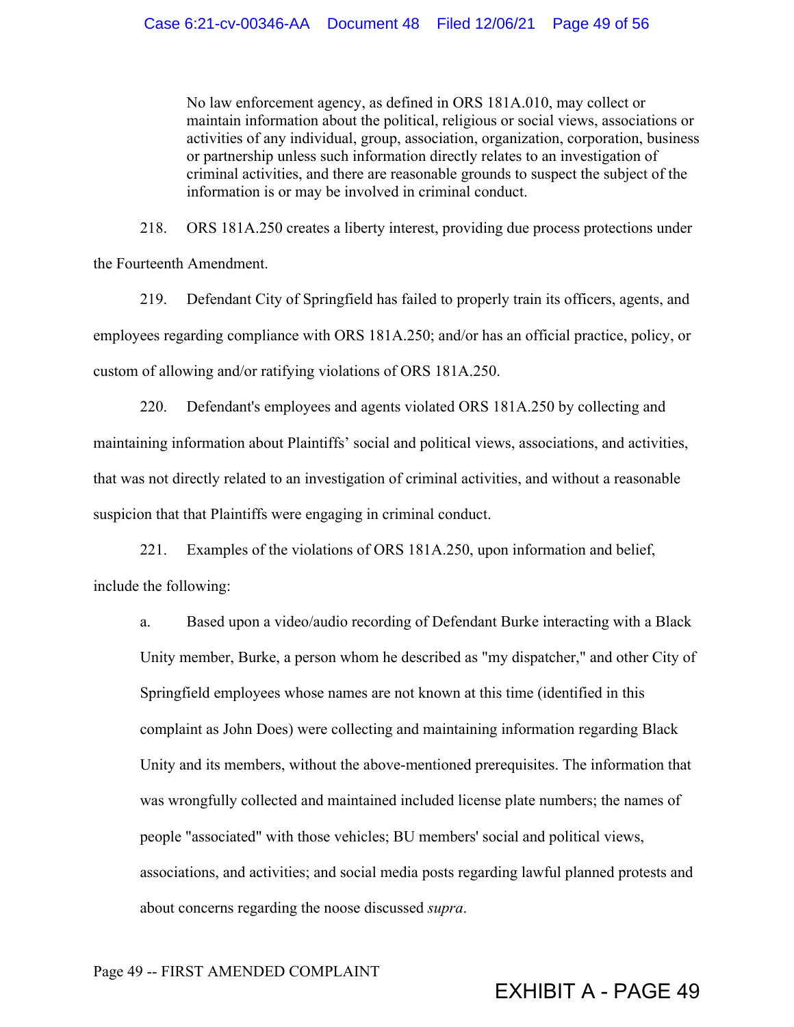No law enforcement agency, as defined in ORS 181A.010, may collect or maintain information about the political, religious or social views, associations or activities of any individual, group, association, organization, corporation, business or partnership unless such information directly relates to an investigation of criminal activities, and there are reasonable grounds to suspect the subject of the information is or may be involved in criminal conduct.

218. ORS 181A.250 creates a liberty interest, providing due process protections under the Fourteenth Amendment.

219. Defendant City of Springfield has failed to properly train its officers, agents, and employees regarding compliance with ORS 181A.250; and/or has an official practice, policy, or custom of allowing and/or ratifying violations of ORS 181A.250.

220. Defendant's employees and agents violated ORS 181A.250 by collecting and maintaining information about Plaintiffs' social and political views, associations, and activities, that was not directly related to an investigation of criminal activities, and without a reasonable suspicion that that Plaintiffs were engaging in criminal conduct.

221. Examples of the violations of ORS 181A.250, upon information and belief, include the following:

a. Based upon a video/audio recording of Defendant Burke interacting with a Black Unity member, Burke, a person whom he described as "my dispatcher," and other City of Springfield employees whose names are not known at this time (identified in this complaint as John Does) were collecting and maintaining information regarding Black Unity and its members, without the above-mentioned prerequisites. The information that was wrongfully collected and maintained included license plate numbers; the names of people "associated" with those vehicles; BU members' social and political views, associations, and activities; and social media posts regarding lawful planned protests and about concerns regarding the noose discussed *supra*.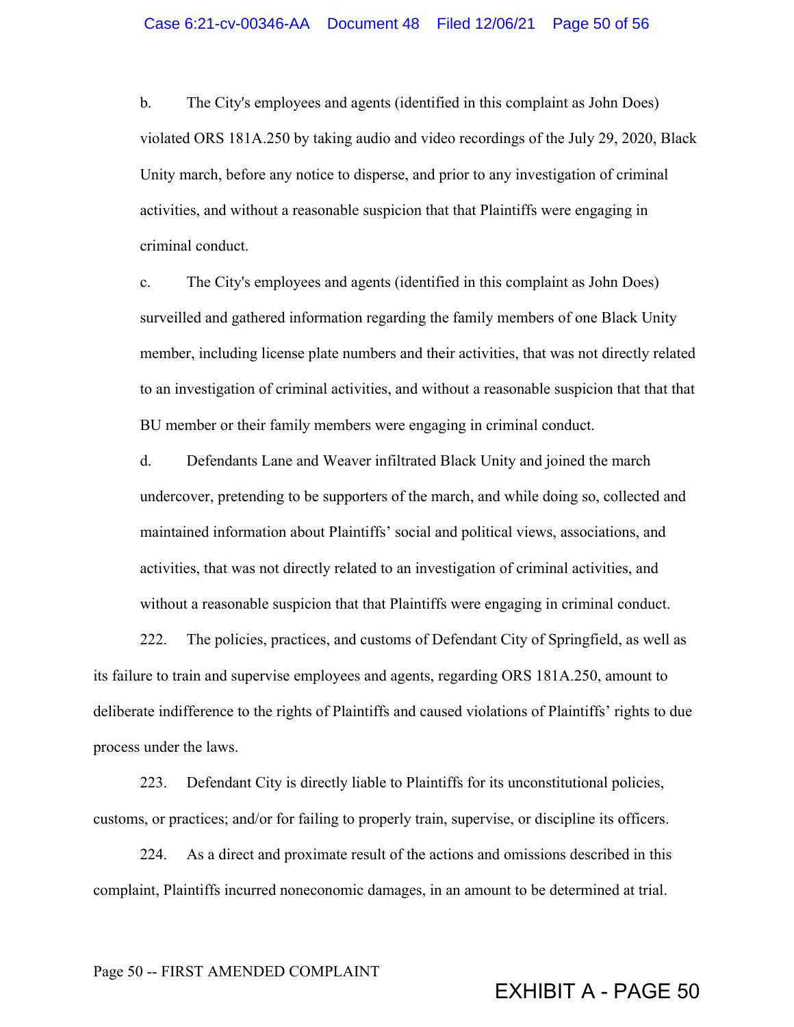b. The City's employees and agents (identified in this complaint as John Does) violated ORS 181A.250 by taking audio and video recordings of the July 29, 2020, Black Unity march, before any notice to disperse, and prior to any investigation of criminal activities, and without a reasonable suspicion that that Plaintiffs were engaging in criminal conduct.

c. The City's employees and agents (identified in this complaint as John Does) surveilled and gathered information regarding the family members of one Black Unity member, including license plate numbers and their activities, that was not directly related to an investigation of criminal activities, and without a reasonable suspicion that that that BU member or their family members were engaging in criminal conduct.

d. Defendants Lane and Weaver infiltrated Black Unity and joined the march undercover, pretending to be supporters of the march, and while doing so, collected and maintained information about Plaintiffs' social and political views, associations, and activities, that was not directly related to an investigation of criminal activities, and without a reasonable suspicion that that Plaintiffs were engaging in criminal conduct.

222. The policies, practices, and customs of Defendant City of Springfield, as well as its failure to train and supervise employees and agents, regarding ORS 181A.250, amount to deliberate indifference to the rights of Plaintiffs and caused violations of Plaintiffs' rights to due process under the laws.

223. Defendant City is directly liable to Plaintiffs for its unconstitutional policies, customs, or practices; and/or for failing to properly train, supervise, or discipline its officers.

224. As a direct and proximate result of the actions and omissions described in this complaint, Plaintiffs incurred noneconomic damages, in an amount to be determined at trial.

### Page 50 -- FIRST AMENDED COMPLAINT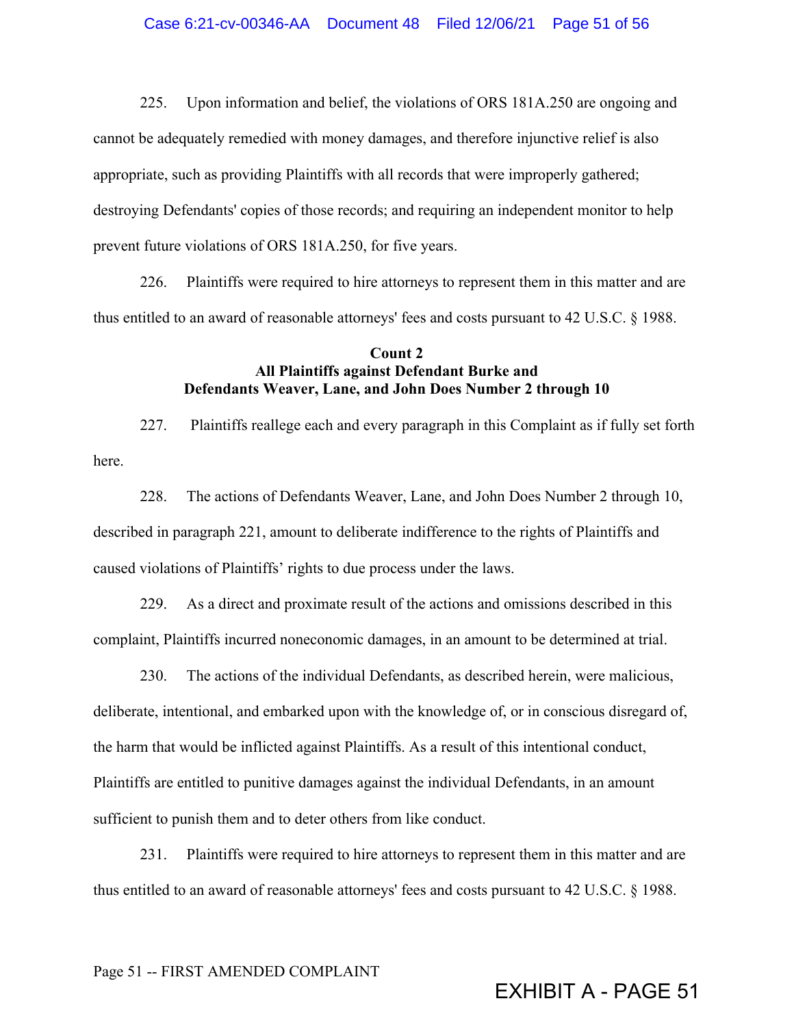225. Upon information and belief, the violations of ORS 181A.250 are ongoing and cannot be adequately remedied with money damages, and therefore injunctive relief is also appropriate, such as providing Plaintiffs with all records that were improperly gathered; destroying Defendants' copies of those records; and requiring an independent monitor to help prevent future violations of ORS 181A.250, for five years.

226. Plaintiffs were required to hire attorneys to represent them in this matter and are thus entitled to an award of reasonable attorneys' fees and costs pursuant to 42 U.S.C. § 1988.

### **Count 2 All Plaintiffs against Defendant Burke and Defendants Weaver, Lane, and John Does Number 2 through 10**

227. Plaintiffs reallege each and every paragraph in this Complaint as if fully set forth here.

228. The actions of Defendants Weaver, Lane, and John Does Number 2 through 10, described in paragraph 221, amount to deliberate indifference to the rights of Plaintiffs and caused violations of Plaintiffs' rights to due process under the laws.

229. As a direct and proximate result of the actions and omissions described in this complaint, Plaintiffs incurred noneconomic damages, in an amount to be determined at trial.

230. The actions of the individual Defendants, as described herein, were malicious, deliberate, intentional, and embarked upon with the knowledge of, or in conscious disregard of, the harm that would be inflicted against Plaintiffs. As a result of this intentional conduct, Plaintiffs are entitled to punitive damages against the individual Defendants, in an amount sufficient to punish them and to deter others from like conduct.

231. Plaintiffs were required to hire attorneys to represent them in this matter and are thus entitled to an award of reasonable attorneys' fees and costs pursuant to 42 U.S.C. § 1988.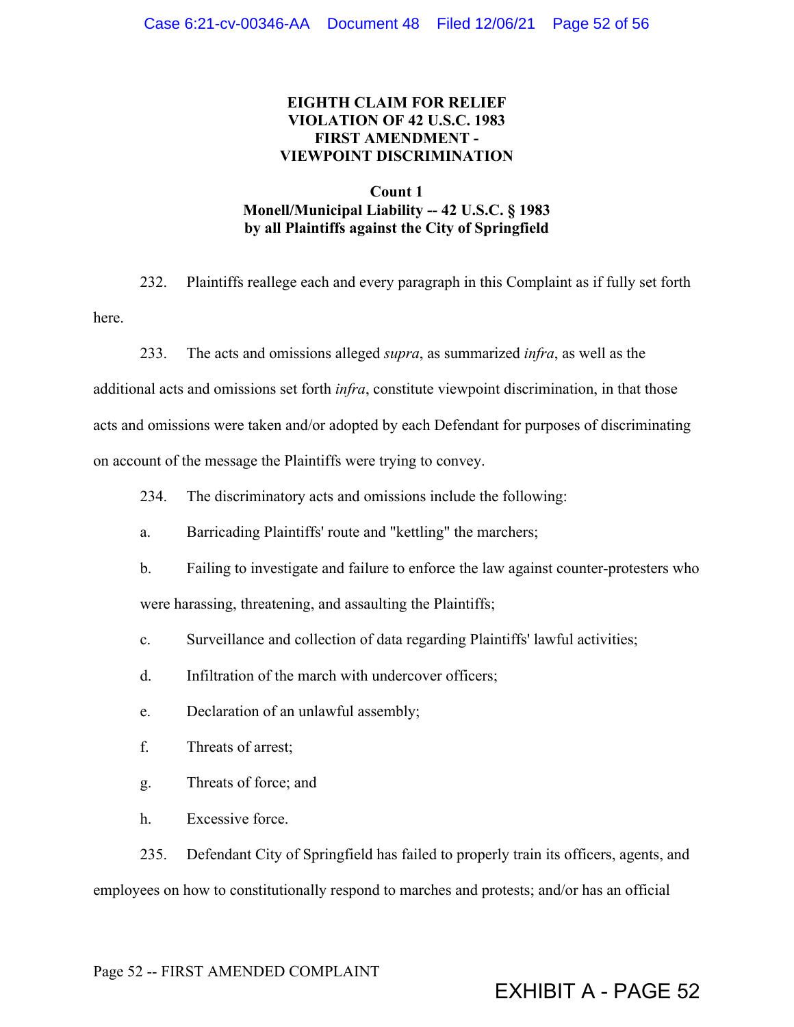# **EIGHTH CLAIM FOR RELIEF VIOLATION OF 42 U.S.C. 1983 FIRST AMENDMENT - VIEWPOINT DISCRIMINATION**

# **Count 1 Monell/Municipal Liability -- 42 U.S.C. § 1983 by all Plaintiffs against the City of Springfield**

232. Plaintiffs reallege each and every paragraph in this Complaint as if fully set forth here.

233. The acts and omissions alleged *supra*, as summarized *infra*, as well as the

additional acts and omissions set forth *infra*, constitute viewpoint discrimination, in that those acts and omissions were taken and/or adopted by each Defendant for purposes of discriminating on account of the message the Plaintiffs were trying to convey.

- 234. The discriminatory acts and omissions include the following:
- a. Barricading Plaintiffs' route and "kettling" the marchers;
- b. Failing to investigate and failure to enforce the law against counter-protesters who were harassing, threatening, and assaulting the Plaintiffs;
- c. Surveillance and collection of data regarding Plaintiffs' lawful activities;
- d. Infiltration of the march with undercover officers;
- e. Declaration of an unlawful assembly;
- f. Threats of arrest;
- g. Threats of force; and
- h. Excessive force.

235. Defendant City of Springfield has failed to properly train its officers, agents, and employees on how to constitutionally respond to marches and protests; and/or has an official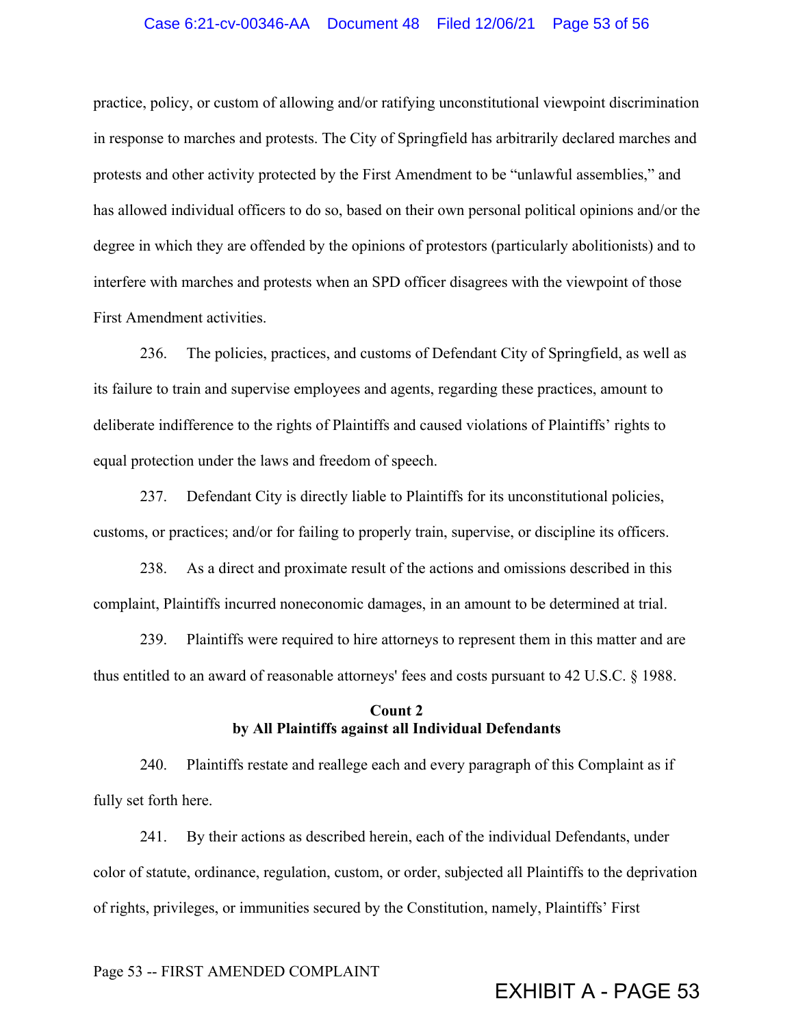### Case 6:21-cv-00346-AA Document 48 Filed 12/06/21 Page 53 of 56

practice, policy, or custom of allowing and/or ratifying unconstitutional viewpoint discrimination in response to marches and protests. The City of Springfield has arbitrarily declared marches and protests and other activity protected by the First Amendment to be "unlawful assemblies," and has allowed individual officers to do so, based on their own personal political opinions and/or the degree in which they are offended by the opinions of protestors (particularly abolitionists) and to interfere with marches and protests when an SPD officer disagrees with the viewpoint of those First Amendment activities.

236. The policies, practices, and customs of Defendant City of Springfield, as well as its failure to train and supervise employees and agents, regarding these practices, amount to deliberate indifference to the rights of Plaintiffs and caused violations of Plaintiffs' rights to equal protection under the laws and freedom of speech.

237. Defendant City is directly liable to Plaintiffs for its unconstitutional policies, customs, or practices; and/or for failing to properly train, supervise, or discipline its officers.

238. As a direct and proximate result of the actions and omissions described in this complaint, Plaintiffs incurred noneconomic damages, in an amount to be determined at trial.

239. Plaintiffs were required to hire attorneys to represent them in this matter and are thus entitled to an award of reasonable attorneys' fees and costs pursuant to 42 U.S.C. § 1988.

# **Count 2 by All Plaintiffs against all Individual Defendants**

240. Plaintiffs restate and reallege each and every paragraph of this Complaint as if fully set forth here.

241. By their actions as described herein, each of the individual Defendants, under color of statute, ordinance, regulation, custom, or order, subjected all Plaintiffs to the deprivation of rights, privileges, or immunities secured by the Constitution, namely, Plaintiffs' First

### Page 53 -- FIRST AMENDED COMPLAINT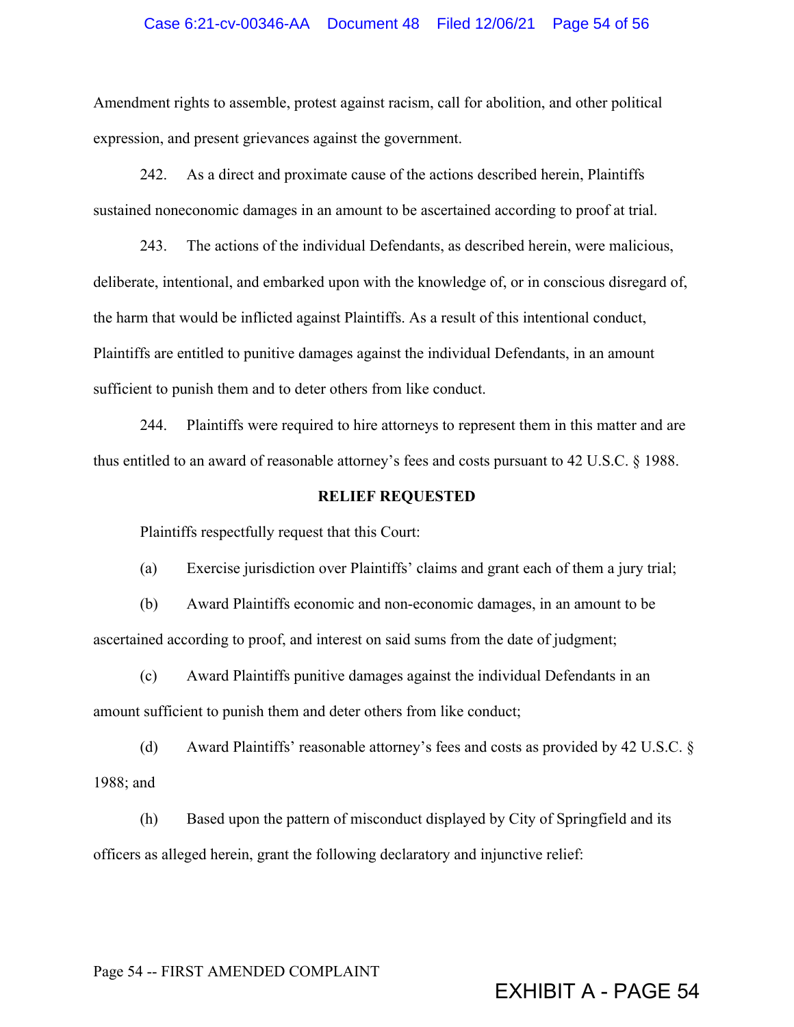### Case 6:21-cv-00346-AA Document 48 Filed 12/06/21 Page 54 of 56

Amendment rights to assemble, protest against racism, call for abolition, and other political expression, and present grievances against the government.

242. As a direct and proximate cause of the actions described herein, Plaintiffs sustained noneconomic damages in an amount to be ascertained according to proof at trial.

243. The actions of the individual Defendants, as described herein, were malicious, deliberate, intentional, and embarked upon with the knowledge of, or in conscious disregard of, the harm that would be inflicted against Plaintiffs. As a result of this intentional conduct, Plaintiffs are entitled to punitive damages against the individual Defendants, in an amount sufficient to punish them and to deter others from like conduct.

244. Plaintiffs were required to hire attorneys to represent them in this matter and are thus entitled to an award of reasonable attorney's fees and costs pursuant to 42 U.S.C. § 1988.

#### **RELIEF REQUESTED**

Plaintiffs respectfully request that this Court:

(a) Exercise jurisdiction over Plaintiffs' claims and grant each of them a jury trial;

 (b) Award Plaintiffs economic and non-economic damages, in an amount to be ascertained according to proof, and interest on said sums from the date of judgment;

 (c) Award Plaintiffs punitive damages against the individual Defendants in an amount sufficient to punish them and deter others from like conduct;

 (d) Award Plaintiffs' reasonable attorney's fees and costs as provided by 42 U.S.C. § 1988; and

 (h) Based upon the pattern of misconduct displayed by City of Springfield and its officers as alleged herein, grant the following declaratory and injunctive relief:

### Page 54 -- FIRST AMENDED COMPLAINT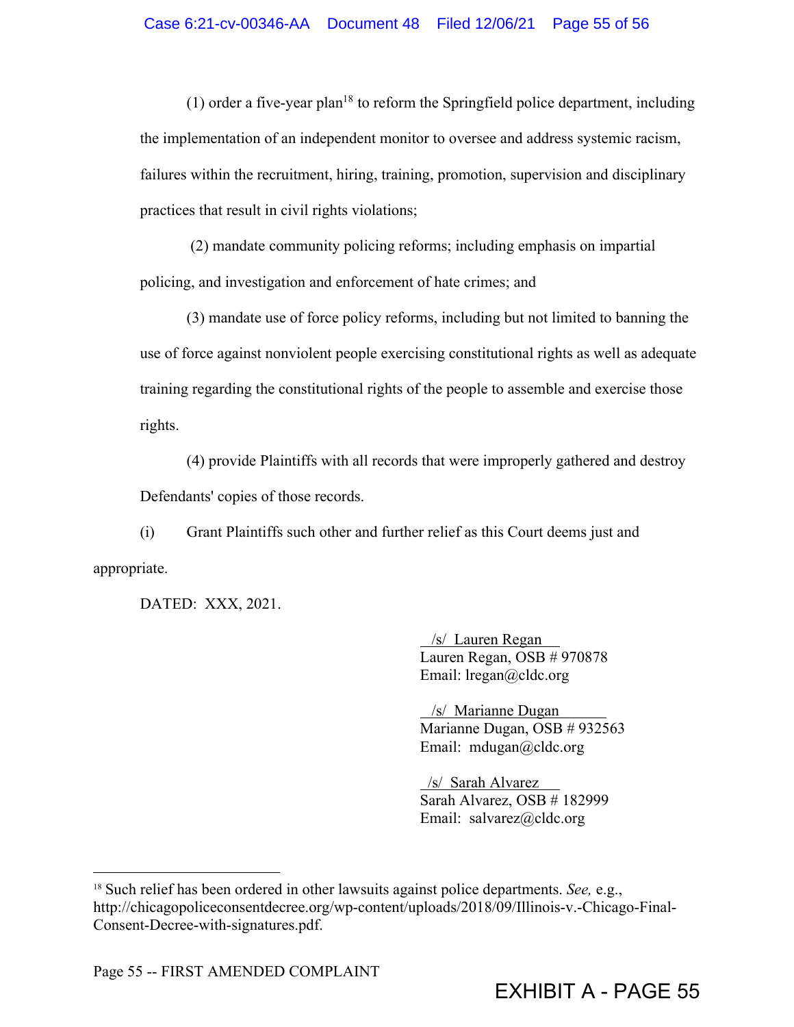(1) order a five-year plan<sup>18</sup> to reform the Springfield police department, including the implementation of an independent monitor to oversee and address systemic racism, failures within the recruitment, hiring, training, promotion, supervision and disciplinary practices that result in civil rights violations;

 (2) mandate community policing reforms; including emphasis on impartial policing, and investigation and enforcement of hate crimes; and

 (3) mandate use of force policy reforms, including but not limited to banning the use of force against nonviolent people exercising constitutional rights as well as adequate training regarding the constitutional rights of the people to assemble and exercise those rights.

 (4) provide Plaintiffs with all records that were improperly gathered and destroy Defendants' copies of those records.

 (i) Grant Plaintiffs such other and further relief as this Court deems just and appropriate.

DATED: XXX, 2021.

 /s/ Lauren Regan Lauren Regan, OSB # 970878 Email: lregan@cldc.org

 /s/ Marianne Dugan Marianne Dugan, OSB # 932563 Email: mdugan@cldc.org

 /s/ Sarah Alvarez Sarah Alvarez, OSB # 182999 Email: salvarez@cldc.org

<sup>18</sup> Such relief has been ordered in other lawsuits against police departments. *See,* e.g., http://chicagopoliceconsentdecree.org/wp-content/uploads/2018/09/Illinois-v.-Chicago-Final-Consent-Decree-with-signatures.pdf.